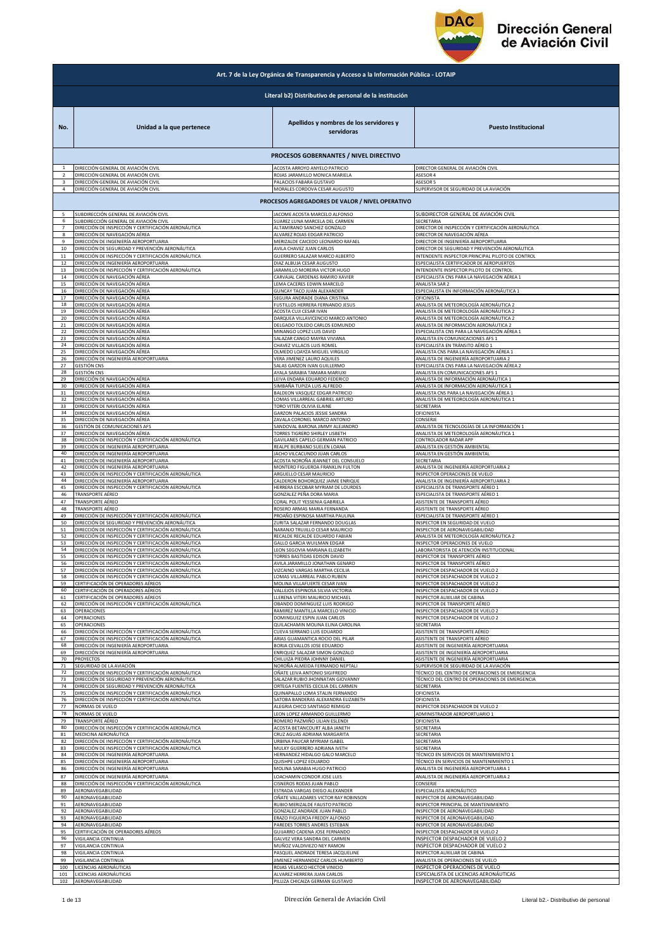

|                | Art. 7 de la Ley Orgánica de Transparencia y Acceso a la Información Pública - LOTAIP                                         |                                                                                                     |                                                                           |  |  |
|----------------|-------------------------------------------------------------------------------------------------------------------------------|-----------------------------------------------------------------------------------------------------|---------------------------------------------------------------------------|--|--|
|                | Literal b2) Distributivo de personal de la institución                                                                        |                                                                                                     |                                                                           |  |  |
| No.            | Unidad a la que pertenece                                                                                                     | Apellidos y nombres de los servidores y<br>servidoras                                               | <b>Puesto Institucional</b>                                               |  |  |
|                |                                                                                                                               | PROCESOS GOBERNANTES / NIVEL DIRECTIVO                                                              |                                                                           |  |  |
|                | DIRECCIÓN GENERAL DE AVIACIÓN CIVIL                                                                                           | ACOSTA ARROYO ANYELO PATRICIO                                                                       | DIRECTOR GENERAL DE AVIACIÓN CIVIL                                        |  |  |
|                | DIRECCIÓN GENERAL DE AVIACIÓN CIVIL                                                                                           | ROJAS JARAMILLO MONICA MARIELA                                                                      | ASESOR 4                                                                  |  |  |
| $\overline{4}$ | DIRECCIÓN GENERAL DE AVIACIÓN CIVIL                                                                                           | PALACIOS FABARA GUSTAVO                                                                             | ASESOR 5                                                                  |  |  |
|                | DIRECCIÓN GENERAL DE AVIACIÓN CIVIL                                                                                           | MORALES CORDOVA CESAR AUGUSTO                                                                       | SUPERVISOR DE SEGURIDAD DE LA AVIACIÓN                                    |  |  |
|                |                                                                                                                               | PROCESOS AGREGADORES DE VALOR / NIVEL OPERATIVO                                                     |                                                                           |  |  |
| 5              | SUBDIRECCIÓN GENERAL DE AVIACIÓN CIVIL                                                                                        | JACOME ACOSTA MARCELO ALFONSO                                                                       | SUBDIRECTOR GENERAL DE AVIACIÓN CIVIL                                     |  |  |
| 6              | SUBDIRECCIÓN GENERAL DE AVIACIÓN CIVIL                                                                                        | SUAREZ LUNA MARCELA DEL CARMEN                                                                      | SECRETARIA                                                                |  |  |
| $\overline{7}$ | DIRECCIÓN DE INSPECCIÓN Y CERTIFICACIÓN AERONÁUTICA                                                                           | ALTAMIRANO SANCHEZ GONZALO                                                                          | DIRECTOR DE INSPECCIÓN Y CERTIFICACIÓN AERONÁUTICA                        |  |  |
| 8              | DIRECCIÓN DE NAVEGACIÓN AÉREA                                                                                                 | ALVAREZ ROJAS EDGAR PATRICIO                                                                        | DIRECTOR DE NAVEGACIÓN AÉREA                                              |  |  |
| 9              | DIRECCIÓN DE INGENIERÍA AEROPORTUARIA                                                                                         | MERIZALDE CAICEDO LEONARDO RAFAEL                                                                   | DIRECTOR DE INGENIERÍA AEROPORTUARIA                                      |  |  |
| 10             | DIRECCIÓN DE SEGURIDAD Y PREVENCIÓN AERONÁUTICA                                                                               | AVILA CHAVEZ JUAN CARLOS                                                                            | DIRECTOR DE SEGURIDAD Y PREVENCIÓN AERONÁUTICA                            |  |  |
| 11             | DIRECCIÓN DE INSPECCIÓN Y CERTIFICACIÓN AERONÁUTICA                                                                           | GUERRERO SALAZAR MARCO ALBERTO                                                                      | INTENDENTE INSPECTOR PRINCIPAL PILOTO DE CONTROL                          |  |  |
| 12             | DIRECCIÓN DE INGENIERÍA AEROPORTUARIA                                                                                         | DIAZ ALBUJA CESAR AUGUSTO                                                                           | ESPECIALISTA CERTIFICADOR DE AEROPUERTOS                                  |  |  |
| 13             | DIRECCIÓN DE INSPECCIÓN Y CERTIFICACIÓN AERONÁUTICA                                                                           | JARAMILLO MOREIRA VICTOR HUGO                                                                       | INTENDENTE INSPECTOR PILOTO DE CONTROL                                    |  |  |
| 14             | DIRECCIÓN DE NAVEGACIÓN AÉREA                                                                                                 | CARVAJAL CARDENAS RAMIRO XAVIER                                                                     | ESPECIALISTA CNS PARA LA NAVEGACIÓN AÉREA 1                               |  |  |
| 15             | DIRECCIÓN DE NAVEGACIÓN AÉREA                                                                                                 | LEMA CACERES EDWIN MARCELO                                                                          |                                                                           |  |  |
| 16<br>17       | DIRECCIÓN DE NAVEGACIÓN AÉREA<br>DIRECCIÓN DE NAVEGACIÓN AÉREA                                                                | <b>GUNCAY TACO JUAN ALEXANDER</b><br>SEGURA ANDRADE DIANA CRISTINA                                  | ANALISTA SAR 2<br>ESPECIALISTA EN INFORMACIÓN AERONÁUTICA 1<br>OFICINISTA |  |  |
| 18             | DIRECCIÓN DE NAVEGACIÓN AÉREA                                                                                                 | FUSTILLOS HERRERA FERNANDO JESUS                                                                    | ANALISTA DE METEOROLOGÍA AERONÁUTICA 2                                    |  |  |
| 19             | DIRECCIÓN DE NAVEGACIÓN AÉREA                                                                                                 | ACOSTA CUJI CESAR IVAN                                                                              | ANALISTA DE METEOROLOGÍA AERONÁUTICA 2                                    |  |  |
| 20             | DIRECCIÓN DE NAVEGACIÓN AÉREA<br>DIRECCIÓN DE NAVEGACIÓN AÉREA                                                                | DARQUEA VILLAVICENCIO MARCO ANTONIO                                                                 | ANALISTA DE METEOROLOGÍA AERONÁUTICA 2                                    |  |  |
| 21             | DIRECCIÓN DE NAVEGACIÓN AÉREA                                                                                                 | DELGADO TOLEDO CARLOS EDMUNDO                                                                       | ANALISTA DE INFORMACIÓN AERONÁUTICA 2                                     |  |  |
| 22             |                                                                                                                               | MINANGO LOPEZ LUIS DAVID                                                                            | ESPECIALISTA CNS PARA LA NAVEGACIÓN AÉREA 1                               |  |  |
| 23             | DIRECCIÓN DE NAVEGACIÓN AÉREA                                                                                                 | SALAZAR CANGO MAYRA VIVIANA                                                                         | ANALISTA EN COMUNICACIONES AFS 1                                          |  |  |
| 24             | DIRECCIÓN DE NAVEGACIÓN AÉREA                                                                                                 | CHAVEZ VILLACIS LUIS ROMEL                                                                          | ESPECIALISTA EN TRÁNSITO AÉREO 1                                          |  |  |
| 25             | DIRECCIÓN DE NAVEGACIÓN AÉREA                                                                                                 | OLMEDO LOAYZA MIGUEL VIRGILIO                                                                       | ANALISTA CNS PARA LA NAVEGACIÓN AÉREA 1                                   |  |  |
| 26             | DIRECCIÓN DE INGENIERÍA AEROPORTUARIA                                                                                         | VERA JIMENEZ LAURO AQUILES                                                                          | ANALISTA DE INGENIERÍA AEROPORTUARIA 2                                    |  |  |
| 27             | GESTIÓN CNS                                                                                                                   | ALAS GARZON IVAN GUILLERMO                                                                          | ESPECIALISTA CNS PARA LA NAVEGACIÓN AÉREA 2                               |  |  |
| 28             | GESTIÓN CNS                                                                                                                   | AYALA SARABIA TAMARA MARIUXI                                                                        | ANALISTA EN COMUNICACIONES AFS 1                                          |  |  |
| 29             | DIRECCIÓN DE NAVEGACIÓN AÉREA                                                                                                 | EIVA ENDARA EDUARDO FEDERICO                                                                        | ANALISTA DE INFORMACIÓN AERONÁUTICA 1                                     |  |  |
| 30             | DIRECCIÓN DE NAVEGACIÓN AÉREA                                                                                                 | IMBAÑA TUPIZA LUIS ALFREDO                                                                          | ANALISTA DE INFORMACIÓN AERONÁUTICA 1                                     |  |  |
| 31             | DIRECCIÓN DE NAVEGACIÓN AÉREA                                                                                                 | BALDEON VASQUEZ EDGAR PATRICIO                                                                      | ANALISTA CNS PARA LA NAVEGACIÓN AÉREA 1                                   |  |  |
| 32             | DIRECCIÓN DE NAVEGACIÓN AÉREA                                                                                                 | OMAS VILLARREAL GABRIEL ARTURO                                                                      | ANALISTA DE METEOROLOGÍA AERONÁUTICA 1                                    |  |  |
| 33             | DIRECCIÓN DE NAVEGACIÓN AÉREA                                                                                                 | TORO VITERI OLIVIA ELAINE                                                                           | SECRETARIA                                                                |  |  |
| 34             | DIRECCIÓN DE NAVEGACIÓN AÉREA                                                                                                 | GARZON PALACIOS JESSIE SANDRA                                                                       | OFICINISTA                                                                |  |  |
| 35             | DIRECCIÓN DE NAVEGACIÓN AÉREA                                                                                                 | ZAVALA CORONEL MARCO ANTONIO                                                                        | CONSERJE                                                                  |  |  |
| 36             | GESTIÓN DE COMUNICACIONES AFS                                                                                                 | ANDOVAL BARONA JIMMY ALEJANDRO                                                                      | ANALISTA DE TECNOLOGÍAS DE LA INFORMACIÓN 1                               |  |  |
| 37             | DIRECCIÓN DE NAVEGACIÓN AÉREA                                                                                                 | TORRES TIGRERO SHIRLEY LISBETH                                                                      | ANALISTA DE METEOROLOGÍA AERONÁUTICA 1                                    |  |  |
| 38             | DIRECCIÓN DE INSPECCIÓN Y CERTIFICACIÓN AERONÁUTICA                                                                           | GAVILANES CAPELO GERMAN PATRICIO                                                                    | CONTROLADOR RADAR APP                                                     |  |  |
| 39             | DIRECCIÓN DE INGENIERÍA AEROPORTUARIA                                                                                         | REALPE BURBANO SUELEN LOANA                                                                         | ANALISTA EN GESTIÓN AMBIENTAL                                             |  |  |
| 40             | DIRECCIÓN DE INGENIERÍA AEROPORTUARIA                                                                                         | ACHO VILCACUNDO JUAN CARLOS                                                                         | ANALISTA EN GESTIÓN AMBIENTAL                                             |  |  |
| 41             | DIRECCIÓN DE INGENIERÍA AEROPORTUARIA                                                                                         | ACOSTA NOROÑA JEANNET DEL CONSUELO                                                                  | SECRETARIA                                                                |  |  |
| 42             | DIRECCIÓN DE INGENIERÍA AEROPORTUARIA                                                                                         | MONTERO FIGUEROA FRANKLIN FULTON                                                                    | ANALISTA DE INGENIERÍA AEROPORTUARIA 2                                    |  |  |
| 43             | DIRECCIÓN DE INSPECCIÓN Y CERTIFICACIÓN AERONÁUTICA                                                                           | ARGUELLO CESAR MAURICIO                                                                             | INSPECTOR OPERACIONES DE VUELO                                            |  |  |
| 44             | DIRECCIÓN DE INGENIERÍA AEROPORTUARIA                                                                                         | CALDERON BOHORQUEZ JAIME ENRIQUE                                                                    | ANALISTA DE INGENIERÍA AEROPORTUARIA 2                                    |  |  |
| 45             | DIRECCIÓN DE INSPECCIÓN Y CERTIFICACIÓN AERONÁUTICA                                                                           | <b>IERRERA ESCOBAR MYRIAM DE LOURDES</b>                                                            | ESPECIALISTA DE TRANSPORTE AÉREO 1                                        |  |  |
| 46             | TRANSPORTE AÉREO                                                                                                              | GONZALEZ PEÑA DORA MARIA                                                                            | ESPECIALISTA DE TRANSPORTE AÉREO 1                                        |  |  |
| 47             | <b>TRANSPORTE AÉREO</b>                                                                                                       | CORAL POLIT YESSENIA GABRIELA                                                                       | ASISTENTE DE TRANSPORTE AÉREO                                             |  |  |
| 48             | TRANSPORTE AÉREO                                                                                                              | ROSERO ARMAS MARIA FERNANDA                                                                         | ASISTENTE DE TRANSPORTE AÉREO                                             |  |  |
| 49             | DIRECCIÓN DE INSPECCIÓN Y CERTIFICACIÓN AERONÁUTICA                                                                           | PROAÑO ESPINOSA MARTHA PAULINA                                                                      | ESPECIALISTA DE TRANSPORTE AÉREO 1                                        |  |  |
| 50             | DIRECCIÓN DE SEGURIDAD Y PREVENCIÓN AERONÁUTICA                                                                               | ZURITA SALAZAR FERNANDO DOUGLAS                                                                     | INSPECTOR EN SEGURIDAD DE VUELO                                           |  |  |
| 51             | DIRECCIÓN DE INSPECCIÓN Y CERTIFICACIÓN AERONÁUTICA                                                                           | NARANJO TRUJILLO CESAR MAURICIO                                                                     | INSPECTOR DE AERONAVEGABILIDAD                                            |  |  |
| 52             | DIRECCIÓN DE INSPECCIÓN Y CERTIFICACIÓN AERONÁUTICA                                                                           | RECALDE RECALDE EDUARDO FABIAN                                                                      | ANALISTA DE METEOROLOGÍA AERONÁUTICA 2                                    |  |  |
| 53             | DIRECCIÓN DE INSPECCIÓN Y CERTIFICACIÓN AERONÁUTICA                                                                           | GALLO GARCIA WUILMAN EDGAR                                                                          | INSPECTOR OPERACIONES DE VUELO                                            |  |  |
| 54             | DIRECCIÓN DE INSPECCIÓN Y CERTIFICACIÓN AERONÁUTICA                                                                           | LEON SEGOVIA MARIANA ELIZABETH                                                                      | LABORATORISTA DE ATENCIÓN INSTITUCIONAL                                   |  |  |
| 55             | DIRECCIÓN DE INSPECCIÓN Y CERTIFICACIÓN AERONÁUTICA                                                                           | TORRES BASTIDAS EDISON DAVID                                                                        | INSPECTOR DE TRANSPORTE AÉREO                                             |  |  |
| 56             | DIRECCIÓN DE INSPECCIÓN Y CERTIFICACIÓN AERONÁUTICA                                                                           | AVILA JARAMILLO JONATHAN GENARO                                                                     | INSPECTOR DE TRANSPORTE AÉREO                                             |  |  |
| 57             | DIRECCIÓN DE INSPECCIÓN Y CERTIFICACIÓN AERONÁUTICA                                                                           | VIZCAINO VARGAS MARTHA CECILIA                                                                      | INSPECTOR DESPACHADOR DE VUELO 2                                          |  |  |
|                | DIRECCIÓN DE INSPECCIÓN Y CERTIFICACIÓN AERONÁUTICA                                                                           | OMAS VILLARREAL PABLO RUBEN                                                                         | INSPECTOR DESPACHADOR DE VUELO 2                                          |  |  |
| 59             | CERTIFICACIÓN DE OPERADORES AÉREOS                                                                                            | MOLINA VILLAFUERTE CESAR IVAN                                                                       | INSPECTOR DESPACHADOR DE VUELO 2                                          |  |  |
| 60             | CERTIFICACIÓN DE OPERADORES AÉREOS                                                                                            | VALLEJOS ESPINOSA SILVIA VICTORIA                                                                   | INSPECTOR DESPACHADOR DE VUELO 2                                          |  |  |
| 61             | CERTIFICACIÓN DE OPERADORES AÉREOS                                                                                            | LLERENA VITERI MAURICIO MICHAEL                                                                     | INSPECTOR AUXILIAR DE CABINA                                              |  |  |
| 62             | DIRECCIÓN DE INSPECCIÓN Y CERTIFICACIÓN AERONÁUTICA                                                                           | OBANDO DOMINGUEZ LUIS RODRIGO                                                                       | INSPECTOR DE TRANSPORTE AÉREO                                             |  |  |
| 63             | OPERACIONES                                                                                                                   | RAMIREZ MANTILLA MARCELO VINICIO                                                                    | INSPECTOR DESPACHADOR DE VUELO 2                                          |  |  |
| 64             | OPERACIONES                                                                                                                   | DOMINGUEZ ESPIN JUAN CARLOS                                                                         | INSPECTOR DESPACHADOR DE VUELO 2                                          |  |  |
| 65<br>66       | OPERACIONES<br>DIRECCIÓN DE INSPECCIÓN Y CERTIFICACIÓN AERONÁUTICA                                                            | QUILACHAMIN MOLINA ELINA CAROLINA<br>CUEVA SERRANO LUIS EDUARDO<br>ARIAS GUAMANTICA ROCIO DEL PILAR | SECRETARIA<br>ASISTENTE DE TRANSPORTE AÉREO                               |  |  |
| 67             | DIRECCIÓN DE INSPECCIÓN Y CERTIFICACIÓN AERONÁUTICA                                                                           | BORJA CEVALLOS JOSE EDUARDO                                                                         | ASISTENTE DE TRANSPORTE AÉREO                                             |  |  |
| 68             | DIRECCIÓN DE INGENIERÍA AEROPORTUARIA                                                                                         |                                                                                                     | ASISTENTE DE INGENIERÍA AEROPORTUARIA                                     |  |  |
| 69             | DIRECCIÓN DE INGENIERÍA AEROPORTUARIA                                                                                         | ENRIQUEZ SALAZAR SIMON GONZALO                                                                      | ASISTENTE DE INGENIERÍA AEROPORTUARIA                                     |  |  |
| 70             | <b>PROYECTOS</b>                                                                                                              | CHILUIZA PIEDRA JOHNNY DANIEL                                                                       | ASISTENTE DE INGENIERÍA AEROPORTUARIA                                     |  |  |
| 71             | SEGURIDAD DE LA AVIACIÓN                                                                                                      | NOROÑA ALMEIDA FERNANDO NEPTALI                                                                     | SUPERVISOR DE SEGURIDAD DE LA AVIACIÓN                                    |  |  |
| 72             | DIRECCIÓN DE INSPECCIÓN Y CERTIFICACIÓN AERONÁUTICA                                                                           | OÑATE LEIVA ANTONIO SIGIFREDO                                                                       | TÉCNICO DEL CENTRO DE OPERACIONES DE EMERGENCIA                           |  |  |
| 73             | DIRECCIÓN DE SEGURIDAD Y PREVENCIÓN AERONÁUTICA                                                                               | SALAZAR RUBIO JHONNATAN GIOVANNY                                                                    | TÉCNICO DEL CENTRO DE OPERACIONES DE EMERGENCIA                           |  |  |
| 74             | DIRECCIÓN DE SEGURIDAD Y PREVENCIÓN AERONÁUTICA                                                                               | ORTEGA FUENTES CECILIA DEL CARMEN                                                                   | SECRETARIA                                                                |  |  |
| 75<br>76       | DIRECCIÓN DE INSPECCIÓN Y CERTIFICACIÓN AERONÁUTICA<br>DIRECCIÓN DE INSPECCIÓN Y CERTIFICACIÓN AERONÁUTICA<br>NORMAS DE VUELO | QUINAPALLO LOMA STALIN FERNANDO<br>SATOBA BANDERAS ALEXANDRA ELIZABETH                              | <b>OFICINISTA</b><br>OFICINISTA<br>INSPECTOR DESPACHADOR DE VUELO 2       |  |  |
| 77<br>78       | NORMAS DE VUELO                                                                                                               | ALEGRIA CHICO SANTIAGO REMIGIO<br>LEON LOPEZ ARMANDO GUILLERMO                                      | ADMINISTRADOR AEROPORTUARIO 1                                             |  |  |
| 79             | TRANSPORTE AÉREO                                                                                                              | ROMERO PAZMIÑO LILIAN ESLENDI                                                                       | OFICINISTA                                                                |  |  |
| 80             | DIRECCIÓN DE INSPECCIÓN Y CERTIFICACIÓN AERONÁUTICA                                                                           | ACOSTA BETANCOURT ALBA JANETH                                                                       | SECRETARIA                                                                |  |  |
| 81             | MEDICINA AERONÁUTICA                                                                                                          | CRUZ AGUAS ADRIANA MARGARITA                                                                        | SECRETARIA                                                                |  |  |
| 82             | DIRECCIÓN DE INSPECCIÓN Y CERTIFICACIÓN AERONÁUTICA                                                                           | URBINA PAUCAR MYRIAM ISABEL                                                                         | SECRETARIA                                                                |  |  |
| 83             | DIRECCIÓN DE INSPECCIÓN Y CERTIFICACIÓN AERONÁUTICA                                                                           | MULKY GUERRERO ADRIANA IVETH                                                                        | SECRETARIA                                                                |  |  |
| 84             | DIRECCIÓN DE INGENIERÍA AEROPORTUARIA                                                                                         | HERNANDEZ HIDALGO GALO MARCELO                                                                      | TÉCNICO EN SERVICIOS DE MANTENIMIENTO 1                                   |  |  |
| 85             | DIRECCIÓN DE INGENIERÍA AEROPORTUARIA                                                                                         | QUISHPE LOPEZ EDUARDO                                                                               | TÉCNICO EN SERVICIOS DE MANTENIMIENTO 1                                   |  |  |
| 86             | DIRECCIÓN DE INGENIERÍA AEROPORTUARIA                                                                                         | MOLINA SARABIA HUGO PATRICIO                                                                        | ANALISTA DE INGENIERÍA AEROPORTUARIA 1                                    |  |  |
| 87             | DIRECCIÓN DE INGENIERÍA AEROPORTUARIA                                                                                         | LOACHAMIN CONDOR JOSE LUIS                                                                          | ANALISTA DE INGENIERÍA AEROPORTUARIA 2                                    |  |  |
| 88             | DIRECCIÓN DE INSPECCIÓN Y CERTIFICACIÓN AERONÁUTICA                                                                           | CISNEROS RODAS JUAN PABLO                                                                           | CONSERJE                                                                  |  |  |
| 89             | AERONAVEGABILIDAD                                                                                                             | ESTRADA VARGAS DIEGO ALEXANDER                                                                      | ESPECIALISTA AERONÁUTICO                                                  |  |  |
| 90             | AERONAVEGABILIDAD                                                                                                             | OÑATE VALLADARES VICTOR RAY ROBINSON                                                                | INSPECTOR DE AERONAVEGABILIDAD                                            |  |  |
| 91             | AERONAVEGABILIDAD                                                                                                             | RUBIO MERIZALDE FAUSTO PATRICIO                                                                     | INSPECTOR PRINCIPAL DE MANTENIMIENTO                                      |  |  |
| 92             | AERONAVEGABILIDAD                                                                                                             | GONZALEZ ANDRADE JUAN PABLO                                                                         | INSPECTOR DE AERONAVEGABILIDAD                                            |  |  |
| 93             | AERONAVEGABILIDAD                                                                                                             | ERAZO FIGUEROA FREDDY ALFONSO                                                                       | INSPECTOR DE AERONAVEGABILIDAD                                            |  |  |
| 94             | AERONAVEGABILIDAD                                                                                                             | PAREDES TORRES ANDRES ESTEBAN                                                                       | INSPECTOR DE AERONAVEGABILIDAD                                            |  |  |
| 95             | CERTIFICACIÓN DE OPERADORES AÉREOS                                                                                            | GUIJARRO CADENA JOSE FERNANDO                                                                       | INSPECTOR DESPACHADOR DE VUELO 2                                          |  |  |
| 96             | VIGILANCIA CONTINUA                                                                                                           | GALVEZ VERA SANDRA DEL CARMEN                                                                       | INSPECTOR DESPACHADOR DE VUELO 2                                          |  |  |
| 97             | VIGILANCIA CONTINUA                                                                                                           | MUÑOZ VALDIVIEZO NEY RAMON                                                                          | INSPECTOR DESPACHADOR DE VUELO 2                                          |  |  |
| 98             | VIGILANCIA CONTINUA                                                                                                           | PASQUEL ANDRADE TERESA JACQUELINE                                                                   | INSPECTOR AUXILIAR DE CABINA                                              |  |  |
| 99             | <b>/IGILANCIA CONTINUA</b>                                                                                                    | IIMENEZ HERNANDEZ CARLOS HUMBERTO                                                                   | ANALISTA DE OPERACIONES DE VUELO                                          |  |  |
| 100            | ICENCIAS AERONÁUTICAS                                                                                                         | ROJAS VELASCO HECTOR VINICIO                                                                        | INSPECTOR OPERACIONES DE VUELO                                            |  |  |
| 101            | LICENCIAS AERONÁUTICAS                                                                                                        | ALVAREZ HERRERA JUAN CARLOS                                                                         | ESPECIALISTA DE LICENCIAS AERONÁUTICAS                                    |  |  |
| 102            | AERONAVEGABILIDAD                                                                                                             | PILLIZA CHICAIZA GERMAN GUSTAVO                                                                     | INSPECTOR DE AERONAVEGABILIDAD                                            |  |  |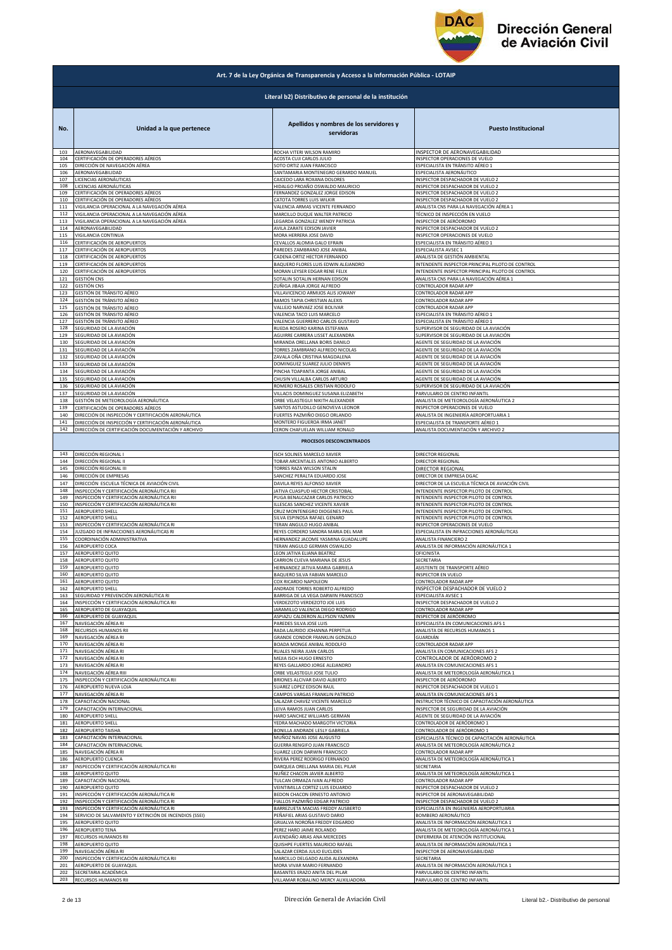

|            | Art. 7 de la Ley Orgánica de Transparencia y Acceso a la Información Pública - LOTAIP |                                                                                     |                                                                          |  |
|------------|---------------------------------------------------------------------------------------|-------------------------------------------------------------------------------------|--------------------------------------------------------------------------|--|
|            | Literal b2) Distributivo de personal de la institución                                |                                                                                     |                                                                          |  |
| No.<br>103 | Unidad a la que pertenece<br>AERONAVEGABILIDAD                                        | Apellidos y nombres de los servidores y<br>servidoras<br>ROCHA VITERI WILSON RAMIRO | <b>Puesto Institucional</b><br>INSPECTOR DE AERONAVEGABILIDAD            |  |
| 104        | CERTIFICACIÓN DE OPERADORES AÉREOS                                                    | ACOSTA CUJI CARLOS JULIO                                                            | INSPECTOR OPERACIONES DE VUELO<br>ESPECIALISTA EN TRÁNSITO AÉREO 1       |  |
| 105        | DIRECCIÓN DE NAVEGACIÓN AÉREA                                                         | SOTO ORTIZ JUAN FRANCISCO                                                           | ESPECIALISTA AERONÁUTICO                                                 |  |
| 106        | AERONAVEGABILIDAD                                                                     | SANTAMARIA MONTENEGRO GERARDO MANUEL                                                |                                                                          |  |
| 107        | LICENCIAS AERONÁUTICAS                                                                | CAICEDO LARA ROXANA DOLORES                                                         | INSPECTOR DESPACHADOR DE VUELO 2                                         |  |
| 108        | LICENCIAS AERONÁUTICAS                                                                | HIDALGO PROAÑO OSWALDO MAURICIO                                                     | INSPECTOR DESPACHADOR DE VUELO 2                                         |  |
| 109        | CERTIFICACIÓN DE OPERADORES AÉREOS                                                    | FERNANDEZ GONZALEZ JORGE EDISON                                                     | INSPECTOR DESPACHADOR DE VUELO 2                                         |  |
| 110        | CERTIFICACIÓN DE OPERADORES AÉREOS                                                    | CATOTA TORRES LUIS WILKIR                                                           | INSPECTOR DESPACHADOR DE VUELO 2                                         |  |
| 111        | VIGILANCIA OPERACIONAL A LA NAVEGACIÓN AÉREA                                          | VALENCIA ARMAS VICENTE FERNANDO                                                     | ANALISTA CNS PARA LA NAVEGACIÓN AÉREA 1                                  |  |
| 112        | VIGILANCIA OPERACIONAL A LA NAVEGACIÓN AÉREA                                          | MARCILLO DUQUE WALTER PATRICIO                                                      | TÉCNICO DE INSPECCIÓN EN VUELO                                           |  |
| 113<br>114 | VIGILANCIA OPERACIONAL A LA NAVEGACIÓN AÉREA                                          | LEGARDA GONZALEZ WENDY PATRICIA                                                     | INSPECTOR DE AERÓDROMO                                                   |  |
| 115        | AERONAVEGABILIDAD                                                                     | AVILA ZARATE EDISON JAVIER                                                          | INSPECTOR DESPACHADOR DE VUELO 2                                         |  |
|            | VIGILANCIA CONTINUA                                                                   | MORA HERRERA JOSE DAVID                                                             | INSPECTOR OPERACIONES DE VUELO                                           |  |
| 116        | CERTIFICACIÓN DE AEROPUERTOS                                                          | CEVALLOS ALOMIA GALO EFRAIN                                                         | ESPECIALISTA EN TRÁNSITO AÉREO 1                                         |  |
| 117        | CERTIFICACIÓN DE AEROPUERTOS                                                          | PAREDES ZAMBRANO JOSE ANIBAL                                                        | SPECIALISTA AVSEC 1                                                      |  |
| 118        | CERTIFICACIÓN DE AEROPUERTOS                                                          | CADENA ORTIZ HECTOR FERNANDO                                                        | ANALISTA DE GESTIÓN AMBIENTAL                                            |  |
| 119        | CERTIFICACIÓN DE AEROPUERTOS                                                          | BAQUERO FLORES LUIS EDWIN ALEJANDRO                                                 | INTENDENTE INSPECTOR PRINCIPAL PILOTO DE CONTROL                         |  |
| 120        | CERTIFICACIÓN DE AEROPUERTOS                                                          | MORAN LEYSER EDGAR RENE FELIX                                                       | INTENDENTE INSPECTOR PRINCIPAL PILOTO DE CONTROL                         |  |
| 121        | <b>GESTIÓN CNS</b>                                                                    | SOTALIN SOTALIN HERNAN EDISON                                                       | ANALISTA CNS PARA LA NAVEGACIÓN AÉREA 1                                  |  |
| 122        | <b>GESTIÓN CNS</b>                                                                    | ZUÑIGA JIBAJA JORGE ALFREDO                                                         | CONTROLADOR RADAR APP                                                    |  |
| 123        | GESTIÓN DE TRÁNSITO AÉREO                                                             | VILLAVICENCIO ARMIJOS ALIS JOWANY                                                   | CONTROLADOR RADAR APP                                                    |  |
| 124        | GESTIÓN DE TRÁNSITO AÉREO                                                             | RAMOS TAPIA CHRISTIAN ALEXIS                                                        | CONTROLADOR RADAR APP                                                    |  |
| 125        | GESTIÓN DE TRÁNSITO AÉREO                                                             | VALLEJO NARVAEZ JOSE BOLIVAR                                                        | CONTROLADOR RADAR APP                                                    |  |
| 126        | GESTIÓN DE TRÁNSITO AÉREO                                                             | VALENCIA TACO LUIS MARCELO                                                          | ESPECIALISTA EN TRÁNSITO AÉREO 1                                         |  |
| 127        | GESTIÓN DE TRÁNSITO AÉREO                                                             | VALENCIA GUERRERO CARLOS GUSTAVO                                                    | ESPECIALISTA EN TRÁNSITO AÉREO 1                                         |  |
| 128        | SEGURIDAD DE LA AVIACIÓN                                                              | RUEDA ROSERO KARINA ESTEFANIA                                                       | SUPERVISOR DE SEGURIDAD DE LA AVIACIÓN                                   |  |
| 129        | SEGURIDAD DE LA AVIACIÓN                                                              | AGUIRRE CARRERA LISSET ALEXANDRA                                                    | SUPERVISOR DE SEGURIDAD DE LA AVIACIÓN                                   |  |
| 130        | SEGURIDAD DE LA AVIACIÓN                                                              | MIRANDA ORELLANA BORIS DANILO                                                       | AGENTE DE SEGURIDAD DE LA AVIACIÓN                                       |  |
| 131        | SEGURIDAD DE LA AVIACIÓN                                                              | TORRES ZAMBRANO ALFREDO NICOLAS                                                     | AGENTE DE SEGURIDAD DE LA AVIACIÓN                                       |  |
| 132        | SEGURIDAD DE LA AVIACIÓN                                                              | ZAVALA OÑA CRISTINA MAGDALENA                                                       | AGENTE DE SEGURIDAD DE LA AVIACIÓN                                       |  |
| 133        | SEGURIDAD DE LA AVIACIÓN                                                              | DOMINGUEZ SUAREZ JULIO DENNYS                                                       | AGENTE DE SEGURIDAD DE LA AVIACIÓN                                       |  |
| 134        | SEGURIDAD DE LA AVIACIÓN                                                              | PINCHA TOAPANTA JORGE ANIBAL                                                        | AGENTE DE SEGURIDAD DE LA AVIACIÓN<br>AGENTE DE SEGURIDAD DE LA AVIACIÓN |  |
| 135        | SEGURIDAD DE LA AVIACIÓN                                                              | CHUSIN VILLALBA CARLOS ARTURO                                                       | SUPERVISOR DE SEGURIDAD DE LA AVIACIÓN                                   |  |
| 136        | SEGURIDAD DE LA AVIACIÓN                                                              | ROMERO ROSALES CRISTIAN RODOLFO                                                     |                                                                          |  |
| 137        | SEGURIDAD DE LA AVIACIÓN                                                              | VILLACIS DOMINGUEZ SUSANA ELIZABETH                                                 | PARVULARIO DE CENTRO INFANTIL                                            |  |
| 138        | GESTIÓN DE METEOROLOGÍA AERONÁUTICA                                                   | ORBE VELASTEGUI NIKITH ALEXANDER                                                    | ANALISTA DE METEOROLOGÍA AERONÁUTICA 2                                   |  |
| 139        | CERTIFICACIÓN DE OPERADORES AÉREOS                                                    | SANTOS ASTUDILLO GENOVEVA LEONOR                                                    | INSPECTOR OPERACIONES DE VUELO                                           |  |
| 140        | DIRECCIÓN DE INSPECCIÓN Y CERTIFICACIÓN AERONÁUTICA                                   | FUERTES PAZMIÑO DIEGO ORLANDO                                                       | ANALISTA DE INGENIERÍA AEROPORTUARIA 1                                   |  |
| 141        | DIRECCIÓN DE INSPECCIÓN Y CERTIFICACIÓN AERONÁUTICA                                   | MONTERO FIGUEROA IRMA JANET                                                         | ESPECIALISTA DE TRANSPORTE AÉREO 1                                       |  |
| 142        | DIRECCIÓN DE CERTIFICACIÓN DOCUMENTACIÓN Y ARCHIVO                                    | CERON CHAFUELAN WILLIAM RONALD<br>PROCESOS DESCONCENTRADOS                          | ANALISTA DOCUMENTACIÓN Y ARCHIVO 2                                       |  |
| 143        | DIRECCIÓN REGIONAL I                                                                  | ISCH SOLINES MARCELO XAVIER                                                         | DIRECTOR REGIONAL                                                        |  |
| 144        | DIRECCIÓN REGIONAL II                                                                 | TOBAR ARCENTALES ANTONIO ALBERTO                                                    | DIRECTOR REGIONAL                                                        |  |
| 145        | DIRECCIÓN REGIONAL III                                                                | TORRES RAZA WILSON STALIN                                                           | DIRECTOR REGIONAL                                                        |  |
| 146        | DIRECCIÓN DE EMPRESAS                                                                 | SANCHEZ PERALTA EDUARDO JOSE                                                        | DIRECTOR DE EMPRESA DGAC                                                 |  |
| 147        | DIRECCIÓN ESCUELA TÉCNICA DE AVIACIÓN CIVIL                                           | DAVILA REYES ALFONSO XAVIER                                                         | DIRECTOR DE LA ESCUELA TÉCNICA DE AVIACIÓN CIVIL                         |  |
| 148        | INSPECCIÓN Y CERTIFICACIÓN AERONÁUTICA RII                                            | JATIVA CUASPUD HECTOR CRISTOBAL                                                     | INTENDENTE INSPECTOR PILOTO DE CONTROL                                   |  |
| 149        | INSPECCIÓN Y CERTIFICACIÓN AERONÁUTICA RII                                            | PUGA BENALCAZAR CARLOS PATRICIO                                                     | INTENDENTE INSPECTOR PILOTO DE CONTROL                                   |  |
| 150        | INSPECCIÓN Y CERTIFICACIÓN AERONÁUTICA RII                                            | ILLESCAS SANCHEZ VICENTE XAVIER                                                     | INTENDENTE INSPECTOR PILOTO DE CONTROL                                   |  |
| 151        | <b>AEROPUERTO SHELL</b>                                                               | CRUZ MONTENEGRO DIOGENES PAUL                                                       | INTENDENTE INSPECTOR PILOTO DE CONTROL                                   |  |
| 152        | AEROPUERTO SHELL                                                                      | SILVA ESPINOSA RAFAEL GENARO                                                        | INTENDENTE INSPECTOR PILOTO DE CONTROL                                   |  |
| 153        | INSPECCIÓN Y CERTIFICACIÓN AERONÁUTICA RI                                             | TERAN ANGULO HUGO ANIBAL                                                            | INSPECTOR OPERACIONES DE VUELO                                           |  |
| 154        | JUZGADO DE INFRACCIONES AERONÁUTICAS RI                                               | REYES CORDERO SANDRA MARIA DEL MAR                                                  | ESPECIALISTA EN INFRACCIONES AERONÁUTICAS                                |  |
| 155        | COORDINACIÓN ADMINISTRATIVA                                                           | HERNANDEZ JACOME YASMINA GUADALUPE                                                  | ANALISTA FINANCIERO 2                                                    |  |
| 156        | AEROPUERTO COCA                                                                       | TERAN ANGULO GERMAN OSWALDO                                                         | ANALISTA DE INFORMACIÓN AERONÁUTICA 1                                    |  |
| 157        | AEROPUERTO QUITO                                                                      | LEON JATIVA ELIANA BEATRIZ                                                          | OFICINISTA                                                               |  |
| 158        | AEROPUERTO QUITO                                                                      | CARRION CUEVA MARIANA DE JESUS                                                      | SECRETARIA                                                               |  |
| 159        | <b>AEROPUERTO QUITO</b>                                                               | HERNANDEZ JATIVA MARIA GABRIELA                                                     | ASISTENTE DE TRANSPORTE AÉREO                                            |  |
| 16U        | AEROPUERTO QUITO                                                                      | BAQUERO SILVA FABIAN MAR                                                            | NSPECTOR EN VUELG                                                        |  |
| 161        | AEROPUERTO QUITO                                                                      | COX RICARDO NAPOLEON                                                                | CONTROLADOR RADAR APP                                                    |  |
| 162        | <b>AEROPUERTO SHELL</b>                                                               | ANDRADE TORRES ROBERTO ALFREDO                                                      | INSPECTOR DESPACHADOR DE VUELO 2                                         |  |
| 163        | SEGURIDAD Y PREVENCIÓN AERONÁUTICA RI                                                 | BARRIGA DE LA VEGA DARWIN FRANCISCO                                                 | ESPECIALISTA AVSEC 1                                                     |  |
| 164        | INSPECCIÓN Y CERTIFICACIÓN AERONÁUTICA RII                                            | VERDEZOTO VERDEZOTO JOE LUIS                                                        | INSPECTOR DESPACHADOR DE VUELO 2                                         |  |
| 165        | AEROPUERTO DE GUAYAQUIL                                                               | JARAMILLO VALENCIA DIEGO RODRIGO                                                    | CONTROLADOR RADAR APP                                                    |  |
| 166        | AEROPUERTO DE GUAYAQUIL                                                               | ASPIAZU CALDERON ALLYSON YAZMIN                                                     | INSPECTOR DE AERÓDROMO                                                   |  |
| 167        | NAVEGACIÓN AÉREA RI                                                                   | PAREDES SILVA JOSE LUIS                                                             | ESPECIALISTA EN COMUNICACIONES AFS 1                                     |  |
| 168        | RECURSOS HUMANOS RII                                                                  | RADA LAURIDO JOHANNA PERPETUA                                                       | ANALISTA DE RECURSOS HUMANOS 1                                           |  |
| 169        | NAVEGACIÓN AÉREA RI                                                                   | GRANDE CONDOR FRANKLIN GONZALO                                                      | GUARDIÁN                                                                 |  |
| 170        | NAVEGACIÓN AÉREA RI                                                                   | BOADA MONGE ANIBAL RODOLFO                                                          | CONTROLADOR RADAR APP                                                    |  |
| 171        | NAVEGACIÓN AÉREA RI                                                                   | RUALES NEIRA JUAN CARLOS                                                            | ANALISTA EN COMUNICACIONES AFS 2                                         |  |
| 172        | NAVEGACIÓN AÉREA RI                                                                   | MEJIA ISCH HUGO ERNESTO                                                             | CONTROLADOR DE AERÓDROMO 2                                               |  |
| 173        | NAVEGACIÓN AÉREA RI                                                                   | REYES GALLARDO JORGE ALEJANDRO                                                      | ANALISTA EN COMUNICACIONES AFS 1                                         |  |
| 174        | NAVEGACIÓN AÉREA RIII                                                                 | ORBE VELASTEGUI JOSE TULIO                                                          | ANALISTA DE METEOROLOGÍA AERONÁUTICA 1                                   |  |
| 175        | INSPECCIÓN Y CERTIFICACIÓN AERONÁUTICA RII                                            | BRIONES ALCIVAR DAVID ALBERTO                                                       | INSPECTOR DE AERÓDROMO                                                   |  |
| 176        | AEROPUERTO NUEVA LOJA                                                                 | SUAREZ LOPEZ EDISON RAUL                                                            | INSPECTOR DESPACHADOR DE VUELO 1                                         |  |
| 177        | NAVEGACIÓN AÉREA RI                                                                   | CAMPOS VARGAS FRANKLIN PATRICIO                                                     | ANALISTA EN COMUNICACIONES AFS 1                                         |  |
| 178        | CAPACITACIÓN NACIONAL                                                                 | SALAZAR CHAVEZ VICENTE MARCELO                                                      | INSTRUCTOR TÉCNICO DE CAPACITACIÓN AERONÁUTICA                           |  |
| 179        | CAPACITACIÓN INTERNACIONAL                                                            | LEIVA RAMOS JUAN CARLOS                                                             | INSPECTOR DE SEGURIDAD DE LA AVIACIÓN                                    |  |
| 180        | AEROPUERTO SHELL                                                                      | HARO SANCHEZ WILLIAMS GERMAN                                                        | AGENTE DE SEGURIDAD DE LA AVIACIÓN                                       |  |
| 181        | <b>AEROPUERTO SHELL</b>                                                               | YEDRA MACHADO MARGOTH VICTORIA                                                      | CONTROLADOR DE AERÓDROMO 1                                               |  |
| 182        | AEROPUERTO TAISHA                                                                     | BONILLA ANDRADE LESLY GABRIELA                                                      | CONTROLADOR DE AERÓDROMO 1                                               |  |
| 183        | CAPACITACIÓN INTERNACIONAL                                                            | MUÑOZ NAVAS JOSE AUGUSTO                                                            | ESPECIALISTA TÉCNICO DE CAPACITACIÓN AERONÁUTICA                         |  |
| 184        | CAPACITACIÓN INTERNACIONAL                                                            | GUERRA RENGIFO JUAN FRANCISCO                                                       | ANALISTA DE METEOROLOGÍA AERONÁUTICA 2                                   |  |
| 185        | NAVEGACIÓN AÉREA RI                                                                   | SUAREZ LEON DARWIN FRANCISCO                                                        | CONTROLADOR RADAR APP                                                    |  |
| 186        | AEROPUERTO CUENCA                                                                     | RIVERA PEREZ RODRIGO FERNANDO                                                       | ANALISTA DE METEOROLOGÍA AERONÁUTICA 1                                   |  |
| 187        | INSPECCIÓN Y CERTIFICACIÓN AERONÁUTICA RII                                            | DARQUEA ORELLANA MARIA DEL PILAR                                                    | SECRETARIA                                                               |  |
| 188        | AEROPUERTO QUITO                                                                      | NUÑEZ CHACON JAVIER ALBERTO                                                         | ANALISTA DE METEOROLOGÍA AERONÁUTICA 1                                   |  |
| 189        | CAPACITACIÓN NACIONAL                                                                 | TULCAN ORMAZA IVAN ALFREDO                                                          | CONTROLADOR RADAR APP                                                    |  |
| 190        | AEROPUERTO QUITO                                                                      | VEINTIMILLA CORTEZ LUIS EDUARDO                                                     | INSPECTOR DESPACHADOR DE VUELO 2                                         |  |
| 191        | INSPECCIÓN Y CERTIFICACIÓN AERONÁUTICA RI                                             | BEDON CHACON ERNESTO ANTONIO                                                        | INSPECTOR DE AERONAVEGABILIDAD                                           |  |
| 192        | NSPECCIÓN Y CERTIFICACIÓN AERONÁUTICA RI                                              | FIALLOS PAZMIÑO EDGAR PATRICIO                                                      | NSPECTOR DESPACHADOR DE VUELO 2                                          |  |
| 193        | NSPECCIÓN Y CERTIFICACIÓN AERONÁUTICA RI                                              | BARREZUETA MACIAS FREDDY AUSBERTO                                                   | ESPECIALISTA EN INGENIERÍA AEROPORTUARIA                                 |  |
| 194        | SERVICIO DE SALVAMENTO Y EXTINCIÓN DE INCENDIOS (SSEI)                                | PEÑAFIEL ARIAS GUSTAVO DARIO                                                        | BOMBERO AERONÁUTICO                                                      |  |
| 195        | AEROPUERTO QUITO                                                                      | GRIJALVA NOROÑA FREDDY EDGARDO                                                      | ANALISTA DE INFORMACIÓN AERONÁUTICA 1                                    |  |
| 196        | AEROPUERTO TENA                                                                       | PEREZ HARO JAIME ROLANDO                                                            | ANALISTA DE METEOROLOGÍA AERONÁUTICA 1                                   |  |
| 197        | RECURSOS HUMANOS RII                                                                  | AVENDAÑO ARIAS ANA MERCEDES                                                         | ENFERMERA DE ATENCIÓN INSTITUCIONAL                                      |  |
| 198        | AEROPUERTO QUITO                                                                      | QUISHPE FUERTES MAURICIO RAFAEL                                                     | ANALISTA DE INFORMACIÓN AERONÁUTICA 1                                    |  |
| 199        | NAVEGACIÓN AÉREA RI                                                                   | SALAZAR CERDA JULIO EUCLIDES                                                        | INSPECTOR DE AERONAVEGABILIDAD                                           |  |
| 200        | INSPECCIÓN Y CERTIFICACIÓN AERONÁUTICA RII                                            | MARCILLO DELGADO ALIDA ALEXANDRA                                                    | SECRETARIA                                                               |  |
| 201        | AEROPUERTO DE GUAYAQUIL                                                               | MORA VIVAR MARIO FERNANDO                                                           | ANALISTA DE INFORMACIÓN AERONÁUTICA 1                                    |  |
| 202        | SECRETARIA ACADÉMICA                                                                  | BASANTES ERAZO ANITA DEL PILAR                                                      | PARVULARIO DE CENTRO INFANTIL                                            |  |
| 203        | RECURSOS HUMANOS RII                                                                  | VILLAMAR ROBALINO MERCY AUXILIADORA                                                 | PARVULARIO DE CENTRO INFANTIL                                            |  |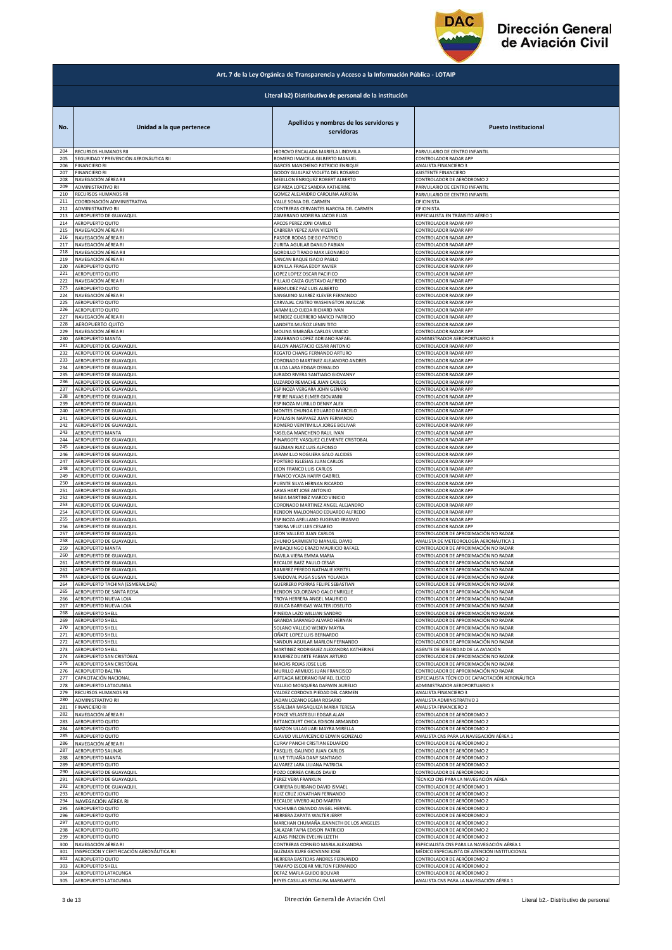

|     | Art. 7 de la Ley Orgánica de Transparencia y Acceso a la Información Pública - LOTAIP |                                                       |                                                  |  |
|-----|---------------------------------------------------------------------------------------|-------------------------------------------------------|--------------------------------------------------|--|
|     | Literal b2) Distributivo de personal de la institución                                |                                                       |                                                  |  |
| No. | Unidad a la que pertenece                                                             | Apellidos y nombres de los servidores y<br>servidoras | <b>Puesto Institucional</b>                      |  |
| 204 | RECURSOS HUMANOS RII                                                                  | HIDROVO ENCALADA MARIELA LINDMILA                     | PARVULARIO DE CENTRO INFANTIL                    |  |
| 205 | SEGURIDAD Y PREVENCIÓN AERONÁUTICA RII                                                | ROMERO IMAICELA GILBERTO MANUEL                       | CONTROLADOR RADAR APP                            |  |
| 206 | <b>FINANCIERO RI</b>                                                                  | GARCES MANCHENO PATRICIO ENRIQUE                      | ANALISTA FINANCIERO 3                            |  |
| 207 | <b>FINANCIERO RI</b>                                                                  | GODOY GUALPAZ VIOLETA DEL ROSARIO                     | ASISTENTE FINANCIERO                             |  |
| 208 | NAVEGACIÓN AÉREA RII                                                                  | MEJILLON ENRIQUEZ ROBERT ALBERTO                      | CONTROLADOR DE AERÓDROMO 2                       |  |
| 209 | ADMINISTRATIVO RII                                                                    | ESPARZA LOPEZ SANDRA KATHERINE                        | PARVULARIO DE CENTRO INFANTIL                    |  |
| 210 | RECURSOS HUMANOS RII                                                                  | GOMEZ ALEJANDRO CAROLINA AURORA                       | PARVULARIO DE CENTRO INFANTIL                    |  |
| 211 | COORDINACIÓN ADMINISTRATIVA                                                           | VALLE SONIA DEL CARMEN                                | OFICINISTA                                       |  |
| 212 | ADMINISTRATIVO RII                                                                    | CONTRERAS CERVANTES NARCISA DEL CARMEN                | OFICINISTA                                       |  |
| 213 | AEROPUERTO DE GUAYAQUIL                                                               | ZAMBRANO MOREIRA JACOB ELIAS                          | ESPECIALISTA EN TRÁNSITO AÉREO 1                 |  |
| 214 | AEROPUERTO QUITO                                                                      | ARCOS PEREZ JONI CAMILO                               | CONTROLADOR RADAR APP                            |  |
| 215 | NAVEGACIÓN AÉREA RI                                                                   | CABRERA YEPEZ JUAN VICENTE                            | CONTROLADOR RADAR APP                            |  |
| 216 | NAVEGACIÓN AÉREA RI                                                                   | PASTOR RODAS DIEGO PATRICIO                           | CONTROLADOR RADAR APP                            |  |
| 217 | NAVEGACIÓN AÉREA RI                                                                   | ZURITA AGUILAR DANILO FABIAN                          | CONTROLADOR RADAR APP                            |  |
| 218 | NAVEGACIÓN AÉREA RII                                                                  | GORDILLO TIRADO MAX LEONARDO                          | CONTROLADOR RADAR APP                            |  |
| 219 | NAVEGACIÓN AÉREA RI                                                                   | SANCAN BAQUE ISACIO PABLO                             | CONTROLADOR RADAR APP                            |  |
| 220 | <b>AEROPUERTO QUITO</b>                                                               | BONILLA FRAGA EDDY XAVIER                             | CONTROLADOR RADAR APP                            |  |
| 221 | <b>AEROPUERTO QUITO</b>                                                               | LOPEZ LOPEZ OSCAR PACIFICO                            | CONTROLADOR RADAR APP                            |  |
| 222 | NAVEGACIÓN AÉREA RI                                                                   | PILLAJO CAIZA GUSTAVO ALFREDO                         | CONTROLADOR RADAR APP                            |  |
| 223 | <b>AEROPUERTO QUITO</b>                                                               | BERMUDEZ PAZ LUIS ALBERTO                             | CONTROLADOR RADAR APP                            |  |
| 224 | NAVEGACIÓN AÉREA RI                                                                   | SANGUINO SUAREZ KLEVER FERNANDO                       | CONTROLADOR RADAR APP                            |  |
| 225 | AEROPUERTO QUITO                                                                      | CARVAJAL CASTRO WASHINGTON AMILCAR                    | CONTROLADOR RADAR APP                            |  |
| 226 | AEROPUERTO QUITO                                                                      | JARAMILLO OJEDA RICHARD IVAN                          | CONTROLADOR RADAR APP                            |  |
| 227 | NAVEGACIÓN AÉREA RI                                                                   | MENDEZ GUERRERO MARCO PATRICIO                        | CONTROLADOR RADAR APP                            |  |
| 228 | <b>AEROPUERTO QUITO</b>                                                               | LANDETA MUÑOZ LENIN TITO                              | CONTROLADOR RADAR APP                            |  |
| 229 | NAVEGACIÓN AÉREA RI                                                                   | MOLINA SIMBAÑA CARLOS VINICIO                         | CONTROLADOR RADAR APP                            |  |
| 230 | AEROPUERTO MANTA                                                                      | ZAMBRANO LOPEZ ADRIANO RAFAEL                         | ADMINISTRADOR AEROPORTUARIO 3                    |  |
| 231 | AEROPUERTO DE GUAYAQUIL                                                               | BALON ANASTACIO CESAR ANTONIO                         | CONTROLADOR RADAR APP                            |  |
| 232 | AEROPUERTO DE GUAYAQUIL                                                               | REGATO CHANG FERNANDO ARTURO                          | CONTROLADOR RADAR APP                            |  |
| 233 | AEROPUERTO DE GUAYAQUIL                                                               | CORONADO MARTINEZ ALEJANDRO ANDRES                    | CONTROLADOR RADAR APP                            |  |
| 234 | AEROPUERTO DE GUAYAQUIL                                                               | ULLOA LARA EDGAR OSWALDO                              | CONTROLADOR RADAR APP                            |  |
| 235 | <b>AEROPUERTO DE GUAYAQUIL</b>                                                        | JURADO RIVERA SANTIAGO GIOVANNY                       | CONTROLADOR RADAR APP                            |  |
| 236 | AEROPUERTO DE GUAYAQUIL                                                               | LUZARDO REMACHE JUAN CARLOS                           | CONTROLADOR RADAR APP                            |  |
| 237 | AEROPUERTO DE GUAYAQUIL                                                               | ESPINOZA VERGARA JOHN GENARO                          | CONTROLADOR RADAR APP                            |  |
| 238 | AEROPUERTO DE GUAYAQUIL                                                               | FREIRE NAVAS ELMER GIOVANNI                           | CONTROLADOR RADAR APP                            |  |
| 239 | AEROPUERTO DE GUAYAQUIL                                                               | ESPINOZA MURILLO DENNY ALEX                           | CONTROLADOR RADAR APP                            |  |
| 240 | AEROPUERTO DE GUAYAQUIL                                                               | MONTES CHUNGA EDUARDO MARCELO                         | CONTROLADOR RADAR APP                            |  |
| 241 | AEROPUERTO DE GUAYAQUIL                                                               | POALASIN NARVAEZ JUAN FERNANDO                        | CONTROLADOR RADAR APP                            |  |
| 242 | AEROPUERTO DE GUAYAQUIL                                                               | ROMERO VEINTIMILLA JORGE BOLIVAR                      | CONTROLADOR RADAR APP                            |  |
| 243 | <b>AEROPUERTO MANTA</b>                                                               | YASELGA MANCHENO RAUL IVAN                            | CONTROLADOR RADAR APP                            |  |
| 244 | AEROPUERTO DE GUAYAQUIL                                                               | PINARGOTE VASQUEZ CLEMENTE CRISTOBAL                  | CONTROLADOR RADAR APP                            |  |
| 245 | AEROPUERTO DE GUAYAQUIL                                                               | GUZMAN RUIZ LUIS ALFONSO                              | CONTROLADOR RADAR APP                            |  |
| 246 | AEROPUERTO DE GUAYAQUIL                                                               | JARAMILLO NOGUERA GALO ALCIDES                        | CONTROLADOR RADAR APP                            |  |
| 247 | AEROPUERTO DE GUAYAQUIL                                                               | PORTERO IGLESIAS JUAN CARLOS                          | CONTROLADOR RADAR APP                            |  |
| 248 | AEROPUERTO DE GUAYAQUIL                                                               | LEON FRANCO LUIS CARLOS                               | CONTROLADOR RADAR APP                            |  |
| 249 | AEROPUERTO DE GUAYAQUIL                                                               | FRANCO YCAZA HARRY GABRIEL                            | CONTROLADOR RADAR APP                            |  |
| 250 | AEROPUERTO DE GUAYAQUIL                                                               | PUENTE SILVA HERNAN RICARDO                           | CONTROLADOR RADAR APP                            |  |
| 251 | AEROPUERTO DE GUAYAQUIL                                                               | ARIAS HART JOSE ANTONIO                               | CONTROLADOR RADAR APP                            |  |
| 252 | AEROPUERTO DE GUAYAQUIL                                                               | MEJIA MARTINEZ MARCO VINICIO                          | CONTROLADOR RADAR APP                            |  |
| 253 | AEROPUERTO DE GUAYAQUIL                                                               | CORONADO MARTINEZ ANGEL ALEJANDRO                     | CONTROLADOR RADAR APP                            |  |
| 254 | AEROPUERTO DE GUAYAQUIL                                                               | RENDON MALDONADO EDUARDO ALFREDO                      | CONTROLADOR RADAR APP                            |  |
| 255 | AEROPUERTO DE GUAYAQUIL                                                               | ESPINOZA ARELLANO EUGENIO ERASMO                      | CONTROLADOR RADAR APP                            |  |
| 256 | AEROPUERTO DE GUAYAQUIL                                                               | TARIRA VELIZ LUIS CESAREO                             | CONTROLADOR RADAR APP                            |  |
| 257 | AEROPUERTO DE GUAYAQUIL                                                               | LEON VALLEJO JUAN CARLOS                              | CONTROLADOR DE APROXIMACIÓN NO RADAR             |  |
| 258 | AEROPUERTO DE GUAYAQUIL                                                               | ZHUNIO SARMIENTO MANUEL DAVID                         | ANALISTA DE METEOROLOGÍA AERONÁUTICA 1           |  |
| 259 | AEROPUERTO MANTA                                                                      | IMBAQUINGO ERAZO MAURICIO RAFAEL                      | CONTROLADOR DE APROXIMACIÓN NO RADAR             |  |
| 260 | AEROPUERTO DE GUAYAQUIL                                                               | DAVILA VIERA EMMA MARIA                               | CONTROLADOR DE APROXIMACIÓN NO RADAR             |  |
| 261 | AEROPUERTO DE GUAYAQUIL                                                               | RECALDE BAEZ PAULO CESAR                              | CONTROLADOR DE APROXIMACIÓN NO RADAR             |  |
| 262 | AFROPLIERTO DE GUAYAOUIL                                                              | RAMIREZ PEREDO NATHALIE KRISTEI                       | CONTROLADOR DE APROXIMACIÓN NO RADAR             |  |
| 263 | AEROPUERTO DE GUAYAQUIL                                                               | SANDOVAL PUGA SUSAN YOLANDA                           | CONTROLADOR DE APROXIMACIÓN NO RADAR             |  |
| 264 | AEROPUERTO TACHINA (ESMERALDAS)                                                       | <b>GUERRERO PORRAS FELIPE SEBASTIAN</b>               | CONTROLADOR DE APROXIMACIÓN NO RADAR             |  |
| 265 | AEROPUERTO DE SANTA ROSA                                                              | RENDON SOLORZANO GALO ENRIQUE                         | CONTROLADOR DE APROXIMACIÓN NO RADAR             |  |
| 266 | AEROPUERTO NUEVA LOJA                                                                 | TROYA HERRERA ANGEL MAURICIO                          | CONTROLADOR DE APROXIMACIÓN NO RADAR             |  |
| 267 | AEROPUERTO NUEVA LOJA                                                                 | GUILCA BARRIGAS WALTER JOSELITO                       | CONTROLADOR DE APROXIMACIÓN NO RADAR             |  |
| 268 | AEROPUERTO SHELL                                                                      | PINEIDA LAZO WILLIAN SANDRO                           | CONTROLADOR DE APROXIMACIÓN NO RADAR             |  |
| 269 | AEROPUERTO SHELL                                                                      | GRANDA SARANGO ALVARO HERNAN                          | CONTROLADOR DE APROXIMACIÓN NO RADAR             |  |
| 270 | AEROPUERTO SHELL                                                                      | SOLANO VALLEJO WENDY MAYRA                            | CONTROLADOR DE APROXIMACIÓN NO RADAR             |  |
| 271 | <b>AEROPUERTO SHELL</b>                                                               | OÑATE LOPEZ LUIS BERNARDO                             | CONTROLADOR DE APROXIMACIÓN NO RADAR             |  |
| 272 | <b>AEROPUERTO SHELL</b>                                                               | YANDUN AGUILAR MARLON FERNANDO                        | CONTROLADOR DE APROXIMACIÓN NO RADAR             |  |
| 273 | <b>AEROPUERTO SHELL</b>                                                               | MARTINEZ RODRIGUEZ ALEXANDRA KATHERINE                | AGENTE DE SEGURIDAD DE LA AVIACIÓN               |  |
| 274 | AEROPUERTO SAN CRISTÓBAL                                                              | RAMIREZ DUARTE FABIAN ARTURO                          | CONTROLADOR DE APROXIMACIÓN NO RADAR             |  |
| 275 | AEROPUERTO SAN CRISTÓBAL                                                              | MACIAS ROJAS JOSE LUIS                                | CONTROLADOR DE APROXIMACIÓN NO RADAR             |  |
| 276 | AEROPUERTO BALTRA                                                                     | MURILLO ARMIJOS JUAN FRANCISCO                        | CONTROLADOR DE APROXIMACIÓN NO RADAR             |  |
| 277 | CAPACITACIÓN NACIONAL                                                                 | ARTEAGA MEDRANO RAFAEL ELICEO                         | ESPECIALISTA TÉCNICO DE CAPACITACIÓN AERONÁUTICA |  |
| 278 | AEROPUERTO LATACUNGA                                                                  | VALLEJO MOSQUERA DARWIN AURELIO                       | ADMINISTRADOR AEROPORTUARIO 3                    |  |
| 279 | RECURSOS HUMANOS RII                                                                  | VALDEZ CORDOVA PIEDAD DEL CARMEN                      | ANALISTA FINANCIERO 3                            |  |
| 280 | ADMINISTRATIVO RII                                                                    | JADAN LOZANO EGMA ROSARIO                             | ANALISTA ADMINISTRATIVO 3                        |  |
| 281 | <b>FINANCIERO RI</b>                                                                  | SISALEMA MASAQUIZA MARIA TERESA                       | ANALISTA FINANCIERO 2                            |  |
| 282 | NAVEGACIÓN AÉREA RI                                                                   | PONCE VELASTEGUI EDGAR ALAN                           | CONTROLADOR DE AERÓDROMO 2                       |  |
| 283 | AEROPUERTO QUITO                                                                      | BETANCOURT CHICA EDISON ARMANDO                       | CONTROLADOR DE AERÓDROMO 2                       |  |
| 284 | AEROPUERTO QUITO                                                                      | GARZON ULLAGUARI MAYRA MIRELLA                        | CONTROLADOR DE AERÓDROMO 2                       |  |
| 285 | AEROPUERTO QUITO                                                                      | CLAVIJO VILLAVICENCIO EDWIN GONZALO                   | ANALISTA CNS PARA LA NAVEGACIÓN AÉREA 1          |  |
| 286 | NAVEGACIÓN AÉREA RI                                                                   | CURAY PANCHI CRISTIAN EDUARDO                         | CONTROLADOR DE AERÓDROMO 2                       |  |
| 287 | AEROPUERTO SALINAS                                                                    | PASQUEL GALINDO JUAN CARLOS                           | CONTROLADOR DE AERÓDROMO 2                       |  |
| 288 | <b>AEROPUERTO MANTA</b>                                                               | LLIVE TITUAÑA DANY SANTIAGO                           | CONTROLADOR DE AERÓDROMO 2                       |  |
| 289 | AEROPUERTO QUITO                                                                      | ALVAREZ LARA LILIANA PATRICIA                         | CONTROLADOR DE AERÓDROMO 2                       |  |
| 290 | AEROPUERTO DE GUAYAQUIL                                                               | POZO CORREA CARLOS DAVID                              | CONTROLADOR DE AERÓDROMO 2                       |  |
| 291 | AEROPUERTO DE GUAYAQUIL                                                               | PEREZ VERA FRANKLIN                                   | TÉCNICO CNS PARA LA NAVEGACIÓN AÉREA             |  |
| 292 | AEROPUERTO DE GUAYAQUIL                                                               | CARRERA BURBANO DAVID ISMAEL                          | CONTROLADOR DE AERÓDROMO 1                       |  |
| 293 | AEROPUERTO QUITO                                                                      | RUIZ CRUZ JONATHAN FERNANDO                           | CONTROLADOR DE AERÓDROMO 2                       |  |
| 294 | NAVEGACIÓN AÉREA RI                                                                   | RECALDE VIVERO ALDO MARTIN                            | CONTROLADOR DE AERÓDROMO 2                       |  |
| 295 | AEROPUERTO QUITO                                                                      | YACHIMBA OBANDO ANGEL HERMEL                          | CONTROLADOR DE AERÓDROMO 2                       |  |
| 296 | AEROPUERTO QUITO                                                                      | HERRERA ZAPATA WALTER JERRY                           | CONTROLADOR DE AERÓDROMO 2                       |  |
| 297 | AEROPUERTO QUITO                                                                      | MARCHAN CHUMAÑA JEANNETH DE LOS ANGELES               | CONTROLADOR DE AERÓDROMO 2                       |  |
| 298 | AEROPUERTO QUITO                                                                      | SALAZAR TAPIA EDISON PATRICIO                         | CONTROLADOR DE AERÓDROMO 2                       |  |
| 299 | AEROPUERTO QUITO                                                                      | ALDAS PINZON EVELYN LIZETH                            | CONTROLADOR DE AERÓDROMO 2                       |  |
| 300 | NAVEGACIÓN AÉREA RI                                                                   | CONTRERAS CORNEJO MARIA ALEXANDRA                     | ESPECIALISTA CNS PARA LA NAVEGACIÓN AÉREA 1      |  |
| 301 | INSPECCIÓN Y CERTIFICACIÓN AERONÁUTICA RII                                            | <b>GUZMAN KURE GIOVANNI JOSE</b>                      | MÉDICO ESPECIALISTA DE ATENCIÓN INSTITUCIONAL    |  |
| 302 | <b>AEROPUERTO QUITO</b>                                                               | HERRERA BASTIDAS ANDRES FERNANDO                      | CONTROLADOR DE AERÓDROMO 2                       |  |
| 303 | <b>AEROPUERTO SHELL</b>                                                               | TAMAYO ESCOBAR MILTON FERNANDO                        | CONTROLADOR DE AERÓDROMO 2                       |  |
| 304 | AEROPUERTO LATACUNGA                                                                  | DEFAZ MAFLA GUIDO BOLIVAR                             | CONTROLADOR DE AERÓDROMO 2                       |  |
| 305 | AEROPUERTO LATACUNGA                                                                  | REYES CASILLAS ROSAURA MARGARITA                      | ANALISTA CNS PARA LA NAVEGACIÓN AÉREA 1          |  |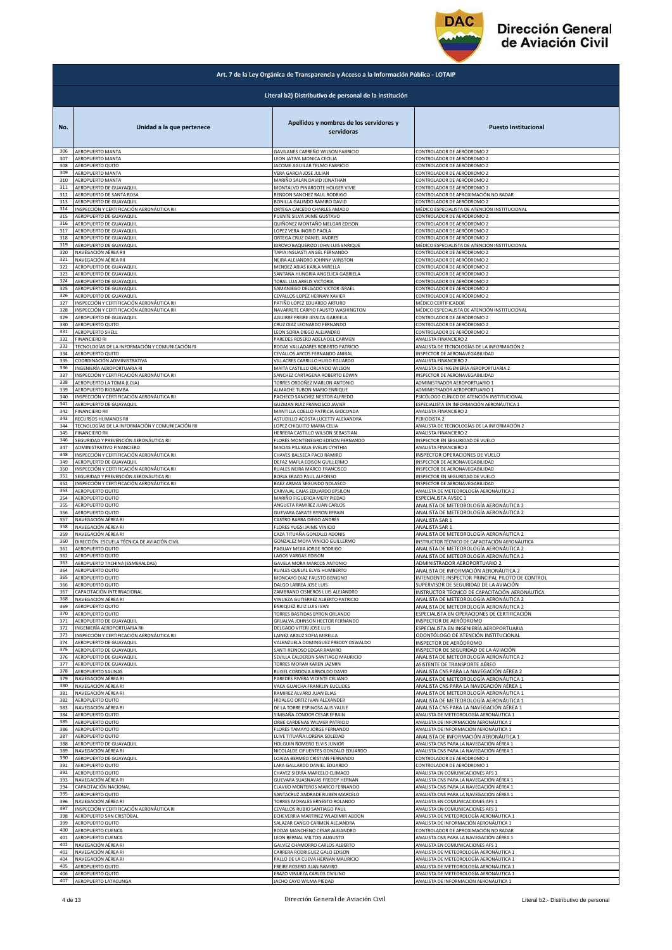

|            | Art. 7 de la Ley Orgánica de Transparencia y Acceso a la Información Pública - LOTAIP |                                                                                            |                                                                                   |  |
|------------|---------------------------------------------------------------------------------------|--------------------------------------------------------------------------------------------|-----------------------------------------------------------------------------------|--|
|            | Literal b2) Distributivo de personal de la institución                                |                                                                                            |                                                                                   |  |
| No.<br>306 | Unidad a la que pertenece<br>AEROPUERTO MANTA                                         | Apellidos y nombres de los servidores y<br>servidoras<br>GAVILANES CARREÑO WILSON FABRICIO | <b>Puesto Institucional</b><br>CONTROLADOR DE AERÓDROMO 2                         |  |
| 307        | AEROPUERTO MANTA                                                                      | LEON JATIVA MONICA CECILIA                                                                 | CONTROLADOR DE AERÓDROMO 2                                                        |  |
| 308        | AEROPUERTO QUITO                                                                      | JACOME AGUILAR TELMO FABRICIO                                                              | CONTROLADOR DE AERÓDROMO 2                                                        |  |
| 309        | <b>AEROPUERTO MANTA</b>                                                               | VERA GARCIA JOSE JULIAN                                                                    | CONTROLADOR DE AERÓDROMO 2                                                        |  |
| 310        | AEROPUERTO MANTA                                                                      | MARIÑO SALAN DAVID JONATHAN                                                                | CONTROLADOR DE AERÓDROMO 2                                                        |  |
| 311        | AEROPUERTO DE GUAYAQUIL                                                               | MONTALVO PINARGOTE HOLGER VIVIE                                                            | CONTROLADOR DE AERÓDROMO 2                                                        |  |
| 312        | AEROPUERTO DE SANTA ROSA                                                              | RENDON SANCHEZ RAUL RODRIGO                                                                | CONTROLADOR DE APROXIMACIÓN NO RADAR                                              |  |
| 313        | AEROPUERTO DE GUAYAQUIL                                                               | BONILLA GALINDO RAMIRO DAVID                                                               | CONTROLADOR DE AERÓDROMO 2                                                        |  |
| 314        | INSPECCIÓN Y CERTIFICACIÓN AERONÁUTICA RII                                            | ORTEGA CAICEDO CHARLES AMADO                                                               | MÉDICO ESPECIALISTA DE ATENCIÓN INSTITUCIONAL                                     |  |
| 315        | AEROPUERTO DE GUAYAQUIL                                                               | PUENTE SILVA JAIME GUSTAVO                                                                 | CONTROLADOR DE AERÓDROMO 2                                                        |  |
| 316        | AEROPUERTO DE GUAYAQUIL                                                               | QUIÑONEZ MONTAÑO MELGAR EDISON<br>LOPEZ VERA INGRID PAOLA                                  | CONTROLADOR DE AERÓDROMO 2<br>CONTROLADOR DE AERÓDROMO 2                          |  |
| 317<br>318 | AEROPUERTO DE GUAYAQUIL<br>AEROPUERTO DE GUAYAQUIL                                    | ORTEGA CRUZ DANIEL ANDRES                                                                  | CONTROLADOR DE AERÓDROMO 2                                                        |  |
| 319        | AEROPUERTO DE GUAYAQUIL                                                               | <b>IDROVO BAQUERIZO JOHN LUIS ENRIQUE</b>                                                  | MÉDICO ESPECIALISTA DE ATENCIÓN INSTITUCIONAL                                     |  |
| 320        | NAVEGACIÓN AÉREA RII                                                                  | TAPIA INSUASTI ANGEL FERNANDO                                                              | CONTROLADOR DE AERÓDROMO 2                                                        |  |
| 321        | NAVEGACIÓN AÉREA RII                                                                  | NEIRA ALEJANDRO JOHNNY WINSTON                                                             | CONTROLADOR DE AERÓDROMO 2                                                        |  |
| 322        | AEROPUERTO DE GUAYAQUIL                                                               | MENDEZ ARIAS KARLA MIRELLA                                                                 | CONTROLADOR DE AERÓDROMO 2                                                        |  |
| 323        | AEROPUERTO DE GUAYAQUIL                                                               | SANTANA HUNGRIA ANGELICA GABRIELA                                                          | CONTROLADOR DE AERÓDROMO 2                                                        |  |
| 324        | AEROPUERTO DE GUAYAQUIL                                                               | TORAL LUA ARELIS VICTORIA                                                                  | CONTROLADOR DE AERÓDROMO 2                                                        |  |
| 325        | AEROPUERTO DE GUAYAQUIL                                                               | SAMANIEGO DELGADO VICTOR ISRAEL                                                            | CONTROLADOR DE AERÓDROMO 2                                                        |  |
| 326        | AEROPUERTO DE GUAYAQUIL                                                               | CEVALLOS LOPEZ HERNAN XAVIER                                                               | CONTROLADOR DE AERÓDROMO 2                                                        |  |
| 327        | INSPECCIÓN Y CERTIFICACIÓN AERONÁUTICA RII                                            | PATIÑO LOPEZ EDUARDO ARTURO                                                                | MÉDICO CERTIFICADOR                                                               |  |
| 328        | INSPECCIÓN Y CERTIFICACIÓN AERONÁUTICA RII                                            |                                                                                            | MÉDICO ESPECIALISTA DE ATENCIÓN INSTITUCIONAL                                     |  |
| 329        | AEROPUERTO DE GUAYAQUIL                                                               | NAVARRETE CARPIO FAUSTO WASHINGTON<br>AGUIRRE FREIRE JESSICA GABRIELA                      | CONTROLADOR DE AERÓDROMO 2                                                        |  |
| 330        | AEROPUERTO QUITO                                                                      | CRUZ DIAZ LEONARDO FERNANDO                                                                | CONTROLADOR DE AERÓDROMO 2                                                        |  |
| 331        | AEROPUERTO SHELL                                                                      | LEON SORIA DIEGO ALEJANDRO                                                                 | CONTROLADOR DE AERÓDROMO 2                                                        |  |
| 332        | <b>FINANCIERO RI</b>                                                                  | PAREDES ROSERO ADELA DEL CARMEN                                                            | ANALISTA FINANCIERO 2                                                             |  |
| 333        | TECNOLOGÍAS DE LA INFORMACIÓN Y COMUNICACIÓN RI                                       | RODAS VALLADARES ROBERTO PATRICIO                                                          | ANALISTA DE TECNOLOGÍAS DE LA INFORMACIÓN 2                                       |  |
| 334        | AEROPUERTO QUITO                                                                      | CEVALLOS ARCOS FERNANDO ANIBAL                                                             | INSPECTOR DE AERONAVEGABILIDAD                                                    |  |
| 335        | COORDINACIÓN ADMINISTRATIVA                                                           | VILLACRES CARRILLO HUGO EDUARDO                                                            | ANALISTA FINANCIERO 2                                                             |  |
| 336        | INGENIERÍA AEROPORTUARIA RI                                                           | MAITA CASTILLO ORLANDO WILSON                                                              | ANALISTA DE INGENIERÍA AEROPORTUARIA 2                                            |  |
| 337        | INSPECCIÓN Y CERTIFICACIÓN AERONÁUTICA RII                                            | SANCHEZ CARTAGENA ROBERTO EDWIN                                                            | INSPECTOR DE AERONAVEGABILIDAD                                                    |  |
| 338        | AEROPUERTO LA TOMA (LOJA)                                                             | TORRES ORDOÑEZ MARLON ANTONIO                                                              | ADMINISTRADOR AEROPORTUARIO 1                                                     |  |
| 339        | AEROPUERTO RIOBAMBA                                                                   | ALMACHE TUBON MARIO ENRIQUE                                                                | ADMINISTRADOR AEROPORTUARIO 1                                                     |  |
| 340        | INSPECCIÓN Y CERTIFICACIÓN AERONÁUTICA RII                                            | PACHECO SANCHEZ NESTOR ALFREDO                                                             | PSICÓLOGO CLÍNICO DE ATENCIÓN INSTITUCIONAL                                       |  |
| 341        | AEROPUERTO DE GUAYAQUIL                                                               | GUZMAN RUIZ FRANCISCO JAVIER                                                               | ESPECIALISTA EN INFORMACIÓN AERONÁUTICA 1                                         |  |
| 342        | <b>FINANCIERO RII</b>                                                                 | MANTILLA COELLO PATRICIA GIOCONDA                                                          | ANALISTA FINANCIERO 2                                                             |  |
| 343        | RECURSOS HUMANOS RII                                                                  | ASTUDILLO ACOSTA LUCETTY ALEXANDRA                                                         | PERIODISTA 2                                                                      |  |
| 344        | TECNOLOGÍAS DE LA INFORMACIÓN Y COMUNICACIÓN RII                                      | LOPEZ CHIQUITO MARIA CELIA                                                                 | ANALISTA DE TECNOLOGÍAS DE LA INFORMACIÓN 2                                       |  |
| 345        | <b>FINANCIERO RII</b>                                                                 | HERRERA CASTILLO WILSON SEBASTIAN                                                          | ANALISTA FINANCIERO 2                                                             |  |
| 346        | SEGURIDAD Y PREVENCIÓN AERONÁUTICA RII                                                | FLORES MONTENEGRO EDISON FERNANDO                                                          | INSPECTOR EN SEGURIDAD DE VUELO                                                   |  |
| 347        | ADMINISTRATIVO FINANCIERO<br>INSPECCIÓN Y CERTIFICACIÓN AERONÁUTICA RII               | MACIAS PILLIGUA EVELIN CYNTHIA                                                             | ANALISTA FINANCIERO 2                                                             |  |
| 348        | AEROPUERTO DE GUAYAQUIL                                                               | CHAVES BALSECA PACO RAMIRO                                                                 | INSPECTOR OPERACIONES DE VUELO                                                    |  |
| 349        |                                                                                       | DEFAZ MAFLA EDISON GUILLERMO                                                               | INSPECTOR DE AERONAVEGABILIDAD                                                    |  |
| 350        | INSPECCIÓN Y CERTIFICACIÓN AERONÁUTICA RII                                            | RUALES NEIRA MARCO FRANCISCO                                                               | INSPECTOR DE AERONAVEGABILIDAD                                                    |  |
| 351        | SEGURIDAD Y PREVENCIÓN AERONÁUTICA RII                                                | BORJA ERAZO PAUL ALFONSO                                                                   | INSPECTOR EN SEGURIDAD DE VUELO                                                   |  |
| 352        | INSPECCIÓN Y CERTIFICACIÓN AERONÁUTICA RII                                            | BAEZ ARMAS SEGUNDO NOLASCO                                                                 | INSPECTOR DE AERONAVEGABILIDAD                                                    |  |
| 353        | AEROPUERTO QUITO                                                                      | CARVAJAL CAJAS EDUARDO EPSILON                                                             | ANALISTA DE METEOROLOGÍA AERONÁUTICA 2                                            |  |
| 354        | AEROPUERTO QUITO                                                                      | MARIÑO FIGUEROA MERY PIEDAD                                                                | ESPECIALISTA AVSEC 1                                                              |  |
| 355        | AEROPUERTO QUITO                                                                      | ANGUETA RAMIREZ JUAN CARLOS                                                                | ANALISTA DE METEOROLOGÍA AERONÁUTICA 2                                            |  |
| 356        | AEROPUERTO QUITO                                                                      | <b>GUEVARA ZARATE BYRON EFRAIN</b>                                                         | ANALISTA DE METEOROLOGÍA AERONÁUTICA 2                                            |  |
| 357        | NAVEGACIÓN AÉREA RI                                                                   | CASTRO BARBA DIEGO ANDRES                                                                  | ANALISTA SAR 1                                                                    |  |
| 358        | NAVEGACIÓN AÉREA RI                                                                   | FLORES YUGSI JAIME VINICIO                                                                 | ANALISTA SAR 1                                                                    |  |
| 359        | NAVEGACIÓN AÉREA RI                                                                   | CAZA TITUAÑA GONZALO ADONIS                                                                | ANALISTA DE METEOROLOGÍA AERONÁUTICA 2                                            |  |
| 360        | DIRECCIÓN ESCUELA TÉCNICA DE AVIACIÓN CIVIL                                           | GONZALEZ MOYA VINICIO GUILLERMO                                                            | INSTRUCTOR TÉCNICO DE CAPACITACIÓN AERONÁUTICA                                    |  |
| 361        | AEROPUERTO QUITO                                                                      | PAGUAY MEJIA JORGE RODRIGO                                                                 | ANALISTA DE METEOROLOGÍA AERONÁUTICA 2                                            |  |
| 362        | AEROPUERTO QUITO                                                                      | LAGOS VARGAS EDISON                                                                        | ANALISTA DE METEOROLOGÍA AERONÁUTICA 2                                            |  |
| 363        | AEROPUERTO TACHINA (ESMERALDAS)                                                       | GAVELA MORA MARCOS ANTONIO                                                                 | ADMINISTRADOR AEROPORTUARIO 2                                                     |  |
| 364        | AEROPUERTO QUITO                                                                      | RUALES QUELAL ELVIS HUMBERTO                                                               | ANALISTA DE INFORMACIÓN AERONÁUTICA 2                                             |  |
| 365        | AEROPUERTO QUITO                                                                      | MONCAYO DIAZ FAUSTO BENIGNO                                                                | INTENDENTE INSPECTOR PRINCIPAL PILOTO DE CONTROL                                  |  |
| 366        | AEROPUERTO QUITO                                                                      | DALGO LARREA JOSE LUIS                                                                     | SUPERVISOR DE SEGURIDAD DE LA AVIACIÓN                                            |  |
| 367        | CAPACITACIÓN INTERNACIONAL                                                            | ZAMBRANO CISNEROS LUIS ALEJANDRO                                                           | INSTRUCTOR TÉCNICO DE CAPACITACIÓN AERONÁUTICA                                    |  |
| 368        | NAVEGACIÓN AÉREA RI                                                                   | VINUEZA GUTIERREZ ALBERTO PATRICIO                                                         | ANALISTA DE METEOROLOGÍA AERONÁUTICA 2                                            |  |
| 369        | AEROPUERTO QUITO                                                                      | ENRIQUEZ RUIZ LUIS IVAN                                                                    | ANALISTA DE METEOROLOGÍA AERONÁUTICA 2                                            |  |
| 370        | AEROPUERTO QUITO                                                                      | TORRES BASTIDAS BYRON ORLANDO                                                              | ESPECIALISTA EN OPERACIONES DE CERTIFICACIÓN                                      |  |
| 371        | AEROPUERTO DE GUAYAQUIL                                                               | GRIJALVA JOHNSON HECTOR FERNANDO                                                           | INSPECTOR DE AERÓDROMO                                                            |  |
| 372        | INGENIERÍA AEROPORTUARIA RII                                                          | DELGADO VITERI JOSE LUIS                                                                   | ESPECIALISTA EN INGENIERÍA AEROPORTUARIA                                          |  |
| 373        | INSPECCIÓN Y CERTIFICACIÓN AERONÁUTICA RII                                            | AINEZ ARAUZ SOFIA MIRELLA                                                                  | ODONTÓLOGO DE ATENCIÓN INSTITUCIONAL                                              |  |
| 374        | AEROPUERTO DE GUAYAQUIL                                                               | VALENZUELA DOMINGUEZ FREDDY OSWALDO                                                        | INSPECTOR DE AERÓDROMO                                                            |  |
| 375        | AEROPUERTO DE GUAYAQUIL                                                               | SANTI REINOSO EDGAR RAMIRO                                                                 | INSPECTOR DE SEGURIDAD DE LA AVIACIÓN                                             |  |
| 376        | AEROPUERTO DE GUAYAQUIL                                                               | SEVILLA CALDERON SANTIAGO MAURICIO                                                         | ANALISTA DE METEOROLOGÍA AERONÁUTICA 2                                            |  |
| 377        | AEROPUERTO DE GUAYAQUIL                                                               | TORRES MORAN KAREN JAZMIN                                                                  | ASISTENTE DE TRANSPORTE AÉREO                                                     |  |
| 378        | AEROPUERTO SALINAS                                                                    | RUGEL CORDOVA ARNOLDO DAVID                                                                | ANALISTA CNS PARA LA NAVEGACIÓN AÉREA 2                                           |  |
| 379        | NAVEGACIÓN AÉREA RI                                                                   | PAREDES RIVERA VICENTE CELIANO                                                             | ANALISTA DE METEOROLOGÍA AERONÁUTICA 1                                            |  |
| 380        | NAVEGACIÓN AÉREA RI                                                                   | VACA GUAICHA FRANKLIN EUCLIDES                                                             | ANALISTA CNS PARA LA NAVEGACIÓN AÉREA 1                                           |  |
| 381        | NAVEGACIÓN AÉREA RI                                                                   | RAMIREZ ALVARO JUAN ELIAS                                                                  | ANALISTA DE METEOROLOGÍA AERONÁUTICA 1                                            |  |
| 382        | AEROPUERTO QUITO<br>NAVEGACIÓN AÉREA RI                                               | HIDALGO ORTIZ IVAN ALEXANDER                                                               | ANALISTA DE METEOROLOGÍA AERONÁUTICA 1<br>ANALISTA CNS PARA LA NAVEGACIÓN AÉREA 1 |  |
| 383<br>384 | AEROPUERTO QUITO                                                                      | DE LA TORRE ESPINOSA ALIS YALILE<br>SIMBAÑA CONDOR CESAR EFRAIN                            | ANALISTA DE METEOROLOGÍA AERONÁUTICA 1                                            |  |
| 385        | AEROPUERTO QUITO                                                                      | ORBE CARDENAS WILMER PATRICIO                                                              | ANALISTA DE INFORMACIÓN AERONÁUTICA 1                                             |  |
| 386        | AEROPUERTO QUITO                                                                      | FLORES TAMAYO JORGE FERNANDO                                                               | ANALISTA DE INFORMACIÓN AERONÁUTICA 1                                             |  |
| 387        | AEROPUERTO QUITO                                                                      | LLIVE TITUAÑA LORENA SOLEDAD                                                               | ANALISTA DE INFORMACIÓN AERONÁUTICA 1                                             |  |
| 388        | AEROPUERTO DE GUAYAQUIL                                                               | HOLGUIN ROMERO ELVIS JUNIOR                                                                | ANALISTA CNS PARA LA NAVEGACIÓN AÉREA 1                                           |  |
| 389        | NAVEGACIÓN AÉREA RI                                                                   | NICOLALDE CIFUENTES GONZALO EDUARDO                                                        | ANALISTA CNS PARA LA NAVEGACIÓN AÉREA 1                                           |  |
| 390        | AEROPUERTO DE GUAYAQUIL                                                               | LOAIZA BERMEO CRISTIAN FERNANDO                                                            | CONTROLADOR DE AERÓDROMO 1                                                        |  |
| 391        | AEROPUERTO QUITO                                                                      | LARA GALLARDO DANIEL EDUARDO                                                               | CONTROLADOR DE AERÓDROMO 1                                                        |  |
| 392        | AEROPUERTO QUITO                                                                      | CHAVEZ SIERRA MARCELO CLIMACO                                                              | ANALISTA EN COMUNICACIONES AFS 1                                                  |  |
| 393        | NAVEGACIÓN AÉREA RI                                                                   | GUEVARA SUASNAVAS FREDDY HERNAN                                                            | ANALISTA CNS PARA LA NAVEGACIÓN AÉREA 1                                           |  |
| 394        | CAPACITACIÓN NACIONAL                                                                 | CLAVIJO MONTEROS MARCO FERNANDO                                                            | ANALISTA CNS PARA LA NAVEGACIÓN AÉREA 1                                           |  |
| 395        | AEROPUERTO QUITO                                                                      | SANTACRUZ ANDRADE RUBEN MARCELO                                                            | ANALISTA CNS PARA LA NAVEGACIÓN AÉREA 1                                           |  |
| 396        | NAVEGACIÓN AÉREA RI                                                                   | TORRES MORALES ERNESTO ROLANDO                                                             | ANALISTA EN COMUNICACIONES AFS 1                                                  |  |
| 397        | INSPECCIÓN Y CERTIFICACIÓN AERONÁUTICA RI                                             | CEVALLOS RUBIO SANTIAGO PAUL                                                               | ANALISTA EN COMUNICACIONES AFS 1                                                  |  |
| 398        | AEROPUERTO SAN CRISTÓBAL                                                              | ECHEVERRIA MARTINEZ WLADIMIR ABDON                                                         | ANALISTA DE METEOROLOGÍA AERONÁUTICA 1                                            |  |
| 399        | AEROPUERTO QUITO                                                                      | SALAZAR CANGO CARMEN ALEJANDRA                                                             | ANALISTA DE INFORMACIÓN AERONÁUTICA 1                                             |  |
| 400        | AEROPUERTO CUENCA                                                                     | RODAS MANCHENO CESAR ALEJANDRO                                                             | CONTROLADOR DE APROXIMACIÓN NO RADAR                                              |  |
| 401        | AEROPUERTO CUENCA                                                                     | LEON BERNAL MILTON AUGUSTO                                                                 | ANALISTA CNS PARA LA NAVEGACIÓN AÉREA 1                                           |  |
| 402        | NAVEGACIÓN AÉREA RI                                                                   | GALVEZ CHAMORRO CARLOS ALBERTO                                                             | ANALISTA EN COMUNICACIONES AFS 1                                                  |  |
| 403        | NAVEGACIÓN AÉREA RI                                                                   | CARRERA RODRIGUEZ GALO EDISON                                                              | ANALISTA DE METEOROLOGÍA AERONÁUTICA 1                                            |  |
| 404<br>405 | NAVEGACIÓN AÉREA RI                                                                   | PALLO DE LA CUEVA HERNAN MAURICIO                                                          | ANALISTA DE METEOROLOGÍA AERONÁUTICA 1                                            |  |
| 406        | AEROPUERTO QUITO                                                                      | FREIRE ROSERO JUAN RAMIRO                                                                  | ANALISTA DE METEOROLOGÍA AERONÁUTICA 1                                            |  |
|            | AEROPUERTO QUITO                                                                      | ERAZO VINUEZA CARLOS CIVILINO                                                              | ANALISTA DE METEOROLOGÍA AERONÁUTICA 1                                            |  |
| 407        | AEROPUERTO LATACUNGA                                                                  | JACHO CAYO WILMA PIEDAD                                                                    | ANALISTA DE INFORMACIÓN AERONÁUTICA 1                                             |  |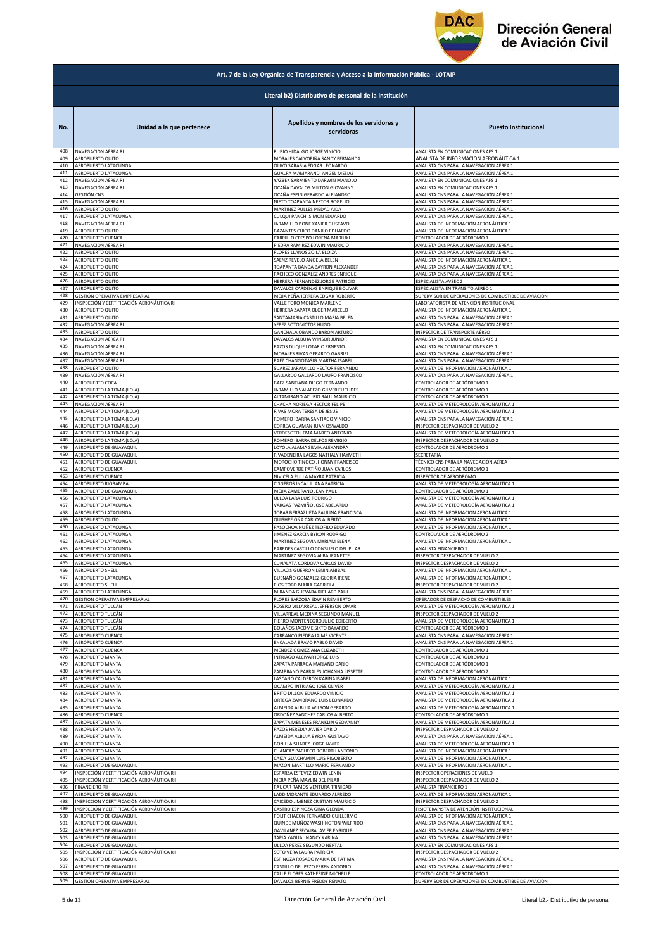

|            | Art. 7 de la Ley Orgánica de Transparencia y Acceso a la Información Pública - LOTAIP |                                                       |                                                      |  |
|------------|---------------------------------------------------------------------------------------|-------------------------------------------------------|------------------------------------------------------|--|
|            | Literal b2) Distributivo de personal de la institución                                |                                                       |                                                      |  |
| No.        | Unidad a la que pertenece                                                             | Apellidos y nombres de los servidores y<br>servidoras | <b>Puesto Institucional</b>                          |  |
| 408        | NAVEGACIÓN AÉREA RI                                                                   | RUBIO HIDALGO JORGE VINICIO                           | ANALISTA EN COMUNICACIONES AFS 1                     |  |
| 409        | AEROPUERTO QUITO                                                                      | MORALES CALVOPIÑA SANDY FERNANDA                      | ANALISTA DE INFORMACIÓN AERONÁUTICA 1                |  |
| 410        | AEROPUERTO LATACUNGA                                                                  | OLIVO SARABIA EDGAR LEONARDO                          | ANALISTA CNS PARA LA NAVEGACIÓN AÉREA 1              |  |
| 411        | AEROPUERTO LATACUNGA                                                                  | GUALPA MAMARANDI ANGEL MESIAS                         | ANALISTA CNS PARA LA NAVEGACIÓN AÉREA 1              |  |
| 412        | NAVEGACIÓN AÉREA RI                                                                   | YAZBEK SARMIENTO DARWIN MANOLO                        | ANALISTA EN COMUNICACIONES AFS 1                     |  |
| 413        | NAVEGACIÓN AÉREA RI                                                                   | OCAÑA DAVALOS MILTON GIOVANNY                         | ANALISTA EN COMUNICACIONES AFS 1                     |  |
| 414        | <b>GESTIÓN CNS</b>                                                                    | OCAÑA ESPIN GERARDO ALEJANDRO                         | ANALISTA CNS PARA LA NAVEGACIÓN AÉREA 1              |  |
| 415        | NAVEGACIÓN AÉREA RI                                                                   | NIETO TOAPANTA NESTOR ROGELIO                         | ANALISTA CNS PARA LA NAVEGACIÓN AÉREA 1              |  |
| 416        | AEROPUERTO QUITO                                                                      | MARTINEZ PULLES PIEDAD AIDA                           | ANALISTA CNS PARA LA NAVEGACIÓN AÉREA 1              |  |
| 417        | AEROPUERTO LATACUNGA                                                                  | CULQUI PANCHI SIMON EDUARDO                           | ANALISTA CNS PARA LA NAVEGACIÓN AÉREA 1              |  |
| 418        | NAVEGACIÓN AÉREA RI                                                                   | JARAMILLO BONE XAVIER GUSTAVO                         | ANALISTA DE INFORMACIÓN AERONÁUTICA 1                |  |
| 419        | AEROPUERTO QUITO                                                                      | BAZANTES CHICO DANILO EDUARDO                         | ANALISTA DE INFORMACIÓN AERONÁUTICA 1                |  |
| 420        | AEROPUERTO CUENCA                                                                     | CARRILLO CRESPO LORENA MARIUXI                        | CONTROLADOR DE AERÓDROMO 1                           |  |
| 421        | NAVEGACIÓN AÉREA RI                                                                   | PIEDRA RAMIREZ EDWIN MAURICIO                         | ANALISTA CNS PARA LA NAVEGACIÓN AÉREA 1              |  |
| 422        | AEROPUERTO QUITO                                                                      | FLORES LLANOS ZOILA ELOIZA                            | ANALISTA CNS PARA LA NAVEGACIÓN AÉREA 1              |  |
| 423        | AEROPUERTO QUITO                                                                      | SAENZ REVELO ANGELA BELEN                             | ANALISTA DE INFORMACIÓN AERONÁUTICA 1                |  |
| 424        | AEROPUERTO QUITO                                                                      | TOAPANTA BANDA BAYRON ALEXANDER                       | ANALISTA CNS PARA LA NAVEGACIÓN AÉREA 1              |  |
| 425        | AEROPUERTO QUITO                                                                      | PACHECO GONZALEZ ANDRES ENRIQUE                       | ANALISTA CNS PARA LA NAVEGACIÓN AÉREA 1              |  |
| 426        | AEROPUERTO QUITO                                                                      | HERRERA FERNANDEZ JORGE PATRICIO                      | <b>ESPECIALISTA AVSEC 2</b>                          |  |
| 427        | AEROPUERTO QUITO                                                                      | DAVALOS CARDENAS ENRIQUE BOLIVAR                      | ESPECIALISTA EN TRÁNSITO AÉREO 1                     |  |
| 428        | GESTIÓN OPERATIVA EMPRESARIAL                                                         | MEJIA PEÑAHERRERA EDGAR ROBERTO                       | SUPERVISOR DE OPERACIONES DE COMBUSTIBLE DE AVIACIÓN |  |
| 429        | INSPECCIÓN Y CERTIFICACIÓN AERONÁUTICA RI                                             | VALLE TORO MONICA MARLENE                             | LABORATORISTA DE ATENCIÓN INSTITUCIONAL              |  |
| 430        | AEROPUERTO QUITO                                                                      | HERRERA ZAPATA OLGER MARCELO                          | ANALISTA DE INFORMACIÓN AERONÁUTICA 1                |  |
| 431        | AEROPUERTO QUITO                                                                      | SANTAMARIA CASTILLO MARIA BELEN                       | ANALISTA CNS PARA LA NAVEGACIÓN AÉREA 1              |  |
| 432        | NAVEGACIÓN AÉREA RI                                                                   | YEPEZ SOTO VICTOR HUGO                                | ANALISTA CNS PARA LA NAVEGACIÓN AÉREA 1              |  |
| 433        | AEROPUERTO QUITO                                                                      | GANCHALA OBANDO BYRON ARTURO                          | INSPECTOR DE TRANSPORTE AÉREO                        |  |
| 434        | NAVEGACIÓN AÉREA RI                                                                   | DAVALOS ALBUJA WINSOR JUNIOR                          | ANALISTA EN COMUNICACIONES AFS 1                     |  |
| 435        | NAVEGACIÓN AÉREA RI                                                                   | PAZOS DUQUE LOTARIO ERNESTO                           | ANALISTA EN COMUNICACIONES AFS 1                     |  |
| 436        | NAVEGACIÓN AÉREA RI                                                                   | MORALES RIVAS GERARDO GABRIE                          | ANALISTA CNS PARA LA NAVEGACIÓN AÉREA 1              |  |
| 437        | NAVEGACIÓN AÉREA RI                                                                   | PAEZ CHANGOTASIG MARTHA ISABEL                        | ANALISTA CNS PARA LA NAVEGACIÓN AÉREA 1              |  |
| 438        | AEROPUERTO QUITO                                                                      | SUAREZ JARAMILLO HECTOR FERNANDO                      | ANALISTA DE INFORMACIÓN AERONÁUTICA 1                |  |
| 439        | NAVEGACIÓN AÉREA RI                                                                   | GALLARDO GALLARDO LAURO FRANCISCO                     | ANALISTA CNS PARA LA NAVEGACIÓN AÉREA 1              |  |
| 440        | AEROPUERTO COCA                                                                       | BAEZ SANTIANA DIEGO FERNANDO                          | CONTROLADOR DE AERÓDROMO 1                           |  |
| 441        | AEROPUERTO LA TOMA (LOJA)                                                             | JARAMILLO VALAREZO GILVER EUCLIDES                    | CONTROLADOR DE AERÓDROMO 1                           |  |
| 442        | AEROPUERTO LA TOMA (LOJA)                                                             | ALTAMIRANO ACURIO RAUL MAURICIO                       | CONTROLADOR DE AERÓDROMO 1                           |  |
| 443<br>444 | NAVEGACIÓN AÉREA RI                                                                   | CHACHA NORIEGA HECTOR FELIPE                          | ANALISTA DE METEOROLOGÍA AERONÁUTICA 1               |  |
| 445        | AEROPUERTO LA TOMA (LOJA)                                                             | RIVAS MORA TERESA DE JESUS                            | ANALISTA DE METEOROLOGÍA AERONÁUTICA 1               |  |
|            | AEROPUERTO LA TOMA (LOJA)                                                             | ROMERO IBARRA SANTIAGO VINICIO                        | ANALISTA CNS PARA LA NAVEGACIÓN AÉREA 1              |  |
| 446        | AEROPUERTO LA TOMA (LOJA)                                                             | CORREA GUAMAN JUAN OSWALDO                            | INSPECTOR DESPACHADOR DE VUELO 2                     |  |
| 447        | AEROPUERTO LA TOMA (LOJA)                                                             | VERDESOTO LEMA MARCO ANTONIO                          | ANALISTA DE METEOROLOGÍA AERONÁUTICA 1               |  |
| 448        | AEROPUERTO LA TOMA (LOJA)                                                             | ROMERO IBARRA DELFOS REMIGIO                          | INSPECTOR DESPACHADOR DE VUELO 2                     |  |
| 449        | AEROPUERTO DE GUAYAQUIL                                                               | LOYOLA ALAMA SILVIA ALEXANDRA                         | CONTROLADOR DE AERÓDROMO 1                           |  |
| 450        | AEROPUERTO DE GUAYAQUIL                                                               | RIVADENEIRA LAGOS NATHALY HAYMETH                     | SECRETARIA                                           |  |
| 451        | AEROPUERTO DE GUAYAQUIL                                                               | MOROCHO TINOCO JHONNY FRANCISCO                       | TÉCNICO CNS PARA LA NAVEGACIÓN AÉREA                 |  |
| 452        | AEROPUERTO CUENCA                                                                     | CAMPOVERDE PATIÑO JUAN CARLOS                         | CONTROLADOR DE AERÓDROMO 1                           |  |
| 453        | AEROPUERTO CUENCA                                                                     | NIVICELA PULLA MAYRA PATRICIA                         | INSPECTOR DE AERÓDROMO                               |  |
| 454        | AEROPUERTO RIOBAMBA                                                                   | CISNEROS INCA LILIANA PATRICIA                        | ANALISTA DE METEOROLOGÍA AERONÁUTICA 1               |  |
| 455        | AEROPUERTO DE GUAYAQUIL                                                               | MEJIA ZAMBRANO JEAN PAUL                              | CONTROLADOR DE AERÓDROMO 1                           |  |
| 456        | AEROPUERTO LATACUNGA                                                                  | ULLOA LARA LUIS RODRIGO                               | ANALISTA DE METEOROLOGÍA AERONÁUTICA 1               |  |
| 457        | AEROPUERTO LATACUNGA                                                                  | VARGAS PAZMIÑO JOSE ABELARDO                          | ANALISTA DE METEOROLOGÍA AERONÁUTICA 1               |  |
| 458        | AEROPUERTO LATACUNGA                                                                  | TOBAR BERRAZUETA PAULINA FRANCISCA                    | ANALISTA DE INFORMACIÓN AERONÁUTICA 1                |  |
| 459        | AEROPUERTO QUITO                                                                      | QUISHPE OÑA CARLOS ALBERTO                            | ANALISTA DE INFORMACIÓN AERONÁUTICA 1                |  |
| 460        | AEROPUERTO LATACUNGA                                                                  | PASOCHOA NUÑEZ TEOFILO EDUARDO                        | ANALISTA DE INFORMACIÓN AERONÁUTICA 1                |  |
| 461        | AEROPUERTO LATACUNGA                                                                  | JIMENEZ GARCIA BYRON RODRIGO                          | CONTROLADOR DE AERÓDROMO 2                           |  |
| 462        | AEROPUERTO LATACUNGA                                                                  | MARTINEZ SEGOVIA MYRIAM ELENA                         | ANALISTA DE INFORMACIÓN AERONÁUTICA 1                |  |
| 463        | AEROPUERTO LATACUNGA                                                                  | PAREDES CASTILLO CONSUELO DEL PILAR                   | ANALISTA FINANCIERO 1                                |  |
| 464        | AEROPUERTO LATACUNGA                                                                  | MARTINEZ SEGOVIA ALBA JEANETTE                        | INSPECTOR DESPACHADOR DE VUELO 2                     |  |
| 465        | AEROPUERTO LATACUNGA                                                                  | CUNALATA CORDOVA CARLOS DAVID                         | INSPECTOR DESPACHADOR DE VUELO 2                     |  |
| 466        | <b>AEROPUERTO SHELL</b>                                                               | VILLACIS GUERRON LENIN ANIBAL                         | ANALISTA DE INFORMACIÓN AERONÁUTICA 1                |  |
| 467        | AEROPUERTO LATACUNGA                                                                  | BUENAÑO GONZALEZ GLORIA IRENE                         | ANALISTA DE INFORMACIÓN AERONÁUTICA 1                |  |
| 468        | AEROPUERTO SHELL                                                                      | RIOS TORO MARIA GABRIELA                              | INSPECTOR DESPACHADOR DE VUELO 2                     |  |
| 469        | AEROPUERTO LATACUNGA                                                                  | MIRANDA GUEVARA RICHARD PAUL                          | ANALISTA CNS PARA LA NAVEGACIÓN AÉREA 1              |  |
| 470        | GESTIÓN OPERATIVA EMPRESARIAL                                                         | FLORES SARZOSA EDWIN REMBERTO                         | OPERADOR DE DESPACHO DE COMBUSTIBLES                 |  |
| 471        | AEROPUERTO TULCÁN                                                                     | ROSERO VILLARREAL JEFFERSON OMAR                      | ANALISTA DE METEOROLOGÍA AERONÁUTICA 1               |  |
| 472        | AEROPUERTO TULCÁN                                                                     | VILLARREAL MEDINA SEGUNDO MANUEL                      | INSPECTOR DESPACHADOR DE VUELO 2                     |  |
| 473        | AEROPUERTO TULCÁN                                                                     | FIERRO MONTENEGRO JULIO EDIBERTO                      | ANALISTA DE METEOROLOGÍA AERONÁUTICA 1               |  |
| 474        | AEROPUERTO TULCÁN                                                                     | BOLAÑOS JACOME SIXTO BAYARDO                          | CONTROLADOR DE AERÓDROMO 1                           |  |
| 475        | AEROPUERTO CUENCA                                                                     | CARRANCO PIEDRA JAIME VICENTE                         | ANALISTA CNS PARA LA NAVEGACIÓN AÉREA 1              |  |
| 476        | AEROPUERTO CUENCA                                                                     | ENCALADA BRAVO PABLO DAVID                            | ANALISTA CNS PARA LA NAVEGACIÓN AÉREA 1              |  |
| 477        | AEROPUERTO CUENCA                                                                     | MENDEZ GOMEZ ANA ELIZABETH                            | CONTROLADOR DE AERÓDROMO 1                           |  |
| 478        | AEROPUERTO MANTA                                                                      | INTRIAGO ALCIVAR JORGE LUIS                           | CONTROLADOR DE AERÓDROMO 1                           |  |
| 479        | AEROPUERTO MANTA                                                                      | ZAPATA PARRAGA MARIANO DARIO                          | CONTROLADOR DE AERÓDROMO 1                           |  |
| 480        | AEROPUERTO MANTA                                                                      | ZAMBRANO PARRALES JOHANNA LISSETTE                    | CONTROLADOR DE AERÓDROMO 2                           |  |
| 481        | AEROPUERTO MANTA                                                                      | LASCANO CALDERON KARINA ISABEL                        | ANALISTA DE INFORMACIÓN AERONÁUTICA 1                |  |
| 482        | AEROPUERTO MANTA                                                                      | OCAMPO INTRIAGO JOSE OLIVER                           | ANALISTA DE METEOROLOGÍA AERONÁUTICA 1               |  |
| 483        | <b>AEROPUERTO MANTA</b>                                                               | BRITO DILLON EDUARDO VINICIO                          | ANALISTA DE METEOROLOGÍA AERONÁUTICA 1               |  |
| 484        | AEROPUERTO MANTA                                                                      | ORTEGA ZAMBRANO LUIS LEONARDO                         | ANALISTA DE METEOROLOGÍA AERONÁUTICA 1               |  |
| 485        | AEROPUERTO MANTA                                                                      | ALMEIDA ALBUJA WILSON GERARDO                         | ANALISTA DE METEOROLOGÍA AERONÁUTICA 1               |  |
| 486        | AEROPUERTO CUENCA                                                                     | ORDOÑEZ SANCHEZ CARLOS ALBERTO                        | CONTROLADOR DE AERÓDROMO 1                           |  |
| 487        | AEROPUERTO MANTA                                                                      | ZAPATA MENESES FRANKLIN GEOVANNY                      | ANALISTA DE METEOROLOGÍA AERONÁUTICA 1               |  |
| 488        | AEROPUERTO MANTA                                                                      | PAZOS HEREDIA JAVIER DARIO                            | INSPECTOR DESPACHADOR DE VUELO 2                     |  |
| 489        | <b>AEROPUERTO MANTA</b>                                                               | ALMEIDA ALBUJA BYRON GUSTAVO                          | ANALISTA CNS PARA LA NAVEGACIÓN AÉREA 1              |  |
| 490        | AEROPUERTO MANTA                                                                      | BONILLA SUAREZ JORGE JAVIER                           | ANALISTA DE METEOROLOGÍA AERONÁUTICA 1               |  |
| 491        | AEROPUERTO MANTA                                                                      | CHANCAY PACHECO ROBERTH ANTONIO                       | ANALISTA DE INFORMACIÓN AERONÁUTICA 1                |  |
| 492        | AEROPUERTO MANTA                                                                      | CAIZA GUACHAMIN LUIS RIGOBERTO                        | ANALISTA DE INFORMACIÓN AERONÁUTICA 1                |  |
| 493        | AEROPUERTO DE GUAYAQUIL                                                               | MAZON MARTILLO MARIO FERNANDO                         | ANALISTA DE INFORMACIÓN AERONÁUTICA 1                |  |
| 494        | INSPECCIÓN Y CERTIFICACIÓN AERONÁUTICA RII                                            | ESPARZA ESTEVEZ EDWIN LENIN                           | INSPECTOR OPERACIONES DE VUELO                       |  |
| 495        | INSPECCIÓN Y CERTIFICACIÓN AERONÁUTICA RII                                            | MERA PEÑA MAYLIN DEL PILAR                            | INSPECTOR DESPACHADOR DE VUELO 2                     |  |
| 496        | <b>FINANCIERO RII</b>                                                                 | PAUCAR RAMOS VENTURA TRINIDAD                         | ANALISTA FINANCIERO 1                                |  |
| 497        | AEROPUERTO DE GUAYAQUIL                                                               | LADD MORANTE EDUARDO ALFREDO                          | ANALISTA DE INFORMACIÓN AERONÁUTICA 1                |  |
| 498        | INSPECCIÓN Y CERTIFICACIÓN AERONÁUTICA RII                                            | CAICEDO JIMENEZ CRISTIAN MAURICIO                     | INSPECTOR DESPACHADOR DE VUELO 2                     |  |
| 499        | INSPECCIÓN Y CERTIFICACIÓN AERONÁUTICA RII                                            | CASTRO ESPINOZA GINA GLENDA                           | FISIOTERAPISTA DE ATENCIÓN INSTITUCIONAL             |  |
| 500        | AEROPUERTO DE GUAYAQUIL                                                               | POLIT CHACON FERNANDO GUILLERMO                       | ANALISTA DE INFORMACIÓN AERONÁUTICA 1                |  |
| 501        | AEROPUERTO DE GUAYAQUIL                                                               | QUINDE MUÑOZ WASHINGTON WILFRIDO                      | ANALISTA CNS PARA LA NAVEGACIÓN AÉREA 1              |  |
| 502        | AEROPUERTO DE GUAYAQUIL                                                               | GAVILANEZ SECAIRA JAVIER ENRIQUE                      | ANALISTA CNS PARA LA NAVEGACIÓN AÉREA 1              |  |
| 503        | AEROPUERTO DE GUAYAQUIL                                                               | TAPIA YAGUAL NANCY KARINA                             | ANALISTA CNS PARA LA NAVEGACIÓN AÉREA 1              |  |
| 504        | AEROPUERTO DE GUAYAQUIL                                                               | ULLOA PEREZ SEGUNDO NEPTALI                           | ANALISTA EN COMUNICACIONES AFS 1                     |  |
| 505        | INSPECCIÓN Y CERTIFICACIÓN AERONÁUTICA RII                                            | SOTO VERA LAURA PATRICIA                              | INSPECTOR DESPACHADOR DE VUELO 2                     |  |
| 506        | AEROPUERTO DE GUAYAQUIL                                                               | ESPINOZA ROSADO MARIA DE FATIMA                       | ANALISTA CNS PARA LA NAVEGACIÓN AÉREA 1              |  |
| 507        | AEROPUERTO DE GUAYAQUIL                                                               | CASTILLO DEL PEZO EFREN ANTONIO                       | ANALISTA CNS PARA LA NAVEGACIÓN AÉREA 1              |  |
| 508        | AEROPUERTO DE GUAYAQUIL                                                               | CALLE FLORES KATHERINE MICHELLE                       | CONTROLADOR DE AERÓDROMO 1                           |  |
| 509        | GESTIÓN OPERATIVA EMPRESARIAL                                                         | DAVALOS BERNIS FREDDY RENATO                          | SUPERVISOR DE OPERACIONES DE COMBUSTIBLE DE AVIACIÓN |  |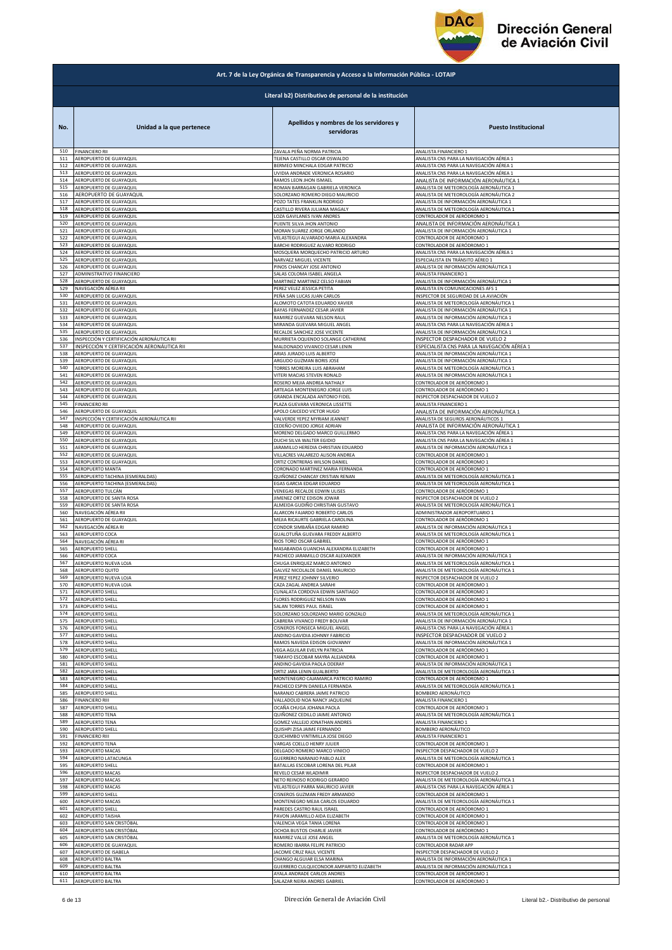

|     | Art. 7 de la Ley Orgánica de Transparencia y Acceso a la Información Pública - LOTAIP |                                                        |                                                                                 |  |
|-----|---------------------------------------------------------------------------------------|--------------------------------------------------------|---------------------------------------------------------------------------------|--|
|     |                                                                                       | Literal b2) Distributivo de personal de la institución |                                                                                 |  |
| No. | Unidad a la que pertenece                                                             | Apellidos y nombres de los servidores y<br>servidoras  | <b>Puesto Institucional</b>                                                     |  |
| 510 | <b>FINANCIERO RII</b>                                                                 | ZAVALA PEÑA NORMA PATRICIA                             | ANALISTA FINANCIERO 1                                                           |  |
| 511 | AEROPUERTO DE GUAYAQUIL                                                               | TEJENA CASTILLO OSCAR OSWALDO                          | ANALISTA CNS PARA LA NAVEGACIÓN AÉREA 1                                         |  |
| 512 | AEROPUERTO DE GUAYAQUIL                                                               | BERMEO MINCHALA EDGAR PATRICIO                         | ANALISTA CNS PARA LA NAVEGACIÓN AÉREA 1                                         |  |
| 513 | AEROPUERTO DE GUAYAQUIL                                                               | UVIDIA ANDRADE VERONICA ROSARIO                        | ANALISTA CNS PARA LA NAVEGACIÓN AÉREA 1                                         |  |
| 514 | AEROPUERTO DE GUAYAQUIL                                                               | RAMOS LEON JHON ISMAEL                                 | ANALISTA DE INFORMACIÓN AERONÁUTICA 1                                           |  |
| 515 | AEROPUERTO DE GUAYAQUIL                                                               | ROMAN BARRAGAN GABRIELA VERONICA                       | ANALISTA DE METEOROLOGÍA AERONÁUTICA 1                                          |  |
| 516 | AEROPUERTO DE GUAYAQUII                                                               | SOLORZANO ROMERO DIEGO MAURICIO                        | ANALISTA DE METEOROLOGÍA AERONÁUTICA 2                                          |  |
| 517 | AEROPUERTO DE GUAYAQUIL                                                               | POZO TATES FRANKLIN RODRIGO                            | ANALISTA DE INFORMACIÓN AERONÁUTICA 1                                           |  |
| 518 | AEROPUERTO DE GUAYAQUIL                                                               | CASTILLO RIVERA JULIANA MAGALY                         | ANALISTA DE METEOROLOGÍA AERONÁUTICA 1                                          |  |
| 519 | AEROPUERTO DE GUAYAQUIL                                                               | LOZA GAVILANES IVAN ANDRES                             | CONTROLADOR DE AERÓDROMO 1                                                      |  |
| 520 | AEROPUERTO DE GUAYAQUIL                                                               | PUENTE SILVA JHON ANTONIO                              | ANALISTA DE INFORMACIÓN AERONÁUTICA 1                                           |  |
| 521 | AEROPUERTO DE GUAYAQUIL                                                               | MORAN SUAREZ JORGE ORLANDO                             | ANALISTA DE INFORMACIÓN AERONÁUTICA 1                                           |  |
| 522 | AEROPUERTO DE GUAYAQUIL                                                               | VELASTEGUI ALVARADO MARIA ALEXANDRA                    | CONTROLADOR DE AERÓDROMO 1                                                      |  |
| 523 | AEROPUERTO DE GUAYAQUIL                                                               | BARCHI RODRIGUEZ ALVARO RODRIGO                        | CONTROLADOR DE AERÓDROMO 1                                                      |  |
| 524 | AEROPUERTO DE GUAYAQUIL                                                               | MOSQUERA MORQUECHO PATRICIO ARTURO                     | ANALISTA CNS PARA LA NAVEGACIÓN AÉREA 1                                         |  |
| 525 | AEROPUERTO DE GUAYAQUIL                                                               | NARVAEZ MIGUEL VICENTE                                 | ESPECIALISTA EN TRÁNSITO AÉREO 1                                                |  |
| 526 | AEROPUERTO DE GUAYAQUIL                                                               | PINOS CHANCAY JOSE ANTONIO                             | ANALISTA DE INFORMACIÓN AERONÁUTICA 1                                           |  |
| 527 | ADMINISTRATIVO FINANCIERO                                                             | SALAS COLOMA ISABEL ANGELA                             | ANALISTA FINANCIERO 1                                                           |  |
| 528 | AEROPUERTO DE GUAYAQUIL                                                               | MARTINEZ MARTINEZ CELSO FABIAN                         | ANALISTA DE INFORMACIÓN AERONÁUTICA 1                                           |  |
| 529 | NAVEGACIÓN AÉREA RII                                                                  | PEREZ VELEZ JESSICA PETITA                             | ANALISTA EN COMUNICACIONES AFS 1                                                |  |
| 530 | AEROPUERTO DE GUAYAQUIL                                                               | PEÑA SAN LUCAS JUAN CARLOS                             | INSPECTOR DE SEGURIDAD DE LA AVIACIÓN                                           |  |
| 531 | AEROPUERTO DE GUAYAQUIL                                                               | ALOMOTO CATOTA EDUARDO XAVIER                          | ANALISTA DE METEOROLOGÍA AERONÁUTICA :                                          |  |
| 532 | AEROPUERTO DE GUAYAQUIL                                                               | BAYAS FERNANDEZ CESAR JAVIER                           | ANALISTA DE INFORMACIÓN AERONÁUTICA 1                                           |  |
| 533 | AEROPUERTO DE GUAYAQUIL                                                               | RAMIREZ GUEVARA NELSON RAUL                            | ANALISTA DE INFORMACIÓN AERONÁUTICA 1                                           |  |
| 534 | AEROPUERTO DE GUAYAQUIL                                                               | MIRANDA GUEVARA MIGUEL ANGEL                           | ANALISTA CNS PARA LA NAVEGACIÓN AÉREA 1                                         |  |
| 535 | AEROPUERTO DE GUAYAQUIL                                                               | RECALDE SANCHEZ JOSE VICENTE                           | ANALISTA DE INFORMACIÓN AERONÁUTICA 1                                           |  |
| 536 | INSPECCIÓN Y CERTIFICACIÓN AERONÁUTICA RII                                            | MURRIETA OQUENDO SOLANGE CATHERINE                     |                                                                                 |  |
| 537 | INSPECCIÓN Y CERTIFICACIÓN AERONÁUTICA RII                                            | MALDONADO VIVANCO CESAR LENIN                          | INSPECTOR DESPACHADOR DE VUELO 2<br>ESPECIALISTA CNS PARA LA NAVEGACIÓN AÉREA 1 |  |
| 538 | AEROPUERTO DE GUAYAQUIL                                                               | ARIAS JURADO LUIS ALBERTO                              | ANALISTA DE INFORMACIÓN AERONÁUTICA 1                                           |  |
| 539 | AEROPUERTO DE GUAYAQUIL                                                               | ARGUDO GUZMAN BORIS JOSE                               | ANALISTA DE INFORMACIÓN AERONÁUTICA 1                                           |  |
| 540 | AEROPUERTO DE GUAYAQUIL                                                               | TORRES MOREIRA LUIS ABRAHAM                            | ANALISTA DE METEOROLOGÍA AERONÁUTICA 1                                          |  |
| 541 | AEROPUERTO DE GUAYAQUIL                                                               | VITERI MACIAS STEVEN RONALD                            | ANALISTA DE INFORMACIÓN AERONÁUTICA 1                                           |  |
| 542 | AEROPUERTO DE GUAYAQUIL                                                               | ROSERO MEJIA ANDREA NATHALY                            | CONTROLADOR DE AERÓDROMO 1                                                      |  |
| 543 | AEROPUERTO DE GUAYAQUIL                                                               | ARTEAGA MONTENEGRO JORGE LUIS                          | CONTROLADOR DE AERÓDROMO 1                                                      |  |
| 544 | AEROPUERTO DE GUAYAQUIL                                                               | GRANDA ENCALADA ANTONIO FIDEL                          | INSPECTOR DESPACHADOR DE VUELO 2                                                |  |
| 545 | <b>FINANCIERO RII</b>                                                                 | PLAZA GUEVARA VERONICA LISSETTE                        | ANALISTA FINANCIERO 1                                                           |  |
| 546 | AEROPUERTO DE GUAYAQUIL                                                               | APOLO CAICEDO VICTOR HUGO                              | ANALISTA DE INFORMACIÓN AERONÁUTICA 1                                           |  |
| 547 | INSPECCIÓN Y CERTIFICACIÓN AERONÁUTICA RII                                            | VALVERDE YEPEZ MYRIAM JEANNET                          | ANALISTA DE SEGUROS AERONÁUTICOS 1                                              |  |
| 548 | AEROPUERTO DE GUAYAQUIL                                                               | CEDEÑO OVIEDO JORGE ADRIAN                             | ANALISTA DE INFORMACIÓN AERONÁUTICA 1                                           |  |
| 549 | AEROPUERTO DE GUAYAQUIL                                                               | MORENO DELGADO MARCO GUILLERMO                         | ANALISTA CNS PARA LA NAVEGACIÓN AÉREA 1                                         |  |
| 550 | AEROPUERTO DE GUAYAQUIL                                                               | DUCHI SILVA WALTER EGIDIO                              | ANALISTA CNS PARA LA NAVEGACIÓN AÉREA 1                                         |  |
| 551 | AEROPUERTO DE GUAYAQUIL                                                               | JARAMILLO HEREDIA CHRISTIAN EDUARDO                    | ANALISTA DE INFORMACIÓN AERONÁUTICA 1                                           |  |
| 552 | AEROPUERTO DE GUAYAQUIL                                                               | VILLACRES VALAREZO ALISON ANDREA                       | CONTROLADOR DE AERÓDROMO 1                                                      |  |
| 553 | AEROPUERTO DE GUAYAQUIL                                                               | ORTIZ CONTRERAS WILSON DANIEL                          | CONTROLADOR DE AERÓDROMO 1                                                      |  |
| 554 | AEROPUERTO MANTA                                                                      | CORONADO MARTINEZ MARIA FERNANDA                       | CONTROLADOR DE AERÓDROMO 1                                                      |  |
| 555 | AEROPUERTO TACHINA (ESMERALDAS)                                                       | QUIÑONEZ CHANCAY CRISTIAN RENAN                        | ANALISTA DE METEOROLOGÍA AERONÁUTICA 1                                          |  |
| 556 | AEROPUERTO TACHINA (ESMERALDAS)                                                       | EGAS GARCIA EDGAR EDUARDO                              | ANALISTA DE METEOROLOGÍA AERONÁUTICA 1                                          |  |
| 557 | AEROPUERTO TULCÁN                                                                     | VENEGAS RECALDE EDWIN ULISES                           | CONTROLADOR DE AERÓDROMO 1                                                      |  |
| 558 | AEROPUERTO DE SANTA ROSA                                                              | JIMENEZ ORTIZ EDISON JOWAR                             | INSPECTOR DESPACHADOR DE VUELO 2                                                |  |
| 559 | AEROPUERTO DE SANTA ROSA                                                              | ALMEIDA GUDIÑO CHRISTIAN GUSTAVO                       | ANALISTA DE METEOROLOGÍA AERONÁUTICA 1                                          |  |
| 560 | NAVEGACIÓN AÉREA RII                                                                  | ALARCON FAJARDO ROBERTO CARLOS                         | ADMINISTRADOR AEROPORTUARIO 1                                                   |  |
| 561 | AEROPUERTO DE GUAYAQUIL                                                               | MEJIA RICAURTE GABRIELA CAROLINA                       | CONTROLADOR DE AERÓDROMO 1                                                      |  |
| 562 | NAVEGACIÓN AÉREA RI                                                                   | CONDOR SIMBAÑA EDGAR RAMIRO                            | ANALISTA DE INFORMACIÓN AERONÁUTICA 1                                           |  |
| 563 | AEROPUERTO COCA                                                                       | GUALOTUÑA GUEVARA FREDDY ALBERTO                       | ANALISTA DE METEOROLOGÍA AERONÁUTICA 1                                          |  |
| 564 | NAVEGACIÓN AÉREA RI                                                                   | RIOS TORO OSCAR GABRIEL                                | CONTROLADOR DE AERÓDROMO 1                                                      |  |
| 565 | <b>AEROPUERTO SHELL</b>                                                               | MASABANDA GUANCHA ALEXANDRA ELIZABETH                  | CONTROLADOR DE AERÓDROMO 1                                                      |  |
| 566 | AEROPUERTO COCA                                                                       | PACHECO JARAMILLO OSCAR ALEXANDER                      | ANALISTA DE INFORMACIÓN AERONÁUTICA 1                                           |  |
| 567 | AEROPUERTO NUEVA LOJA                                                                 | CHUGA ENRIQUEZ MARCO ANTONIO                           | ANALISTA DE METEOROLOGÍA AERONÁUTICA 1                                          |  |
| 568 | AEROPUERTO QUITO                                                                      | GALVEZ NICOLALDE DANIEL MAURICIO                       | ANALISTA DE METEOROLOGÍA AERONÁUTICA 1                                          |  |
| 569 | AEROPUERTO NUEVA LOJA                                                                 | PEREZ YEPEZ JOHNNY SILVERIO                            | INSPECTOR DESPACHADOR DE VUELO 2                                                |  |
| 570 | AEROPUERTO NUEVA LOJA                                                                 | CAZA ZAGAL ANDREA SARAHI                               | CONTROLADOR DE AERÓDROMO 1                                                      |  |
| 571 | <b>AEROPUERTO SHELL</b>                                                               | CUNALATA CORDOVA EDWIN SANTIAGO                        | CONTROLADOR DE AERÓDROMO 1                                                      |  |
| 572 | <b>AEROPUERTO SHELL</b>                                                               | FLORES RODRIGUEZ NELSON IVAN                           | CONTROLADOR DE AERÓDROMO 1                                                      |  |
| 573 | <b>AEROPUERTO SHELL</b>                                                               | SALAN TORRES PAUL ISRAEL                               | CONTROLADOR DE AERÓDROMO 1                                                      |  |
| 574 | AEROPUERTO SHELL                                                                      | SOLORZANO SOLORZANO MARIO GONZALO                      | ANALISTA DE METEOROLOGÍA AERONÁUTICA 1                                          |  |
| 575 | <b>AEROPUERTO SHELL</b>                                                               | CABRERA VIVANCO FREDY BOLIVAR                          | ANALISTA DE INFORMACIÓN AERONÁUTICA 1                                           |  |
| 576 | AEROPUERTO SHELL                                                                      | CISNEROS FONSECA MIGUEL ANGEL                          | ANALISTA CNS PARA LA NAVEGACIÓN AÉREA 1                                         |  |
| 577 | <b>AEROPUERTO SHELL</b>                                                               | ANDINO GAVIDIA JOHNNY FABRICIO                         | INSPECTOR DESPACHADOR DE VUELO 2                                                |  |
| 578 | AEROPUERTO SHELL                                                                      | RAMOS NAVEDA EDISON GIOVANNY                           | ANALISTA DE INFORMACIÓN AERONÁUTICA 1                                           |  |
| 579 | <b>AEROPUERTO SHELL</b>                                                               | VEGA AGUILAR EVELYN PATRICIA                           | CONTROLADOR DE AERÓDROMO 1                                                      |  |
| 580 | AEROPUERTO SHELL                                                                      | TAMAYO ESCOBAR MAYRA ALEJANDRA                         | CONTROLADOR DE AERÓDROMO 1                                                      |  |
| 581 | AEROPUERTO SHELL                                                                      | ANDINO GAVIDIA PAOLA ODERAY                            | ANALISTA DE INFORMACIÓN AERONÁUTICA 1                                           |  |
| 582 | <b>AEROPUERTO SHELL</b>                                                               | ORTIZ JARA LENIN GUALBERTO                             | ANALISTA DE METEOROLOGÍA AERONÁUTICA 1                                          |  |
| 583 | AEROPUERTO SHELL                                                                      | MONTENEGRO CAJAMARCA PATRICIO RAMIRO                   | CONTROLADOR DE AERÓDROMO 1                                                      |  |
| 584 | AEROPUERTO SHELL                                                                      | PACHECO ESPIN DANIELA FERNANDA                         | ANALISTA DE METEOROLOGÍA AERONÁUTICA 1                                          |  |
| 585 | AEROPUERTO SHELL                                                                      | NARANJO CABRERA JAIME PATRICIO                         | BOMBERO AERONÁUTICO                                                             |  |
| 586 | <b>FINANCIERO RIII</b>                                                                | VALLADOLID NOA NANCY JAQUELINE                         | ANALISTA FINANCIERO 1                                                           |  |
| 587 | AEROPUERTO SHELL                                                                      | OCAÑA CHUGA JOHANA PAOLA                               | CONTROLADOR DE AERÓDROMO 1                                                      |  |
| 588 | AEROPUERTO TENA                                                                       | QUIÑONEZ CEDILLO JAIME ANTONIO                         | ANALISTA DE METEOROLOGÍA AERONÁUTICA 1                                          |  |
| 589 | <b>AEROPUERTO TENA</b>                                                                | GOMEZ VALLEJO JONATHAN ANDRES                          | ANALISTA FINANCIERO 1                                                           |  |
| 590 | <b>AEROPUERTO SHELL</b>                                                               | QUISHPI ZISA JAIME FERNANDO                            | BOMBERO AERONÁUTICO                                                             |  |
| 591 | <b>FINANCIERO RIII</b>                                                                | QUICHIMBO VINTIMILLA JOSE DIEGO                        | ANALISTA FINANCIERO 1                                                           |  |
| 592 | AEROPUERTO TENA                                                                       | VARGAS COELLO HENRY JULIER                             | CONTROLADOR DE AERÓDROMO 1                                                      |  |
| 593 | <b>AEROPUERTO MACAS</b>                                                               | DELGADO ROMERO MARCO VINICIO                           | INSPECTOR DESPACHADOR DE VUELO 2                                                |  |
| 594 | AEROPUERTO LATACUNGA                                                                  | GUERRERO NARANJO PABLO ALEX                            | ANALISTA DE METEOROLOGÍA AERONÁUTICA 1                                          |  |
| 595 | AEROPUERTO SHELL                                                                      | BATALLAS ESCOBAR LORENA DEL PILAR                      | CONTROLADOR DE AERÓDROMO 1                                                      |  |
| 596 | <b>AEROPUERTO MACAS</b>                                                               | REVELO CESAR WLADIMIR                                  | INSPECTOR DESPACHADOR DE VUELO 2                                                |  |
| 597 | AEROPUERTO MACAS                                                                      | NETO REINOSO RODRIGO GERARDO                           | ANALISTA DE METEOROLOGÍA AERONÁUTICA 1                                          |  |
| 598 | AEROPUERTO MACAS                                                                      | VELASTEGUI PARRA MAURICIO JAVIER                       | ANALISTA CNS PARA LA NAVEGACIÓN AÉREA 1                                         |  |
| 599 | AEROPUERTO SHELL                                                                      | CISNEROS GUZMAN FREDY ARMANDO                          | CONTROLADOR DE AERÓDROMO 1                                                      |  |
| 600 | <b>AEROPUERTO MACAS</b>                                                               | MONTENEGRO MEJIA CARLOS EDUARDO                        | ANALISTA DE METEOROLOGÍA AERONÁUTICA 1                                          |  |
| 601 | <b>AEROPUERTO SHELL</b>                                                               | PAREDES CASTRO RAUL ISRAEL                             | CONTROLADOR DE AERÓDROMO 1                                                      |  |
| 602 | <b>AEROPUERTO TAISHA</b>                                                              | PAVON JARAMILLO AIDA ELIZABETH                         | CONTROLADOR DE AERÓDROMO 1                                                      |  |
| 603 | AEROPUERTO SAN CRISTÓBAL                                                              | VALENCIA VEGA TANIA LORENA                             | CONTROLADOR DE AERÓDROMO 1                                                      |  |
| 604 | AEROPUERTO SAN CRISTÓBAL                                                              | OCHOA BUSTOS CHARLIE JAVIER                            | CONTROLADOR DE AERÓDROMO 1                                                      |  |
| 605 | AEROPUERTO SAN CRISTÓBAL                                                              | RAMIREZ VALLE JOSE ANGEL                               | ANALISTA DE METEOROLOGÍA AERONÁUTICA 1                                          |  |
| 606 | AEROPUERTO DE GUAYAQUIL                                                               | ROMERO IBARRA FELIPE PATRICIO                          | CONTROLADOR RADAR APP                                                           |  |
| 607 | AEROPUERTO DE ISABELA                                                                 | JACOME CRUZ RAUL VICENTE                               | INSPECTOR DESPACHADOR DE VUELO 2                                                |  |
| 608 | AEROPUERTO BALTRA                                                                     | CHANGO ALGUIAR ELSA MARINA                             | ANALISTA DE INFORMACIÓN AERONÁUTICA 1                                           |  |
| 609 | <b>AEROPUERTO BALTRA</b>                                                              | <b>GUERRERO CULQUICONDOR AMPARITO ELIZABETH</b>        | ANALISTA DE INFORMACIÓN AERONÁUTICA 1                                           |  |
| 610 | AEROPUERTO BALTRA                                                                     | AYALA ANDRADE CARLOS ANDRES                            | CONTROLADOR DE AERÓDROMO 1                                                      |  |
| 611 | AEROPUERTO BALTRA                                                                     | SALAZAR NEIRA ANDRES GABRIEL                           | CONTROLADOR DE AERÓDROMO 1                                                      |  |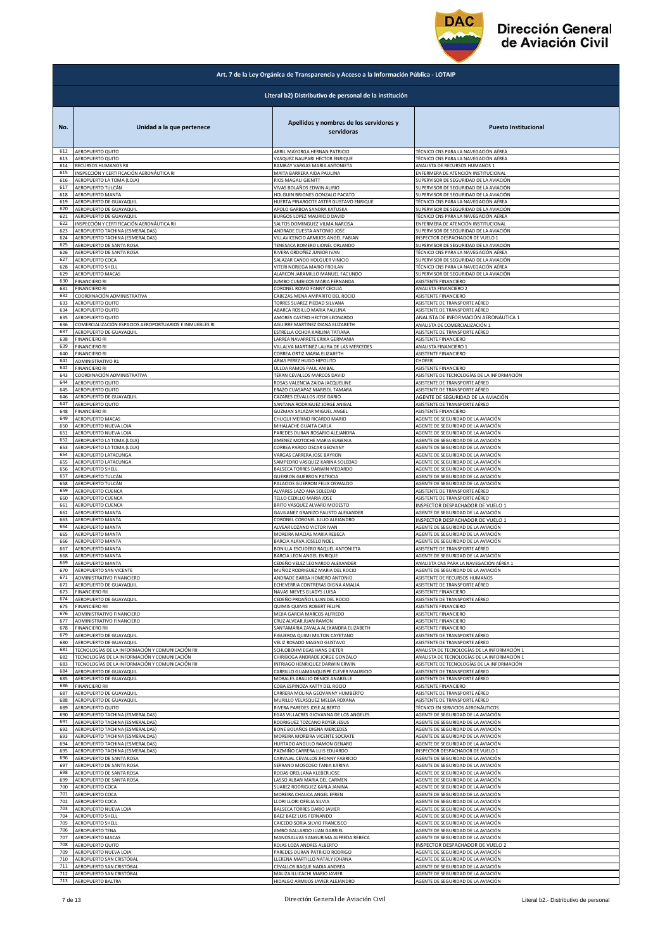

|            | Art. 7 de la Ley Orgánica de Transparencia y Acceso a la Información Pública - LOTAIP |                                                                                        |                                                                          |  |
|------------|---------------------------------------------------------------------------------------|----------------------------------------------------------------------------------------|--------------------------------------------------------------------------|--|
|            | Literal b2) Distributivo de personal de la institución                                |                                                                                        |                                                                          |  |
| No.<br>612 | Unidad a la que pertenece<br>AEROPUERTO QUITO                                         | Apellidos y nombres de los servidores y<br>servidoras<br>ABRIL MAYORGA HERNAN PATRICIO | <b>Puesto Institucional</b><br>TÉCNICO CNS PARA LA NAVEGACIÓN AÉREA      |  |
| 613        | AEROPUERTO QUITO                                                                      | VASQUEZ NAUPARI HECTOR ENRIQUE                                                         | TÉCNICO CNS PARA LA NAVEGACIÓN AÉREA                                     |  |
| 614        | RECURSOS HUMANOS RII                                                                  | RAMBAY VARGAS MARIA ANTONIETA                                                          | ANALISTA DE RECURSOS HUMANOS 1                                           |  |
| 615        | INSPECCIÓN Y CERTIFICACIÓN AERONÁUTICA RI                                             | MAITA BARRERA AIDA PAULINA                                                             | ENFERMERA DE ATENCIÓN INSTITUCIONAL                                      |  |
| 616        | AEROPUERTO LA TOMA (LOJA)                                                             | RIOS MAGALI GIENITT                                                                    | SUPERVISOR DE SEGURIDAD DE LA AVIACIÓN                                   |  |
| 617        | AEROPUERTO TULCÁN                                                                     | VIVAS BOLAÑOS EDWIN ALIRIO                                                             | SUPERVISOR DE SEGURIDAD DE LA AVIACIÓN                                   |  |
| 618        | AEROPUERTO MANTA                                                                      | HOLGUIN BRIONES GONZALO PACATO                                                         | SUPERVISOR DE SEGURIDAD DE LA AVIACIÓN                                   |  |
| 619        | AEROPUERTO DE GUAYAQUIL                                                               | HUERTA PINARGOTE ASTER GUSTAVO ENRIQUE                                                 | TÉCNICO CNS PARA LA NAVEGACIÓN AÉREA                                     |  |
| 620        | AEROPUERTO DE GUAYAQUIL                                                               | APOLO GARBOA SANDRA KATUSKA                                                            | SUPERVISOR DE SEGURIDAD DE LA AVIACIÓN                                   |  |
| 621        | AEROPUERTO DE GUAYAQUIL                                                               | BURGOS LOPEZ MAURICIO DAVID                                                            | TÉCNICO CNS PARA LA NAVEGACIÓN AÉREA                                     |  |
| 622        | INSPECCIÓN Y CERTIFICACIÓN AERONÁUTICA RII                                            | SALTOS DOMINGUEZ VILMA NARCISA                                                         | ENFERMERA DE ATENCIÓN INSTITUCIONAL                                      |  |
| 623        | AEROPUERTO TACHINA (ESMERALDAS)                                                       | ANDRADE CUESTA ANTONIO JOSE                                                            | SUPERVISOR DE SEGURIDAD DE LA AVIACIÓN                                   |  |
| 624        | AEROPUERTO TACHINA (ESMERALDAS)                                                       | VILLAVICENCIO ARMIJOS ANGEL FABIAN                                                     | INSPECTOR DESPACHADOR DE VUELO 1                                         |  |
| 625<br>626 | AEROPUERTO DE SANTA ROSA                                                              | TENESACA ROMERO LIONEL ORLANDO                                                         | SUPERVISOR DE SEGURIDAD DE LA AVIACIÓN                                   |  |
| 627        | AEROPUERTO DE SANTA ROSA                                                              | RIVERA ORDOÑEZ JUNIOR IVAN                                                             | TÉCNICO CNS PARA LA NAVEGACIÓN AÉREA                                     |  |
|            | AEROPUERTO COCA                                                                       | SALAZAR CANDO HOLGUER VINICIO                                                          | SUPERVISOR DE SEGURIDAD DE LA AVIACIÓN                                   |  |
| 628        | AEROPUERTO SHELL                                                                      | VITERI NORIEGA MARIO FROILAN                                                           | TÉCNICO CNS PARA LA NAVEGACIÓN AÉREA                                     |  |
| 629        | AEROPUERTO MACAS                                                                      | ALARCON JARAMILLO MANUEL FACUNDO                                                       | SUPERVISOR DE SEGURIDAD DE LA AVIACIÓN                                   |  |
| 630        | <b>FINANCIERO RI</b>                                                                  | JUMBO CUMBICOS MARIA FERNANDA                                                          | ASISTENTE FINANCIERO                                                     |  |
| 631        | <b>FINANCIERO RI</b>                                                                  | CORONEL ROMO FANNY CECILIA                                                             | ANALISTA FINANCIERO 2                                                    |  |
| 632        | COORDINACIÓN ADMINISTRATIVA                                                           | CABEZAS MENA AMPARITO DEL ROCIO                                                        | ASISTENTE FINANCIERO                                                     |  |
| 633        | <b>AEROPUERTO QUITO</b>                                                               | TORRES SUAREZ PIEDAD SILVANA                                                           | ASISTENTE DE TRANSPORTE AÉREO                                            |  |
| 634        | <b>AEROPUERTO QUITO</b>                                                               | ABARCA ROSILLO MARIA PAULINA                                                           | ASISTENTE DE TRANSPORTE AÉREO                                            |  |
| 635        | AEROPUERTO QUITO                                                                      | AMORES CASTRO HECTOR LEONARDO                                                          | ANALISTA DE INFORMACIÓN AERONÁUTICA 1                                    |  |
| 636        | COMERCIALIZACIÓN ESPACIOS AEROPORTUARIOS E INMUEBLES RI                               | AGUIRRE MARTINEZ DIANA ELIZABETH                                                       | ANALISTA DE COMERCIALIZACIÓN 1                                           |  |
| 637        | AEROPUERTO DE GUAYAQUIL                                                               | ESTRELLA OCHOA KARLINA TATIANA                                                         | ASISTENTE DE TRANSPORTE AÉREO                                            |  |
| 638        | FINANCIERO RI                                                                         | LARREA NAVARRETE ERIKA GERMANIA                                                        | ASISTENTE FINANCIERO                                                     |  |
| 639        | <b>FINANCIERO RI</b>                                                                  | VILLALVA MARTINEZ LAURA DE LAS MERCEDES                                                | ANALISTA FINANCIERO 1                                                    |  |
| 640        | <b>FINANCIERO RI</b>                                                                  | CORREA ORTIZ MARIA ELIZABETH                                                           | ASISTENTE FINANCIERO                                                     |  |
| 641        | ADMINISTRATIVO R1                                                                     | ARIAS PEREZ HUGO HIPOLITO                                                              | CHOFER                                                                   |  |
| 642        | FINANCIERO RI                                                                         | ULLOA RAMOS PAUL ANIBAL                                                                | ASISTENTE FINANCIERO                                                     |  |
| 643        | COORDINACIÓN ADMINISTRATIVA                                                           | TERAN CEVALLOS MARCOS DAVID                                                            | ASISTENTE DE TECNOLOGÍAS DE LA INFORMACIÓN                               |  |
| 644        | AEROPUERTO QUITO                                                                      | ROSAS VALENCIA ZAIDA JACQUELINE                                                        | ASISTENTE DE TRANSPORTE AÉREO                                            |  |
| 645        | AEROPUERTO QUITO                                                                      | <b>RAZO CUASAPAZ MARISOL TAMARA</b>                                                    | ASISTENTE DE TRANSPORTE AÉREO                                            |  |
| 646        | AEROPUERTO DE GUAYAQUIL                                                               | CAZARES CEVALLOS JOSE DARIO                                                            | AGENTE DE SEGURIDAD DE LA AVIACIÓN                                       |  |
| 647        | AEROPUERTO QUITO                                                                      | SANTANA RODRIGUEZ JORGE ANIBAL                                                         | ASISTENTE DE TRANSPORTE AÉREO                                            |  |
| 648        | <b>FINANCIERO RI</b>                                                                  | GUZMAN SALAZAR MIGUEL ANGEL                                                            | ASISTENTE FINANCIERO                                                     |  |
| 649<br>650 | AEROPUERTO MACAS<br>AEROPUERTO NUEVA LOJA                                             | CHUQUI MERINO RICARDO MARIO                                                            | AGENTE DE SEGURIDAD DE LA AVIACIÓN                                       |  |
| 651        | AEROPUERTO NUEVA LOJA                                                                 | MIHALACHE GUAITA CARLA<br>PAREDES DURAN ROSARIO ALEJANDRA                              | AGENTE DE SEGURIDAD DE LA AVIACIÓN<br>AGENTE DE SEGURIDAD DE LA AVIACIÓN |  |
| 652        | AEROPUERTO LA TOMA (LOJA)                                                             | JIMENEZ MOTOCHE MARIA EUGENIA                                                          | AGENTE DE SEGURIDAD DE LA AVIACIÓN                                       |  |
| 653        | AEROPUERTO LA TOMA (LOJA)                                                             | CORREA PARDO OSCAR GEOVANY                                                             | AGENTE DE SEGURIDAD DE LA AVIACIÓN                                       |  |
| 654        | AEROPUERTO LATACUNGA                                                                  | VARGAS CARRERA JOSE BAYRON                                                             | AGENTE DE SEGURIDAD DE LA AVIACIÓN                                       |  |
| 655        | AEROPUERTO LATACUNGA                                                                  | SAMPEDRO VASQUEZ KARINA SOLEDAD                                                        | AGENTE DE SEGURIDAD DE LA AVIACIÓN                                       |  |
| 656<br>657 | <b>AEROPUERTO SHELL</b>                                                               | BALSECA TORRES DARWIN MEDARDO                                                          | AGENTE DE SEGURIDAD DE LA AVIACIÓN                                       |  |
| 658        | AEROPUERTO TULCÁN                                                                     | <b>GUERRON GUERRON PATRICIA</b>                                                        | AGENTE DE SEGURIDAD DE LA AVIACIÓN                                       |  |
|            | AEROPUERTO TULCÁN                                                                     | PALACIOS GUERRON FELIX OSWALDO                                                         | AGENTE DE SEGURIDAD DE LA AVIACIÓN                                       |  |
| 659        | AEROPUERTO CUENCA                                                                     | ALVARES LAZO ANA SOLEDAD                                                               | ASISTENTE DE TRANSPORTE AÉREO                                            |  |
| 660        | AEROPUERTO CUENCA                                                                     | <b>FELLO CEDILLO MARIA JOSE</b>                                                        | ASISTENTE DE TRANSPORTE AÉREO                                            |  |
| 661        | AEROPUERTO CUENCA                                                                     | BRITO VASQUEZ ALVARO MODESTO                                                           | INSPECTOR DESPACHADOR DE VUELO 1                                         |  |
| 662        | AEROPUERTO MANTA                                                                      | GAVILANEZ GRANIZO FAUSTO ALEXANDER                                                     | AGENTE DE SEGURIDAD DE LA AVIACIÓN                                       |  |
| 663        | AEROPUERTO MANTA                                                                      | CORONEL CORONEL JULIO ALEJANDRO                                                        | INSPECTOR DESPACHADOR DE VUELO 1                                         |  |
| 664        | <b>AEROPUERTO MANTA</b>                                                               | ALVEAR LOZANO VICTOR IVAN                                                              | AGENTE DE SEGURIDAD DE LA AVIACIÓN                                       |  |
| 665        | AEROPUERTO MANTA                                                                      | MOREIRA MACIAS MARIA REBECA                                                            | AGENTE DE SEGURIDAD DE LA AVIACIÓN                                       |  |
| 666        | AEROPUERTO MANTA                                                                      | BARCIA ALAVA JOSELO NOEL                                                               | AGENTE DE SEGURIDAD DE LA AVIACIÓN                                       |  |
| 667        | AEROPUERTO MANTA                                                                      | BONILLA ESCUDERO RAQUEL ANTONIETA                                                      | ASISTENTE DE TRANSPORTE AÉREO                                            |  |
| 668        | AEROPUERTO MANTA                                                                      | BARCIA LEON ANGEL ENRIQUE                                                              | AGENTE DE SEGURIDAD DE LA AVIACIÓN                                       |  |
| 669        | AEROPUERTO MANTA                                                                      | CEDEÑO VELEZ LEONARDO ALEXANDER                                                        | ANALISTA CNS PARA LA NAVEGACIÓN AÉREA 1                                  |  |
| 670        | AEROPUERTO SAN VICENTE                                                                | MUÑOZ RODRIGUEZ MARIA DEL ROCIO                                                        | AGENTE DE SEGURIDAD DE LA AVIACIÓN                                       |  |
| 671        | ADMINISTRATIVO FINANCIERO                                                             | ANDRADE BARBA HOMERO ANTONIO                                                           | ASISTENTE DE RECURSOS HUMANOS                                            |  |
| 672        | AEROPUERTO DE GUAYAQUIL                                                               | ECHEVERRIA CONTRERAS DIGNA AMALIA                                                      | ASISTENTE DE TRANSPORTE AÉREO                                            |  |
| 673        | <b>FINANCIERO RII</b>                                                                 | NAVAS NIEVES GLADYS LUISA                                                              | ASISTENTE FINANCIERO                                                     |  |
| 674        | AEROPUERTO DE GUAYAQUIL                                                               | CEDEÑO PROAÑO LILIAN DEL ROCIO                                                         | ASISTENTE DE TRANSPORTE AÉREO                                            |  |
| 675        | FINANCIERO RII                                                                        | QUIMIS QUIMIS ROBERT FELIPE                                                            | ASISTENTE FINANCIERO                                                     |  |
| 676        | ADMINISTRATIVO FINANCIERO                                                             | MEJIA GARCIA MARCOS ALFREDO                                                            | ASISTENTE FINANCIERO                                                     |  |
| 677        | ADMINISTRATIVO FINANCIERO                                                             | CRUZ ALVEAR JUAN RAMON                                                                 | ASISTENTE FINANCIERO                                                     |  |
| 678        | FINANCIERO RII                                                                        | SANTAMARIA ZAVALA ALEXANDRA ELIZABETH                                                  | ASISTENTE FINANCIERO                                                     |  |
| 679        | AEROPUERTO DE GUAYAQUIL                                                               | FIGUEROA QUIMI MILTON CAYETANO                                                         | ASISTENTE DE TRANSPORTE AÉREO                                            |  |
| 680        | AEROPUERTO DE GUAYAQUIL                                                               | VELIZ ROSADO MAGNO GUSTAVO                                                             | ASISTENTE DE TRANSPORTE AÉREO                                            |  |
| 681        | TECNOLOGÍAS DE LA INFORMACIÓN Y COMUNICACIÓN RII                                      | SCHLOBOHM EGAS HANS DIETER                                                             | ANALISTA DE TECNOLOGÍAS DE LA INFORMACIÓN 1                              |  |
| 682        | TECNOLOGÍAS DE LA INFORMACIÓN Y COMUNICACIÓN                                          | CHIRIBOGA ANDRADE JORGE GONZALO                                                        | ANALISTA DE TECNOLOGÍAS DE LA INFORMACIÓN 1                              |  |
| 683        | TECNOLOGÍAS DE LA INFORMACIÓN Y COMUNICACIÓN RII                                      | <b>NTRIAGO HENRIQUEZ DARWIN ERWIN</b>                                                  | ASISTENTE DE TECNOLOGÍAS DE LA INFORMACIÓN                               |  |
| 684        | AEROPUERTO DE GUAYAQUIL                                                               | CARRILLO GUAMANQUISPE CLEVER MAURICIO                                                  | ASISTENTE DE TRANSPORTE AÉREO                                            |  |
| 685        | AEROPUERTO DE GUAYAQUIL                                                               | MORALES ARAUJO DENICE ANABELLE                                                         | ASISTENTE DE TRANSPORTE AÉREO                                            |  |
| 686        | <b>INANCIERO RII</b>                                                                  | COBA ESPINOZA KATTY DEL ROCIO                                                          | <b>ASISTENTE FINANCIERO</b>                                              |  |
| 687        | AEROPUERTO DE GUAYAQUIL                                                               | CARRERA MOLINA GEOVANNY HUMBERTO                                                       | ASISTENTE DE TRANSPORTE AÉREO                                            |  |
| 688        | AEROPUERTO DE GUAYAQUIL                                                               | MURILLO VELASQUEZ MELBA ROXANA                                                         | ASISTENTE DE TRANSPORTE AÉREO                                            |  |
| 689        | AEROPUERTO QUITO                                                                      | RIVERA PAREDES JOSE ALBERTO                                                            | TÉCNICO EN SERVICIOS AERONÁUTICOS                                        |  |
| 690        | AEROPUERTO TACHINA (ESMERALDAS)                                                       | EGAS VILLACRES GIOVANNA DE LOS ANGELES                                                 | AGENTE DE SEGURIDAD DE LA AVIACIÓN                                       |  |
| 691        | AEROPUERTO TACHINA (ESMERALDAS)                                                       | RODRIGUEZ TOZCANO ROYER JESUS                                                          | AGENTE DE SEGURIDAD DE LA AVIACIÓN                                       |  |
| 692        | AEROPUERTO TACHINA (ESMERALDAS)                                                       | BONE BOLAÑOS DIGNA MERCEDES                                                            | AGENTE DE SEGURIDAD DE LA AVIACIÓN                                       |  |
| 693        | AEROPUERTO TACHINA (ESMERALDAS)                                                       | MOREIRA MOREIRA VICENTE SOCRATE                                                        | AGENTE DE SEGURIDAD DE LA AVIACIÓN                                       |  |
| 694        | AEROPUERTO TACHINA (ESMERALDAS)                                                       | HURTADO ANGULO RAMON GENARO                                                            | AGENTE DE SEGURIDAD DE LA AVIACIÓN                                       |  |
| 695        | AEROPUERTO TACHINA (ESMERALDAS)                                                       | PAZMIÑO CARRERA LUIS EDUARDO                                                           | INSPECTOR DESPACHADOR DE VUELO 1                                         |  |
| 696        | AEROPUERTO DE SANTA ROSA                                                              | CARVAJAL CEVALLOS JHONNY FABRICIO                                                      | AGENTE DE SEGURIDAD DE LA AVIACIÓN                                       |  |
| 697        | AEROPUERTO DE SANTA ROSA                                                              | SERRANO MOSCOSO TANIA KARINA                                                           | AGENTE DE SEGURIDAD DE LA AVIACIÓN                                       |  |
| 698        | AEROPUERTO DE SANTA ROSA                                                              | RODAS ORELLANA KLEBER JOSE                                                             | AGENTE DE SEGURIDAD DE LA AVIACIÓN                                       |  |
| 699        | AEROPUERTO DE SANTA ROSA                                                              | LASSO ALBAN MARIA DEL CARMEN                                                           | AGENTE DE SEGURIDAD DE LA AVIACIÓN                                       |  |
| 700        | AEROPUERTO COCA                                                                       | SUAREZ RODRIGUEZ KARLA JANINA                                                          | AGENTE DE SEGURIDAD DE LA AVIACIÓN                                       |  |
| 701        | AEROPUERTO COCA                                                                       | MOREIRA CHAUCA ANGEL EFREN                                                             | AGENTE DE SEGURIDAD DE LA AVIACIÓN                                       |  |
| 702        | AEROPUERTO COCA                                                                       | LLORI LLORI OFELIA SILVIA                                                              | AGENTE DE SEGURIDAD DE LA AVIACIÓN                                       |  |
| 703        | AEROPUERTO NUEVA LOJA                                                                 | BALSECA TORRES DARIO JAVIER                                                            | AGENTE DE SEGURIDAD DE LA AVIACIÓN                                       |  |
| 704        | <b>AEROPUERTO SHELL</b>                                                               | BAEZ BAEZ LUIS FERNANDO                                                                | AGENTE DE SEGURIDAD DE LA AVIACIÓN                                       |  |
| 705        | AEROPUERTO SHELL                                                                      | CAICEDO SORIA SILVIO FRANCISCO                                                         | AGENTE DE SEGURIDAD DE LA AVIACIÓN                                       |  |
| 706        | AEROPUERTO TENA                                                                       | JIMBO GALLARDO JUAN GABRIEL                                                            | AGENTE DE SEGURIDAD DE LA AVIACIÓN                                       |  |
| 707        | <b>AEROPUERTO MACAS</b>                                                               | MANOSALVAS SANGURIMA ALFREDA REBECA                                                    | AGENTE DE SEGURIDAD DE LA AVIACIÓN                                       |  |
| 708        | AEROPUERTO QUITO                                                                      | ROJAS LOZA ANDRES ALBERTO                                                              | INSPECTOR DESPACHADOR DE VUELO 2                                         |  |
| 709        | AEROPUERTO NUEVA LOJA                                                                 | PAREDES DURAN PATRICIO RODRIGO                                                         | AGENTE DE SEGURIDAD DE LA AVIACIÓN                                       |  |
| 710        | AEROPUERTO SAN CRISTÓBAL                                                              | LLERENA MARTILLO NATALY JOHANA                                                         | AGENTE DE SEGURIDAD DE LA AVIACIÓN                                       |  |
| 711        | AEROPUERTO SAN CRISTÓBAL                                                              | CEVALLOS BAQUE NADIA ANDREA                                                            | AGENTE DE SEGURIDAD DE LA AVIACIÓN                                       |  |
| 712        | AEROPUERTO SAN CRISTÓBAL                                                              | MALIZA ILLICACHI MARIO JAVIER                                                          | AGENTE DE SEGURIDAD DE LA AVIACIÓN                                       |  |
| 713        | AEROPUERTO BALTRA                                                                     | HIDALGO ARMIJOS JAVIER ALEJANDRO                                                       | AGENTE DE SEGURIDAD DE LA AVIACIÓN                                       |  |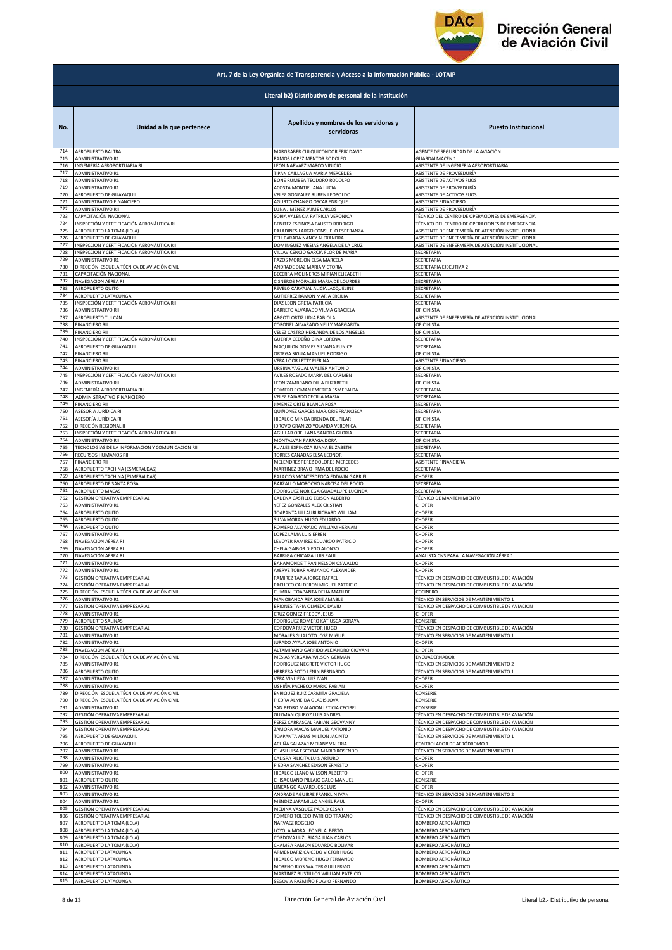

|            | Art. 7 de la Ley Orgánica de Transparencia y Acceso a la Información Pública - LOTAIP |                                                                 |                                                       |  |
|------------|---------------------------------------------------------------------------------------|-----------------------------------------------------------------|-------------------------------------------------------|--|
|            | Literal b2) Distributivo de personal de la institución                                |                                                                 |                                                       |  |
| No.        | Unidad a la que pertenece                                                             | Apellidos y nombres de los servidores y<br>servidoras           | <b>Puesto Institucional</b>                           |  |
| 714        | AEROPUERTO BALTRA                                                                     | MARGRABER CULQUICONDOR ERIK DAVID                               | AGENTE DE SEGURIDAD DE LA AVIACIÓN                    |  |
| 715        | ADMINISTRATIVO R1                                                                     | RAMOS LOPEZ MENTOR RODOLFO                                      | GUARDALMACÉN 1                                        |  |
| 716        | INGENIERÍA AEROPORTUARIA RI                                                           | LEON NARVAEZ MARCO VINICIO                                      | ASISTENTE DE INGENIERÍA AEROPORTUARIA                 |  |
| 717        | <b>ADMINISTRATIVO R1</b>                                                              | TIPAN CAILLAGUA MARIA MERCEDES                                  | ASISTENTE DE PROVEEDURÍA                              |  |
| 718        | ADMINISTRATIVO R1                                                                     | BONE RUMBEA TEODORO RODOLFO                                     | ASISTENTE DE ACTIVOS FIJOS                            |  |
| 719        | ADMINISTRATIVO R1                                                                     | ACOSTA MONTIEL ANA LUCIA                                        | ASISTENTE DE PROVEEDURÍA                              |  |
| 720        | AEROPUERTO DE GUAYAQUIL                                                               | VELEZ GONZALEZ RUBEN LEOPOLDO                                   | ASISTENTE DE ACTIVOS FIJOS                            |  |
| 721        | ADMINISTRATIVO FINANCIERO                                                             | AGURTO CHANGO OSCAR ENRIQUE                                     | ASISTENTE FINANCIERO                                  |  |
| 722        | ADMINISTRATIVO RII                                                                    | LUNA JIMENEZ JAIME CARLOS                                       | ASISTENTE DE PROVEEDURÍA                              |  |
| 723        | CAPACITACIÓN NACIONAL                                                                 | SORIA VALENCIA PATRICIA VERONICA                                | TÉCNICO DEL CENTRO DE OPERACIONES DE EMERGENCIA       |  |
| 724        | INSPECCIÓN Y CERTIFICACIÓN AERONÁUTICA RI                                             | BENITEZ ESPINOSA FAUSTO RODRIGO                                 | TÉCNICO DEL CENTRO DE OPERACIONES DE EMERGENCIA       |  |
| 725        | AEROPUERTO LA TOMA (LOJA)                                                             | PALADINES LARGO CONSUELO ESPERANZA                              | ASISTENTE DE ENFERMERÍA DE ATENCIÓN INSTITUCIONAL     |  |
| 726        | AEROPUERTO DE GUAYAQUIL                                                               | CELI PARADA NANCY ALEXANDRA                                     | ASISTENTE DE ENFERMERÍA DE ATENCIÓN INSTITUCIONAL     |  |
| 727        | INSPECCIÓN Y CERTIFICACIÓN AERONÁUTICA RII                                            | DOMINGUEZ MESIAS ANGELA DE LA CRUZ                              | ASISTENTE DE ENFERMERÍA DE ATENCIÓN INSTITUCIONAL     |  |
| 728        | INSPECCIÓN Y CERTIFICACIÓN AERONÁUTICA RII                                            | VILLAVICENCIO GARCIA FLOR DE MARIA                              | SECRETARIA                                            |  |
| 729        | ADMINISTRATIVO R1                                                                     | PAZOS MOREJON ELSA MARCELA                                      | SECRETARIA                                            |  |
| 730        | DIRECCIÓN ESCUELA TÉCNICA DE AVIACIÓN CIVIL                                           | ANDRADE DIAZ MARIA VICTORIA                                     | SECRETARIA EJECUTIVA 2                                |  |
| 731        | CAPACITACIÓN NACIONAL                                                                 | BECERRA MOLINEROS MIRIAN ELIZABETH                              | SECRETARIA                                            |  |
| 732        | NAVEGACIÓN AÉREA RI                                                                   | CISNEROS MORALES MARIA DE LOURDES                               | SECRETARIA                                            |  |
| 733        | AEROPUERTO QUITO                                                                      | REVELO CARVAJAL ALICIA JACQUELINE                               | SECRETARIA                                            |  |
| 734        | AEROPUERTO LATACUNGA                                                                  | GUTIERREZ RAMON MARIA ERCILIA                                   | SECRETARIA                                            |  |
| 735        | INSPECCIÓN Y CERTIFICACIÓN AERONÁUTICA RII                                            | DIAZ LEON GRETA PATRICIA                                        | SECRETARIA                                            |  |
| 736        | <b>ADMINISTRATIVO RII</b>                                                             | BARRETO ALVARADO VILMA GRACIELA                                 | OFICINISTA                                            |  |
| 737        | AEROPUERTO TULCÁN                                                                     | ARGOTI ORTIZ LIDIA FABIOLA                                      | ASISTENTE DE ENFERMERÍA DE ATENCIÓN INSTITUCIONAL     |  |
| 738        | <b>FINANCIERO RII</b>                                                                 | CORONEL ALVARADO NELLY MARGARITA                                | OFICINISTA                                            |  |
| 739        | <b>FINANCIERO RII</b>                                                                 | VELEZ CASTRO HERLANDA DE LOS ANGELES                            | OFICINISTA                                            |  |
| 740        | INSPECCIÓN Y CERTIFICACIÓN AERONÁUTICA RII                                            | GUERRA CEDEÑO GINA LORENA                                       | <b>SECRETARIA</b>                                     |  |
| 741        | AEROPUERTO DE GUAYAQUIL                                                               | MAQUILON GOMEZ SILVANA EUNICE                                   | SECRETARIA                                            |  |
| 742        | <b>FINANCIERO RII</b>                                                                 | ORTEGA SIGUA MANUEL RODRIGO                                     | OFICINISTA                                            |  |
| 743        | <b>FINANCIERO RII</b>                                                                 | VERA LOOR LETTY PIERINA                                         | ASISTENTE FINANCIERO                                  |  |
| 744        | ADMINISTRATIVO RII<br>INSPECCIÓN Y CERTIFICACIÓN AERONÁUTICA RII                      | URBINA YAGUAL WALTER ANTONIO                                    | OFICINISTA<br>SECRETARIA                              |  |
| 745<br>746 | <b>ADMINISTRATIVO RII</b>                                                             | AVILES ROSADO MARIA DEL CARMEN<br>LEON ZAMBRANO DILIA ELIZABETH | OFICINISTA                                            |  |
| 747        | INGENIERÍA AEROPORTUARIA RII                                                          | ROMERO ROMAN EMERITA ESMERALDA                                  | SECRETARIA                                            |  |
| 748        | ADMINISTRATIVO FINANCIERO                                                             | VELEZ FAJARDO CECILIA MARIA                                     | SECRETARIA                                            |  |
| 749        | <b>FINANCIERO RII</b>                                                                 | JIMENEZ ORTIZ BLANCA ROSA                                       | SECRETARIA                                            |  |
| 750        | ASESORÍA JURÍDICA RII                                                                 | QUIÑONEZ GARCES MARJORIE FRANCISCA                              | ECRETARIA                                             |  |
| 751        | ASESORÍA JURÍDICA RII                                                                 | HIDALGO MINDA BRENDA DEL PILAR                                  | OFICINISTA                                            |  |
| 752        | DIRECCIÓN REGIONAL II                                                                 | IDROVO GRANIZO YOLANDA VERONICA                                 | SECRETARIA                                            |  |
| 753        | INSPECCIÓN Y CERTIFICACIÓN AERONÁUTICA RII                                            | AGUILAR ORELLANA SANDRA GLORIA                                  | SECRETARIA                                            |  |
| 754        | ADMINISTRATIVO RII                                                                    | MONTALVAN PARRAGA DORA                                          | OFICINISTA                                            |  |
| 755        | TECNOLOGÍAS DE LA INFORMACIÓN Y COMUNICACIÓN RII                                      | RUALES ESPINOZA JUANA ELIZABETH                                 | <b>SECRETARIA</b>                                     |  |
| 756        | RECURSOS HUMANOS RII                                                                  | TORRES CANADAS ELSA LEONOR                                      | SECRETARIA                                            |  |
| 757        | <b>FINANCIERO RII</b>                                                                 | MELENDREZ PEREZ DOLORES MERCEDES                                | ASISTENTE FINANCIERA                                  |  |
| 758        | AEROPUERTO TACHINA (ESMERALDAS)                                                       | MARTINEZ BRAVO IRMA DEL ROCIO                                   | SECRETARIA                                            |  |
| 759        | AEROPUERTO TACHINA (ESMERALDAS)                                                       | PALACIOS MONTESDEOCA EDDWIN GABRIEL                             | CHOFER                                                |  |
| 760        | AEROPUERTO DE SANTA ROSA                                                              | BARZALLO MOROCHO NARCISA DEL ROCIO                              | SECRETARIA                                            |  |
| 761        | AEROPUERTO MACAS                                                                      | RODRIGUEZ NORIEGA GUADALUPE LUCINDA                             | SECRETARIA                                            |  |
| 762        | GESTIÓN OPERATIVA EMPRESARIAL                                                         | CADENA CASTILLO EDISON ALBERTO                                  | TÉCNICO DE MANTENIMIENTO                              |  |
| 763        | ADMINISTRATIVO R1                                                                     | YEPEZ GONZALES ALEX CRISTIAN                                    | CHOFER                                                |  |
| 764        | AEROPUERTO QUITO                                                                      | TOAPANTA ULLAURI RICHARD WILLIAM                                | CHOFER                                                |  |
| 765        | AEROPUERTO QUITO                                                                      | SILVA MORAN HUGO EDUARDO                                        | <b>HOFER</b>                                          |  |
| 766        | AEROPUERTO QUITO                                                                      | ROMERO ALVARADO WILLIAM HERNAN                                  | CHOFER                                                |  |
| 767        | ADMINISTRATIVO R1                                                                     | LOPEZ LAMA LUIS EFREN                                           | CHOFER                                                |  |
| 768        | NAVEGACIÓN AÉREA RI                                                                   | LEVOYER RAMIREZ EDUARDO PATRICIO                                | CHOFER                                                |  |
| 769        | NAVEGACIÓN AÉREA RI                                                                   | CHELA GAIBOR DIEGO ALONSO                                       | CHOFER                                                |  |
| 770        | NAVEGACIÓN AÉREA RI                                                                   | BARRIGA CHICAIZA LUIS PAUL                                      | ANALISTA CNS PARA LA NAVEGACIÓN AÉREA 1               |  |
| 771        | ADMINISTRATIVO R1                                                                     | BAHAMONDE TIPAN NELSON OSWALDO                                  | CHOFER                                                |  |
| 772        | <b>ADMINISTRATIVO R1</b>                                                              | AYERVE TOBAR ARMANDO ALEXANDER                                  | CHOFER                                                |  |
| 773        | GESTIÓN OPERATIVA EMPRESARIAL                                                         | RAMIREZ TAPIA JORGE RAFAEL                                      | TÉCNICO EN DESPACHO DE COMBUSTIBLE DE AVIACIÓN        |  |
| 774        | GESTIÓN OPERATIVA EMPRESARIAL                                                         | PACHECO CALDERON MIGUEL PATRICIO                                | TÉCNICO EN DESPACHO DE COMBUSTIBLE DE AVIACIÓN        |  |
| 775        | DIRECCIÓN ESCUELA TÉCNICA DE AVIACIÓN CIVIL                                           | CUMBAL TOAPANTA DELIA MATILDE                                   | COCINERO                                              |  |
| 776        | <b>ADMINISTRATIVO R1</b>                                                              | MANOBANDA REA JOSE AMABLE                                       | TÉCNICO EN SERVICIOS DE MANTENIMIENTO 1               |  |
| 777<br>778 | GESTIÓN OPERATIVA EMPRESARIAL                                                         | BRIONES TAPIA OLMEDO DAVID<br>CRUZ GOMEZ FREDDY JESUS           | <b>FÉCNICO EN DESPACHO DE COMBUSTIBLE DE AVIACIÓN</b> |  |
| 779        | ADMINISTRATIVO R1<br>AEROPUERTO SALINAS                                               | RODRIGUEZ ROMERO KATIUSCA SORAYA                                | CHOFER<br>CONSERJE                                    |  |
| 780        | GESTIÓN OPERATIVA EMPRESARIAL                                                         | CORDOVA RUIZ VICTOR HUGO                                        | ÉCNICO EN DESPACHO DE COMBUSTIBLE DE AVIACIÓN         |  |
| 781        | ADMINISTRATIVO R1                                                                     | MORALES GUALOTO JOSE MIGUEL                                     | ÉCNICO EN SERVICIOS DE MANTENIMIENTO 1                |  |
| 782        | ADMINISTRATIVO R1                                                                     | JURADO AYALA JOSE ANTONIO                                       | CHOFER                                                |  |
| 783        | NAVEGACIÓN AÉREA RI                                                                   | ALTAMIRANO GARRIDO ALEJANDRO GIOVANI                            | CHOFER                                                |  |
| 784        | DIRECCIÓN ESCUELA TÉCNICA DE AVIACIÓN CIVIL                                           | MESIAS VERGARA WILSON GERMAN                                    | ENCUADERNADOR                                         |  |
| 785        | ADMINISTRATIVO R1                                                                     | RODRIGUEZ NEGRETE VICTOR HUGO                                   | <b>FÉCNICO EN SERVICIOS DE MANTENIMIENTO 2</b>        |  |
| 786        | AEROPUERTO QUITO                                                                      | HERRERA SOTO LENIN BERNARDO                                     | TÉCNICO EN SERVICIOS DE MANTENIMIENTO 1               |  |
| 787        | ADMINISTRATIVO R1                                                                     | VERA VINUEZA LUIS IVAN                                          | CHOFER                                                |  |
| 788        | ADMINISTRATIVO R1                                                                     | USHIÑA PACHECO MARIO FABIAN                                     | CHOFER                                                |  |
| 789        | DIRECCIÓN ESCUELA TÉCNICA DE AVIACIÓN CIVIL                                           | ENRIQUEZ RUIZ CARMITA GRACIELA                                  | CONSERJE                                              |  |
| 790        | DIRECCIÓN ESCUELA TÉCNICA DE AVIACIÓN CIVIL                                           | PIEDRA ALMEIDA GLADIS JOVA                                      | CONSERJE                                              |  |
| 791        | <b>ADMINISTRATIVO R1</b>                                                              | SAN PEDRO MALAGON LETICIA CECIBEL                               | CONSERJE                                              |  |
| 792        | GESTIÓN OPERATIVA EMPRESARIAL                                                         | <b>GUZMAN QUIROZ LUIS ANDRES</b>                                | <b>FÉCNICO EN DESPACHO DE COMBUSTIBLE DE AVIACIÓN</b> |  |
| 793        | GESTIÓN OPERATIVA EMPRESARIAL                                                         | PEREZ CARRASCAL FABIAN GEOVANNY                                 | TÉCNICO EN DESPACHO DE COMBUSTIBLE DE AVIACIÓN        |  |
| 794        | GESTIÓN OPERATIVA EMPRESARIAL                                                         | ZAMORA MACAS MANUEL ANTONIO                                     | TÉCNICO EN DESPACHO DE COMBUSTIBLE DE AVIACIÓN        |  |
| 795        | AEROPUERTO DE GUAYAQUIL                                                               | TOAPANTA ARIAS MILTON JACINTO                                   | ÉCNICO EN SERVICIOS DE MANTENIMIENTO 1                |  |
| 796        | AEROPUERTO DE GUAYAQUIL                                                               | ACUÑA SALAZAR MELANY VALERIA                                    | CONTROLADOR DE AERÓDROMO 1                            |  |
| 797        | ADMINISTRATIVO R1                                                                     | CHASILUISA ESCOBAR MARIO ROSENDO                                | TÉCNICO EN SERVICIOS DE MANTENIMIENTO 1               |  |
| 798        | ADMINISTRATIVO R1                                                                     | CALISPA PILICITA LUIS ARTURO                                    | CHOFER                                                |  |
| 799        | <b>ADMINISTRATIVO R1</b>                                                              | PIEDRA SANCHEZ EDISON ERNESTO                                   | CHOFER                                                |  |
| 800        | ADMINISTRATIVO R1                                                                     | HIDALGO LLANO WILSON ALBERTO                                    | CHOFER                                                |  |
| 801        | AEROPUERTO QUITO                                                                      | CHISAGUANO PILLAJO GALO MANUEL                                  | CONSERJE                                              |  |
| 802        | ADMINISTRATIVO R1                                                                     | LINCANGO ALVARO JOSE LUIS                                       | CHOFER                                                |  |
| 803        | ADMINISTRATIVO R1                                                                     | ANDRADE AGUIRRE FRANKLIN IVAN                                   | <b>FÉCNICO EN SERVICIOS DE MANTENIMIENTO 2</b>        |  |
| 804        | ADMINISTRATIVO R1                                                                     | MENDEZ JARAMILLO ANGEL RAUL                                     | <b>CHOFER</b>                                         |  |
| 805        | GESTIÓN OPERATIVA EMPRESARIAL                                                         | MEDINA VASQUEZ PAOLO CESAR                                      | TÉCNICO EN DESPACHO DE COMBUSTIBLE DE AVIACIÓN        |  |
| 806        | GESTIÓN OPERATIVA EMPRESARIAL                                                         | ROMERO TOLEDO PATRICIO TRAJANO                                  | TÉCNICO EN DESPACHO DE COMBUSTIBLE DE AVIACIÓN        |  |
| 807        | AEROPUERTO LA TOMA (LOJA)                                                             | NARVAEZ ROGELIO                                                 | BOMBERO AERONÁUTICO                                   |  |
| 808        | AEROPUERTO LA TOMA (LOJA)                                                             | LOYOLA MORA LEONEL ALBERTO                                      | BOMBERO AERONÁUTICO                                   |  |
|            | AEROPUERTO LA TOMA (LOJA)                                                             | CORDOVA LUZURIAGA JUAN CARLOS                                   | BOMBERO AERONÁUTICO                                   |  |
| 809<br>810 | AEROPUERTO LA TOMA (LOJA)                                                             | CHAMBA RAMON EDUARDO BOLIVAR                                    | <b>3OMBERO AERONÁUTICO</b>                            |  |
| 811        | AEROPUERTO LATACUNGA                                                                  | ARMENDARIZ CAICEDO VICTOR HUGO                                  | <b>3OMBERO AERONÁUTICO</b>                            |  |
| 812        | AEROPUERTO LATACUNGA                                                                  | HIDALGO MORENO HUGO FERNANDO                                    | BOMBERO AERONÁUTICO                                   |  |
| 813        | AEROPUERTO LATACUNGA                                                                  | MORENO RIOS WALTER GUILLERMO                                    | BOMBERO AERONÁUTICO                                   |  |
| 814        | AEROPUERTO LATACUNGA                                                                  | MARTINEZ BUSTILLOS WILLIAM PATRICIO                             | BOMBERO AERONÁUTICO                                   |  |
| 815        | AEROPUERTO LATACUNGA                                                                  | SEGOVIA PAZMIÑO FLAVIO FERNANDO                                 | BOMBERO AERONÁUTICO                                   |  |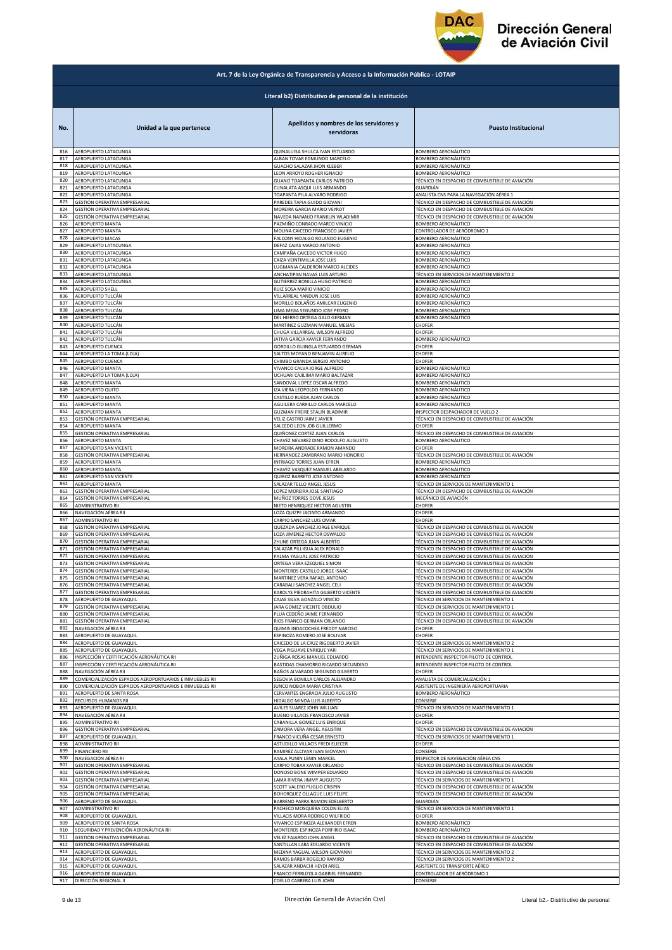

|                                                        | Art. 7 de la Ley Orgánica de Transparencia y Acceso a la Información Pública - LOTAIP |                                                                  |                                                                                                  |  |
|--------------------------------------------------------|---------------------------------------------------------------------------------------|------------------------------------------------------------------|--------------------------------------------------------------------------------------------------|--|
| Literal b2) Distributivo de personal de la institución |                                                                                       |                                                                  |                                                                                                  |  |
| No.                                                    | Unidad a la que pertenece                                                             | Apellidos y nombres de los servidores y<br>servidoras            | <b>Puesto Institucional</b>                                                                      |  |
| 816                                                    | AEROPUERTO LATACUNGA                                                                  | QUINALUISA SHULCA IVAN ESTUARDO                                  | BOMBERO AERONÁUTICO                                                                              |  |
| 817                                                    | AEROPUERTO LATACUNGA                                                                  | ALBAN TOVAR EDMUNDO MARCELO                                      | BOMBERO AERONÁUTICO                                                                              |  |
| 818                                                    | AEROPUERTO LATACUNGA                                                                  | GUACHO SALAZAR JHON KLEBER                                       | BOMBERO AERONÁUTICO                                                                              |  |
| 819                                                    | AEROPUERTO LATACUNGA                                                                  | LEON ARROYO ROGHER IGNACIO                                       | BOMBERO AERONÁUTICO                                                                              |  |
| 820                                                    | AEROPUERTO LATACUNGA                                                                  | GUANO TOAPANTA CARLOS PATRICIO                                   | TÉCNICO EN DESPACHO DE COMBUSTIBLE DE AVIACIÓN                                                   |  |
| 821                                                    | AEROPUERTO LATACUNGA                                                                  | CUNALATA ASQUI LUIS ARMANDO                                      | GUARDIÁN                                                                                         |  |
| 822                                                    | AEROPUERTO LATACUNGA                                                                  | TOAPANTA PILA ALVARO RODRIGO                                     | ANALISTA CNS PARA LA NAVEGACIÓN AÉREA 1                                                          |  |
| 823                                                    | GESTIÓN OPERATIVA EMPRESARIAL                                                         | PAREDES TAPIA GUIDO GIOVANI                                      | TÉCNICO EN DESPACHO DE COMBUSTIBLE DE AVIACIÓN                                                   |  |
| 824                                                    | GESTIÓN OPERATIVA EMPRESARIAL                                                         | MOREIRA GARCIA MARIO VEYROT                                      | TÉCNICO EN DESPACHO DE COMBUSTIBLE DE AVIACIÓN                                                   |  |
| 825                                                    | GESTIÓN OPERATIVA EMPRESARIAL                                                         | NAVEDA NARANJO FRANKLIN WLADIMIR                                 | TÉCNICO EN DESPACHO DE COMBUSTIBLE DE AVIACIÓN                                                   |  |
| 826                                                    | AEROPUERTO MANTA                                                                      | PAZMIÑO CONRADO MARCO VINICIO                                    | BOMBERO AERONÁUTICO                                                                              |  |
| 827                                                    | AEROPUERTO MANTA                                                                      | MOLINA CAICEDO FRANCISCO JAVIER                                  | CONTROLADOR DE AERÓDROMO 1                                                                       |  |
| 828                                                    | AEROPUERTO MACAS                                                                      | FALCONY HIDALGO ROLANDO EUGENIO                                  | BOMBERO AERONÁUTICO                                                                              |  |
| 829<br>830                                             | AEROPUERTO LATACUNGA                                                                  | DEFAZ CAJAS MARCO ANTONIO                                        | BOMBERO AERONÁUTICO                                                                              |  |
| 831                                                    | AEROPUERTO LATACUNGA                                                                  | CAMPAÑA CAICEDO VICTOR HUGO                                      | BOMBERO AERONÁUTICO                                                                              |  |
|                                                        | AEROPUERTO LATACUNGA                                                                  | CAIZA VEINTIMILLA JOSE LUIS                                      | BOMBERO AERONÁUTICO                                                                              |  |
| 832                                                    | AEROPUERTO LATACUNGA                                                                  | LUGMANIA CALDERON MARCO ALCIDES                                  | BOMBERO AERONÁUTICO                                                                              |  |
| 833                                                    | AEROPUERTO LATACUNGA                                                                  | ANCHATIPAN NAVAS LUIS ARTURO                                     | TÉCNICO EN SERVICIOS DE MANTENIMIENTO 2                                                          |  |
| 834                                                    | AEROPUERTO LATACUNGA                                                                  | <b>GUTIERREZ BONILLA HUGO PATRICIO</b>                           | BOMBERO AERONÁUTICO                                                                              |  |
| 835                                                    | AEROPUERTO SHELL                                                                      | RUIZ SOSA MARIO VINICIO                                          | BOMBERO AERONÁUTICO                                                                              |  |
| 836                                                    | AEROPUERTO TULCÁN                                                                     | VILLARREAL YANDUN JOSE LUIS                                      | <b>BOMBERO AERONÁUTICO</b>                                                                       |  |
| 837                                                    | AEROPUERTO TULCÁN                                                                     |                                                                  | BOMBERO AERONÁUTICO                                                                              |  |
| 838                                                    | AEROPUERTO TULCÁN                                                                     | MORILLO BOLAÑOS AMILCAR EUGENIO<br>LIMA MEJIA SEGUNDO JOSE PEDRO | BOMBERO AERONÁUTICO                                                                              |  |
| 839                                                    | AEROPUERTO TULCÁN                                                                     | DEL HIERRO ORTEGA GALO GERMAN                                    | BOMBERO AERONÁUTICO                                                                              |  |
| 840                                                    | AEROPUERTO TULCÁN                                                                     | MARTINEZ GUZMAN MANUEL MESIAS                                    | CHOFER                                                                                           |  |
| 841                                                    | AEROPUERTO TULCÁN                                                                     | CHUGA VILLARREAL WILSON ALFREDO                                  | CHOFER                                                                                           |  |
| 842                                                    | AEROPUERTO TULCÁN                                                                     | JATIVA GARCIA XAVIER FERNANDO                                    | BOMBERO AERONÁUTICO                                                                              |  |
| 843                                                    | AEROPUERTO CUENCA                                                                     | GORDILLO GUINGLA ESTUARDO GERMAN                                 | CHOFER                                                                                           |  |
| 844                                                    | AEROPUERTO LA TOMA (LOJA)                                                             | SALTOS MOYANO BENJAMIN AURELIO                                   | CHOFER                                                                                           |  |
| 845                                                    | AEROPUERTO CUENCA                                                                     | CHIMBO GRANDA SERGIO ANTONIO                                     | CHOFER                                                                                           |  |
| 846                                                    | <b>AEROPUERTO MANTA</b>                                                               | VIVANCO CALVA JORGE ALFREDO                                      | <b>BOMBERO AERONÁUTICO</b>                                                                       |  |
| 847                                                    | AEROPUERTO LA TOMA (LOJA)                                                             | UCHUARI CAJILIMA MARIO BALTAZAR                                  | BOMBERO AERONÁUTICO                                                                              |  |
| 848                                                    | AEROPUERTO MANTA                                                                      | SANDOVAL LOPEZ OSCAR ALFREDO                                     | BOMBERO AERONÁUTICO                                                                              |  |
| 849                                                    | AEROPUERTO QUITO                                                                      | <b>ZA VIERA LEOPOLDO FERNANDO</b>                                | BOMBERO AERONÁUTICO                                                                              |  |
| 850                                                    | <b>AEROPUERTO MANTA</b>                                                               | CASTILLO RUEDA JUAN CARLOS                                       | BOMBERO AERONÁUTICO                                                                              |  |
| 851                                                    | AEROPUERTO MANTA                                                                      | AGUILERA CARRILLO CARLOS MARCELO                                 | BOMBERO AERONÁUTICO                                                                              |  |
| 852                                                    | AEROPUERTO MANTA                                                                      | GUZMAN FREIRE STALIN BLADIMIR                                    | INSPECTOR DESPACHADOR DE VUELO 2                                                                 |  |
| 853                                                    | GESTIÓN OPERATIVA EMPRESARIAL                                                         | VELIZ CASTRO JAIME JAVIER                                        | TÉCNICO EN DESPACHO DE COMBUSTIBLE DE AVIACIÓN                                                   |  |
| 854                                                    | AEROPUERTO MANTA                                                                      | SALCEDO LEON JOB GUILLERMO                                       | CHOFER                                                                                           |  |
| 855                                                    | GESTIÓN OPERATIVA EMPRESARIAL                                                         | QUIÑONEZ CORTEZ JUAN CARLOS                                      | TÉCNICO EN DESPACHO DE COMBUSTIBLE DE AVIACIÓN                                                   |  |
| 856                                                    | AEROPUERTO MANTA                                                                      | CHAVEZ NEVAREZ DINO RODOLFO AUGUSTO                              | BOMBERO AERONÁUTICO                                                                              |  |
| 857                                                    | AEROPUERTO SAN VICENTE                                                                | MOREIRA ANDRADE RAMON AMANDO                                     | CHOFER                                                                                           |  |
| 858                                                    | GESTIÓN OPERATIVA EMPRESARIAL                                                         | HERNANDEZ ZAMBRANO MARIO HONORIO                                 | TÉCNICO EN DESPACHO DE COMBUSTIBLE DE AVIACIÓN                                                   |  |
| 859                                                    | AEROPUERTO MANTA                                                                      | INTRIAGO TORRES JUAN EFREN                                       | BOMBERO AERONÁUTICO                                                                              |  |
| 860                                                    | AEROPUERTO MANTA                                                                      | CHAVEZ VASQUEZ MANUEL ABELARDO                                   | BOMBERO AERONÁUTICO                                                                              |  |
| 861                                                    | AEROPUERTO SAN VICENTE                                                                | QUIROZ BARRETO JOSE ANTONIO                                      | BOMBERO AERONÁUTICO                                                                              |  |
| 862                                                    | AEROPUERTO MANTA                                                                      | SALAZAR TELLO ANGEL JESUS                                        | TÉCNICO EN SERVICIOS DE MANTENIMIENTO 1                                                          |  |
| 863                                                    | GESTIÓN OPERATIVA EMPRESARIAL                                                         | LOPEZ MOREIRA JOSE SANTIAGO                                      | TÉCNICO EN DESPACHO DE COMBUSTIBLE DE AVIACIÓN                                                   |  |
| 864                                                    | GESTIÓN OPERATIVA EMPRESARIAL                                                         | MUÑOZ TORRES DOVE JESUS                                          | MECÁNICO DE AVIACIÓN                                                                             |  |
| 865                                                    | <b>ADMINISTRATIVO RII</b>                                                             | NIETO HENRIQUEZ HECTOR AGUSTIN                                   | CHOFER                                                                                           |  |
| 866                                                    | NAVEGACIÓN AÉREA RII                                                                  | LOZA QUIZPE JACINTO ARMANDO                                      | CHOFER                                                                                           |  |
| 867                                                    | ADMINISTRATIVO RII                                                                    | CARPIO SANCHEZ LUIS OMAR                                         | CHOFER                                                                                           |  |
| 868                                                    | GESTIÓN OPERATIVA EMPRESARIAL                                                         | QUEZADA SANCHEZ JORGE ENRIQUE                                    | TÉCNICO EN DESPACHO DE COMBUSTIBLE DE AVIACIÓN                                                   |  |
| 869                                                    | GESTIÓN OPERATIVA EMPRESARIAL                                                         | LOZA JIMENEZ HECTOR OSWALDO                                      | TÉCNICO EN DESPACHO DE COMBUSTIBLE DE AVIACIÓN                                                   |  |
| 870<br>871                                             | GESTIÓN OPERATIVA EMPRESARIAL                                                         | ZHUNE ORTEGA JUAN ALBERTO                                        | TÉCNICO EN DESPACHO DE COMBUSTIBLE DE AVIACIÓN<br>TÉCNICO EN DESPACHO DE COMBUSTIBLE DE AVIACIÓN |  |
| 872                                                    | GESTIÓN OPERATIVA EMPRESARIAL<br>GESTIÓN OPERATIVA EMPRESARIAL                        | SALAZAR PILLIGUA ALEX RONALD<br>PALMA YAGUAL JOSE PATRICIO       | TÉCNICO EN DESPACHO DE COMBUSTIBLE DE AVIACIÓN                                                   |  |
| 873                                                    | GESTIÓN OPERATIVA EMPRESARIAL                                                         | ORTEGA VERA EZEQUIEL SIMON                                       | TÉCNICO EN DESPACHO DE COMBUSTIBLE DE AVIACIÓN                                                   |  |
| 874                                                    | <b>GESTIÓN OPERATIVA EMPRESARIA</b>                                                   | MONTEROS CASTILLO JORGE ISAA                                     | TÉCNICO EN DESPACHO DE COMBLISTIBLE DE AVIACIÓN                                                  |  |
| 875                                                    | GESTIÓN OPERATIVA EMPRESARIAL                                                         | MARTINEZ VERA RAFAEL ANTONIO                                     | TÉCNICO EN DESPACHO DE COMBUSTIBLE DE AVIACIÓN                                                   |  |
| 876                                                    | GESTIÓN OPERATIVA EMPRESARIAL                                                         | CARABALI SANCHEZ ANGEL CELI                                      | TÉCNICO EN DESPACHO DE COMBUSTIBLE DE AVIACIÓN                                                   |  |
| 877                                                    | GESTIÓN OPERATIVA EMPRESARIAL                                                         | KAROLYS PIEDRAHITA GILBERTO VICENTE                              | TÉCNICO EN DESPACHO DE COMBUSTIBLE DE AVIACIÓN                                                   |  |
| 878                                                    | AEROPUERTO DE GUAYAQUIL                                                               | CAJAS SILVA GONZALO VINICIO                                      | TÉCNICO EN SERVICIOS DE MANTENIMIENTO 1                                                          |  |
| 879                                                    | GESTIÓN OPERATIVA EMPRESARIAL                                                         | ARA GOMEZ VICENTE OBDULIO                                        | TÉCNICO EN SERVICIOS DE MANTENIMIENTO 1                                                          |  |
| 880                                                    | GESTIÓN OPERATIVA EMPRESARIAL                                                         | PLUA CEDEÑO JAIME FERNANDO                                       | TÉCNICO EN DESPACHO DE COMBUSTIBLE DE AVIACIÓN                                                   |  |
| 881                                                    | GESTIÓN OPERATIVA EMPRESARIAL                                                         | RIOS FRANCO GERMAN ORLANDO                                       | TÉCNICO EN DESPACHO DE COMBUSTIBLE DE AVIACIÓN                                                   |  |
| 882                                                    | NAVEGACIÓN AÉREA RII                                                                  | QUIMIS INDACOCHEA FREDDY NARCISO                                 | CHOFER                                                                                           |  |
| 883                                                    | AEROPUERTO DE GUAYAQUIL                                                               | ESPINOZA ROMERO JOSE BOLIVAR                                     | CHOFER                                                                                           |  |
| 884                                                    | AEROPUERTO DE GUAYAQUIL                                                               | CAICEDO DE LA CRUZ RIGOBERTO JAVIER                              | TÉCNICO EN SERVICIOS DE MANTENIMIENTO 2                                                          |  |
| 885                                                    | AEROPUERTO DE GUAYAQUIL                                                               | <b>VEGA PIGUAVE ENRIQUE YARI</b>                                 | TÉCNICO EN SERVICIOS DE MANTENIMIENTO 1                                                          |  |
| 886                                                    | INSPECCIÓN Y CERTIFICACIÓN AERONÁUTICA RII                                            | ZUÑIGA ROSAS MANUEL EDUARDO                                      | INTENDENTE INSPECTOR PILOTO DE CONTROL                                                           |  |
| 887                                                    | INSPECCIÓN Y CERTIFICACIÓN AERONÁUTICA RII                                            | BASTIDAS CHAMORRO RICARDO SECUNDINO                              | INTENDENTE INSPECTOR PILOTO DE CONTROL                                                           |  |
| 888                                                    | NAVEGACIÓN AÉREA RII                                                                  | BAÑOS ALVARADO SEGUNDO GILBERTO                                  | CHOFER                                                                                           |  |
| 889                                                    | COMERCIALIZACIÓN ESPACIOS AEROPORTUARIOS E INMUEBLES RII                              | SEGOVIA BONILLA CARLOS ALEJANDRO                                 |                                                                                                  |  |
| 890                                                    | COMERCIALIZACIÓN ESPACIOS AEROPORTUARIOS E INMUEBLES RII                              | JUNCO NOBOA MARIA CRISTINA                                       | ANALISTA DE COMERCIALIZACIÓN 1<br>ASISTENTE DE INGENIERÍA AEROPORTUARIA                          |  |
| 891                                                    | AEROPUERTO DE SANTA ROSA                                                              | CERVANTES ENGRACIA JULIO AUGUSTO                                 | <b>BOMBERO AERONÁUTICO</b>                                                                       |  |
| 892                                                    | RECURSOS HUMANOS RII                                                                  | HIDALGO MINDA LUIS ALBERTO                                       | CONSERJE                                                                                         |  |
| 893                                                    | AEROPUERTO DE GUAYAQUIL                                                               | AVILES SUAREZ JOHN WILLIAN                                       | TÉCNICO EN SERVICIOS DE MANTENIMIENTO 1                                                          |  |
| 894                                                    | NAVEGACIÓN AÉREA RII                                                                  | BUENO VILLACIS FRANCISCO JAVIER                                  | CHOFER                                                                                           |  |
| 895                                                    | ADMINISTRATIVO RII                                                                    | CABANILLA GOMEZ LUIS ENRIQUE                                     | CHOFER                                                                                           |  |
| 896                                                    | GESTIÓN OPERATIVA EMPRESARIAL                                                         | ZAMORA VERA ANGEL AGUSTIN                                        | TÉCNICO EN DESPACHO DE COMBUSTIBLE DE AVIACIÓN                                                   |  |
| 897<br>898                                             | AEROPUERTO DE GUAYAQUIL                                                               | FRANCO VICUÑA CESAR ERNESTO                                      | TÉCNICO EN SERVICIOS DE MANTENIMIENTO 1                                                          |  |
| 899                                                    | ADMINISTRATIVO RII                                                                    | ASTUDILLO VILLACIS FREDI ELIECER                                 | CHOFER                                                                                           |  |
|                                                        | <b>FINANCIERO RII</b>                                                                 | RAMIREZ ALCIVAR IVAN GIOVANNI                                    | CONSERJE                                                                                         |  |
| 900                                                    | NAVEGACIÓN AÉREA RI                                                                   | AYALA PUNIN LENIN MARCEL                                         | INSPECTOR DE NAVEGACIÓN AÉREA CNS                                                                |  |
| 901                                                    | GESTIÓN OPERATIVA EMPRESARIAL                                                         | CARPIO TOBAR XAVIER ORLANDO                                      | TÉCNICO EN DESPACHO DE COMBUSTIBLE DE AVIACIÓN                                                   |  |
| 902                                                    | GESTIÓN OPERATIVA EMPRESARIAL                                                         | DONOSO BONE WIMPER EDUARDO                                       | TÉCNICO EN DESPACHO DE COMBUSTIBLE DE AVIACIÓN                                                   |  |
| 903                                                    | GESTIÓN OPERATIVA EMPRESARIAL                                                         | LAMA RIVERA JIMMY AUGUSTO                                        | TÉCNICO EN SERVICIOS DE MANTENIMIENTO 1                                                          |  |
| 904                                                    | GESTIÓN OPERATIVA EMPRESARIAL                                                         | SCOTT VALERO PUGLIO CRISPIN                                      | TÉCNICO EN DESPACHO DE COMBUSTIBLE DE AVIACIÓN                                                   |  |
| 905                                                    | GESTIÓN OPERATIVA EMPRESARIAL                                                         | BOHORQUEZ OLLAGUE LUIS FELIPE                                    | TÉCNICO EN DESPACHO DE COMBUSTIBLE DE AVIACIÓN                                                   |  |
| 906                                                    | AEROPUERTO DE GUAYAQUIL                                                               | BARRENO PARRA RAMON EDELBERTO                                    | GUARDIÁN                                                                                         |  |
| 907                                                    | ADMINISTRATIVO RII                                                                    | PACHECO MOSQUERA COLON ELIAS                                     | TÉCNICO EN SERVICIOS DE MANTENIMIENTO 1                                                          |  |
| 908                                                    | AEROPUERTO DE GUAYAQUIL                                                               | VILLACIS MORA RODRIGO WILFRIDO                                   | CHOFER                                                                                           |  |
| 909                                                    | AEROPUERTO DE SANTA ROSA                                                              | VIVANCO ESPINOZA ALEXANDER EFREN                                 | BOMBERO AERONÁUTICO                                                                              |  |
| 910                                                    | SEGURIDAD Y PREVENCIÓN AERONÁUTICA RII                                                | MONTEROS ESPINOZA PORFIRIO ISAAC                                 | BOMBERO AERONÁUTICO                                                                              |  |
| 911                                                    | GESTIÓN OPERATIVA EMPRESARIAL                                                         | VELEZ FAJARDO JOHN ANGEL                                         | TÉCNICO EN DESPACHO DE COMBUSTIBLE DE AVIACIÓN                                                   |  |
| 912                                                    | GESTIÓN OPERATIVA EMPRESARIAL                                                         | SANTILLAN LARA EDUARDO VICENTE                                   | TÉCNICO EN DESPACHO DE COMBUSTIBLE DE AVIACIÓN                                                   |  |
| 913                                                    | AEROPUERTO DE GUAYAQUIL                                                               | MEDINA YAGUAL WILSON GIOVANNI                                    | TÉCNICO EN SERVICIOS DE MANTENIMIENTO 2                                                          |  |
| 914                                                    | AEROPUERTO DE GUAYAQUIL                                                               | RAMOS BARBA ROGELIO RAMIRO                                       | TÉCNICO EN SERVICIOS DE MANTENIMIENTO 2                                                          |  |
| 915                                                    | AEROPUERTO DE GUAYAQUIL                                                               | SALAZAR ANDACHI HEYDI ARIEL                                      | ASISTENTE DE TRANSPORTE AÉREO                                                                    |  |
| 916                                                    | AEROPUERTO DE GUAYAQUIL                                                               | FRANCO FERRUZOLA GABRIEL FERNANDO                                | CONTROLADOR DE AERÓDROMO 1                                                                       |  |
| 917                                                    | DIRECCIÓN REGIONAL II                                                                 | COELLO CABRERA LUIS JOHN                                         | CONSERJE                                                                                         |  |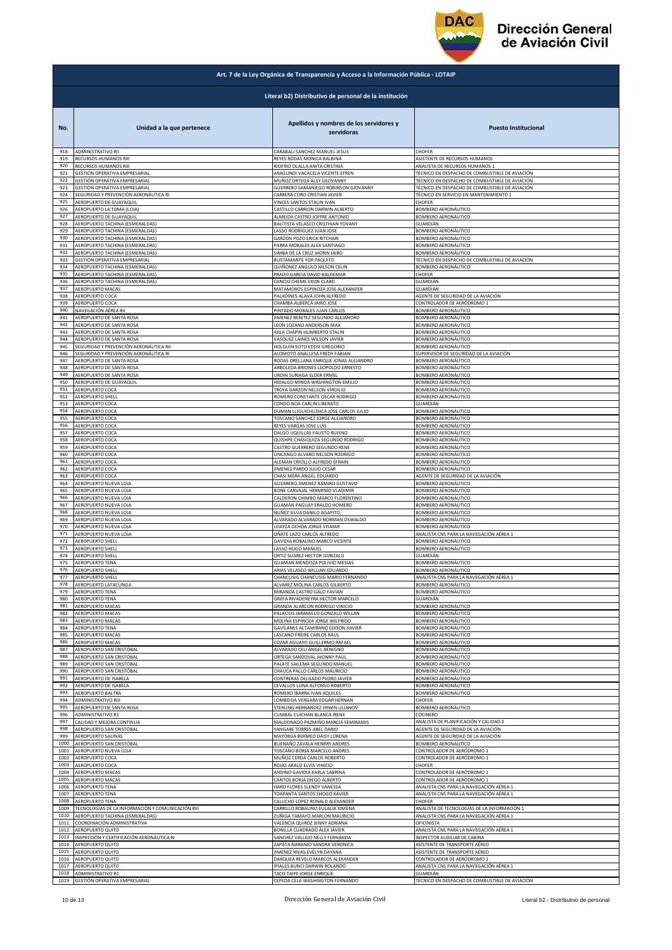

|              | Art. 7 de la Ley Orgánica de Transparencia y Acceso a la Información Pública - LOTAIP |                                                                 |                                                                         |  |
|--------------|---------------------------------------------------------------------------------------|-----------------------------------------------------------------|-------------------------------------------------------------------------|--|
|              | Literal b2) Distributivo de personal de la institución                                |                                                                 |                                                                         |  |
| No.          | Unidad a la que pertenece                                                             | Apellidos y nombres de los servidores y<br>servidoras           | <b>Puesto Institucional</b>                                             |  |
| 918          | ADMINISTRATIVO RII                                                                    | CARABALI SANCHEZ MANUEL JESUS                                   | CHOFER                                                                  |  |
| 919          | RECURSOS HUMANOS RIII                                                                 | REYES RODAS MONICA BALBINA                                      | ASISTENTE DE RECURSOS HUMANOS                                           |  |
| 920<br>921   | RECURSOS HUMANOS RIII                                                                 | RIOFRIO OLALLA ANITA CRISTINA                                   | ANALISTA DE RECURSOS HUMANOS 1                                          |  |
| 922          | GESTIÓN OPERATIVA EMPRESARIAL                                                         | ARAGUNDI VACACELA VICENTE EFREN                                 | TÉCNICO EN DESPACHO DE COMBUSTIBLE DE AVIACIÓN                          |  |
|              | GESTIÓN OPERATIVA EMPRESARIAL                                                         | MUÑOZ ORTEGA ALSY GEOVANNY                                      | TÉCNICO EN DESPACHO DE COMBUSTIBLE DE AVIACIÓN                          |  |
| 923          | GESTIÓN OPERATIVA EMPRESARIAL                                                         | GUERRERO SAMANIEGO ROBINSON GIOVANNY                            | TÉCNICO EN DESPACHO DE COMBUSTIBLE DE AVIACIÓN                          |  |
| 924          | SEGURIDAD Y PREVENCIÓN AERONÁUTICA RI                                                 | CARRERA CORO CRISTIAN JAVIER                                    | TÉCNICO EN SERVICIO EN MANTENIMIENTO 1                                  |  |
| 925          | AEROPUERTO DE GUAYAQUII                                                               | VINCES SANTOS STALIN IVAN                                       | CHOFER                                                                  |  |
| 926          | AEROPUERTO LA TOMA (LOJA)                                                             | CASTILLO CARRION DARWIN ALBERTO                                 | BOMBERO AERONÁUTICO                                                     |  |
| 927          | AEROPUERTO DE GUAYAQUIL                                                               | ALMEIDA CASTRO JOFFRE ANTONIO                                   | BOMBERO AERONÁUTICO                                                     |  |
| 928<br>929   | AEROPUERTO TACHINA (ESMERALDAS)                                                       | BAUTISTA VELASCO CRISTHIAN YOVANY                               | GUARDIÁN                                                                |  |
| 930          | AEROPUERTO TACHINA (ESMERALDAS)                                                       | LASSO RODRIGUEZ JUAN JOSE                                       | BOMBERO AERONÁUTICO                                                     |  |
|              | AEROPUERTO TACHINA (ESMERALDAS)                                                       | <b>GARZON POZO ERICK RITCHARI</b>                               | BOMBERO AERONÁUTICO                                                     |  |
| 931          | AEROPUERTO TACHINA (ESMERALDAS)                                                       | PARRA MORALES ALEX SANTIAGO                                     | BOMBERO AERONÁUTICO                                                     |  |
| 932          | AEROPUERTO TACHINA (ESMERALDAS)                                                       | SIMBA DE LA CRUZ JHONN JAIRO                                    | <b>BOMBERO AERONÁUTICO</b>                                              |  |
| 933          | GESTIÓN OPERATIVA EMPRESARIAL                                                         | <b>BUSTAMANTE YOR PAQUITO</b>                                   | TÉCNICO EN DESPACHO DE COMBUSTIBLE DE AVIACIÓN                          |  |
| 934          | AEROPUERTO TACHINA (ESMERALDAS)                                                       | QUIÑONEZ ANGULO NILSON CELIN                                    | BOMBERO AERONÁUTICO                                                     |  |
| 935          | AEROPUERTO TACHINA (ESMERALDAS)                                                       | PRADO GARCIA DAVID BALDEMAR                                     | CHOFER                                                                  |  |
| 936          | AEROPUERTO TACHINA (ESMERALDAS)                                                       | CANCIO CHEME EXON CLARD                                         | GUARDIÁN                                                                |  |
| 937          | AEROPUERTO MACAS                                                                      | MATAMOROS ESPINOZA JOSE ALEXANDER                               | GUARDIÁN                                                                |  |
| 938          | AEROPUERTO COCA                                                                       | PALADINES ALAVA JOHN ALFREDO                                    | AGENTE DE SEGURIDAD DE LA AVIACIÓN                                      |  |
| 939          | AEROPUERTO COCA                                                                       | CHAMBA ALBERCA JAIRO JOSE                                       | CONTROLADOR DE AERÓDROMO 1                                              |  |
| 940          | NAVEGACIÓN AÉREA RII                                                                  | PINTADO MORALES JUAN CARLOS                                     | <b>BOMBERO AERONÁUTICO</b>                                              |  |
| 941          | AEROPUERTO DE SANTA ROSA                                                              | JIMENEZ BENITEZ SEGUNDO ALEJANDRO                               | BOMBERO AERONÁUTICO                                                     |  |
| 942          | AEROPUERTO DE SANTA ROSA                                                              | LEON LOZANO ANDERSON MAX                                        | BOMBERO AERONÁUTICO                                                     |  |
| 943          | AEROPUERTO DE SANTA ROSA                                                              | AJILA CHAPIN HUMBERTO STALIN                                    | BOMBERO AERONÁUTICO                                                     |  |
| 944          | AEROPUERTO DE SANTA ROSA                                                              | VASQUEZ LAINES WILSON JAVIER                                    | BOMBERO AERONÁUTICO                                                     |  |
| 945          | SEGURIDAD Y PREVENCIÓN AERONÁUTICA RII                                                | HOLGUIN SOTO EDDIE GREGORIO                                     | BOMBERO AERONÁUTICO                                                     |  |
| 946          | SEGURIDAD Y PREVENCIÓN AERONÁUTICA RI                                                 | ALOMOTO ANALUISA FREDY FABIAN                                   | SUPERVISOR DE SEGURIDAD DE LA AVIACIÓN                                  |  |
| 947          | AEROPUERTO DE SANTA ROSA                                                              | RODAS ORELLANA ENRIQUE JONAS ALEJANDRO                          | BOMBERO AERONÁUTICO                                                     |  |
| 948          | AEROPUERTO DE SANTA ROSA                                                              | ARBOLEDA BRIONES LEOPOLDO ERNESTO                               | <b>BOMBERO AERONÁUTICO</b>                                              |  |
| 949          | AEROPUERTO DE SANTA ROSA                                                              | URDIN SURIAGA ELDER ERMEL                                       | BOMBERO AERONÁUTICO                                                     |  |
| 950          | AEROPUERTO DE GUAYAQUIL                                                               | HIDALGO MINDA WASHINGTON EMILIO                                 | <b>BOMBERO AERONÁUTICO</b>                                              |  |
| 951          | AEROPUERTO COCA                                                                       | TROYA GARZON NELSON VIRGILIO                                    | BOMBERO AERONÁUTICO                                                     |  |
| 952          | AEROPUERTO SHELL                                                                      | ROMERO CONSTANTE OSCAR RODRIGO                                  | BOMBERO AERONÁUTICO                                                     |  |
| 953          | AEROPUERTO COCA                                                                       | CONDO NOA CARLIN LIBERATO                                       | GUARDIÁN                                                                |  |
| 954          | AEROPUERTO COCA                                                                       | DUMAN LLIGUICHUZHCA JOSE CARLOS JULIO                           | BOMBERO AERONÁUTICO                                                     |  |
| 955          | AEROPUERTO COCA                                                                       | TOSCANO SANCHEZ JORGE ALEJANDRO                                 | BOMBERO AERONÁUTICO                                                     |  |
| 956          | AEROPUERTO COCA                                                                       | REYES VARGAS JOSE LUIS                                          | <b>BOMBERO AERONÁUTICO</b>                                              |  |
| 957          | AEROPUERTO COCA                                                                       | DALGO UQUILLAS FAUSTO RUFINO                                    | BOMBERO AERONÁUTICO                                                     |  |
| 958          | AEROPUERTO COCA                                                                       | QUISHPE CHASIQUIZA SEGUNDO RODRIGO                              | BOMBERO AERONÁUTICO                                                     |  |
| 959          | AEROPUERTO COCA                                                                       | CASTRO GUERRERO SEGUNDO RENE                                    | BOMBERO AERONÁUTICO                                                     |  |
| 960          | AEROPUERTO COCA                                                                       | LINCANGO ALVARO NELSON RODRIGO                                  | BOMBERO AERONÁUTICO                                                     |  |
| 961          | AEROPUERTO COCA                                                                       | ALEMAN CRIOLLO ALFREDO EFRAIN                                   | BOMBERO AERONÁUTICO                                                     |  |
| 962          | AEROPUERTO COCA                                                                       | JIMENEZ PARDO JULIO CESAR                                       | BOMBERO AERONÁUTICO                                                     |  |
| 963          | AEROPUERTO COCA                                                                       | CHASI MERA ANGEL EDUARDO                                        | AGENTE DE SEGURIDAD DE LA AVIACIÓN                                      |  |
| 964          | AEROPUERTO NUEVA LOJA                                                                 | GUERRERO JIMENEZ RAMIRO GUSTAVO                                 | BOMBERO AERONÁUTICO                                                     |  |
| 965          | AEROPUERTO NUEVA LOJA                                                                 | BONE CARVAJAL HERMINIO VLADIMIR                                 | BOMBERO AERONÁUTICO                                                     |  |
| 966          | AEROPUERTO NUEVA LOJA                                                                 | CALDERON CHIMBO MARCO FLORENTINO                                | BOMBERO AERONÁUTICO                                                     |  |
| 967          | AEROPUERTO NUEVA LOJA                                                                 | <b>GUAMAN PAGUAY ERALDO HOMERO</b>                              | BOMBERO AERONÁUTICO                                                     |  |
| 968          | AEROPUERTO NUEVA LOJA                                                                 | NUÑEZ SILVA DANILO AGAPITO                                      | BOMBERO AERONÁUTICO                                                     |  |
| 969          | AEROPUERTO NUEVA LOJA                                                                 | ALVARADO ALVARADO NORMAN OSWALDO                                | BOMBERO AERONÁUTICO                                                     |  |
| 970          | AEROPUERTO NUEVA LOJA                                                                 | LOAYZA OCHOA JORGE VISMAR                                       | BOMBERO AERONÁUTICO                                                     |  |
| 971          | AEROPUERTO NUEVA LOJA                                                                 | OÑATE LAZO CARLOS ALFREDO                                       | ANALISTA CNS PARA LA NAVEGACIÓN AÉREA 1                                 |  |
| 972          | <b>AEROPUERTO SHELL</b>                                                               | GAVIDIA ROBALINO MARCO VICENTE                                  | BOMBERO AERONÁUTICO                                                     |  |
| 973          | AEROPUERTO SHELL                                                                      | LASSO HUGO MANUEL                                               | BOMBERO AERONÁUTICO                                                     |  |
| 974          | AEROPUERTO SHELL                                                                      | ORTIZ SUAREZ HECTOR GONZALO                                     | <b>GUARDIÁN</b>                                                         |  |
| 975          | AEROPUERTO TENA                                                                       | GUAMAN MENDOZA POLIVIO MESIAS                                   | BOMBERO AERONÁUTICO                                                     |  |
| 976          | <b>AEROPUERTO SHELL</b>                                                               | ARIAS VELASCO WILLIAN EDUARDO                                   | <b>BOMBERO AERONÁUTICO</b>                                              |  |
| 977          | <b>AEROPUERTO SHELL</b>                                                               | CHANCUSIG CHANCUSIG MARIO FERNANDO                              | ANALISTA CNS PARA LA NAVEGACIÓN AÉREA 1                                 |  |
| 978          | AEROPUERTO LATACUNGA                                                                  | ALVAREZ MOLINA CARLOS GILBERTO                                  | BOMBERO AERONÁUTICO                                                     |  |
| 979          | <b>AEROPUERTO TENA</b>                                                                | MIRANDA CASTRO GALO FAVIAN                                      | BOMBERO AERONÁUTICO                                                     |  |
| 980          | AEROPUERTO TENA                                                                       | GREFA RIVADENEYRA HECTOR MARCELO                                | GUARDIÁN                                                                |  |
| 981          | <b>AEROPUERTO MACAS</b>                                                               | GRANDA ALARCON RODRIGO VINICIO                                  | BOMBERO AERONÁUTICO                                                     |  |
| 982          | AEROPUERTO MACAS                                                                      | PALACIOS JARAMILLO GONZALO WILLAN                               | BOMBERO AERONÁUTICO                                                     |  |
| 983          | AEROPUERTO MACAS                                                                      | MOLINA ESPINOZA JORGE WILFRIDO                                  | BOMBERO AERONÁUTICO                                                     |  |
| 984          | AEROPUERTO TENA                                                                       | GAVILANES ALTAMIRANO EDISON XAVIER                              | BOMBERO AERONÁUTICO                                                     |  |
| 985          | AEROPUERTO MACAS                                                                      | ASCANO FREIRE CARLOS RAUL                                       | BOMBERO AERONÁUTICO                                                     |  |
| 986          | AEROPUERTO MACAS                                                                      | COZAR AGUAYO GUILLERMO RAFAEL                                   | BOMBERO AERONÁUTICO                                                     |  |
| 987          | AEROPUERTO SAN CRISTÓBAL                                                              | ALVARADO CELI ANGEL BENIGNO                                     | BOMBERO AERONÁUTICO                                                     |  |
| 988          | AEROPUERTO SAN CRISTÓBAL                                                              | ORTEGA SANDOVAL JHONNY PAUL                                     | BOMBERO AERONÁUTICO                                                     |  |
| 989          | AEROPUERTO SAN CRISTÓBAL                                                              | PALATE SAILEMA SEGUNDO MANUEL                                   | <b>BOMBERO AERONÁUTICO</b>                                              |  |
| 990          | AEROPUERTO SAN CRISTÓBAL                                                              | CHAUCA PALLO CARLOS MAURICIO                                    | BOMBERO AERONÁUTICO                                                     |  |
| 991          | AEROPUERTO DE ISABELA                                                                 | CONTRERAS DELGADO PEDRO JAVIER                                  | BOMBERO AERONÁUTICO                                                     |  |
| 992          | AEROPUERTO DE ISABELA                                                                 | CEVALLOS LUNA ALFONSO ROBERTO                                   | BOMBERO AERONÁUTICO                                                     |  |
| 993          | AEROPUERTO BALTRA                                                                     | ROMERO IBARRA IVAN AQUILES                                      | BOMBERO AERONÁUTICO                                                     |  |
| 994          | ADMINISTRATIVO RIII                                                                   | LOMBEIDA VERGARA EDGAR HERNAN                                   | CHOFER                                                                  |  |
| 995          | AEROPUERTO DE SANTA ROSA                                                              | STERLING HERNANDEZ ERWIN ULIANOV                                | BOMBERO AERONÁUTICO                                                     |  |
| 996<br>997   | ADMINISTRATIVO R1                                                                     | CUMBAL CUICHAN BLANCA IRENE                                     | COCINERO<br>ANALISTA DE PLANIFICACIÓN Y CALIDAD 2                       |  |
| 998          | CALIDAD Y MEJORA CONTINUA<br>AEROPUERTO SAN CRISTÓBAL                                 | MALDONADO PAZMIÑO MARCIA SEMIRAMIS<br>YANGARE TORRES ABEL DARIO | AGENTE DE SEGURIDAD DE LA AVIACIÓN                                      |  |
| 999          | AEROPUERTO SALINAS                                                                    | MAYORGA BERMEO DAISY LORENA                                     | AGENTE DE SEGURIDAD DE LA AVIACIÓN                                      |  |
| 1000         | AEROPUERTO SAN CRISTÓBAL                                                              | BUENAÑO ZAVALA HENRRY ANDRES                                    | BOMBERO AERONÁUTICO                                                     |  |
| 1001         | AEROPUERTO NUEVA LOJA                                                                 | TOSCANO BORJA MARCELO ANDRES                                    | CONTROLADOR DE AERÓDROMO 1                                              |  |
| 1002         | AEROPUERTO COCA                                                                       | MUÑOZ CERDA CARLOS ROBERTO                                      | CONTROLADOR DE AERÓDROMO 1                                              |  |
| 1003         | AEROPUERTO COCA                                                                       | ROJAS ARAUZ ELVIS VINICIO                                       | CHOFER                                                                  |  |
| 1004         | AEROPUERTO MACAS                                                                      | ANDINO GAVIDIA KARLA SABRINA                                    | CONTROLADOR DE AERÓDROMO 1                                              |  |
| 1005         | AEROPUERTO MACAS                                                                      | CANTOS BORJA DIEGO ALBERTO                                      | CONTROLADOR DE AERÓDROMO 1                                              |  |
| 1006         | AEROPUERTO TENA                                                                       | HARO FLORES SLENDY VANESSA                                      | ANALISTA CNS PARA LA NAVEGACIÓN AÉREA 1                                 |  |
| 1007         | AEROPUERTO TENA                                                                       | TOAPANTA SANTOS SHOGO XAVIER                                    | ANALISTA CNS PARA LA NAVEGACIÓN AÉREA 1                                 |  |
| 1008         | AEROPUERTO TENA                                                                       | CALUCHO LOPEZ RONALD ALEXANDER                                  | CHOFFR                                                                  |  |
| 1009         | TECNOLOGÍAS DE LA INFORMACIÓN Y COMUNICACIÓN RIII                                     | CARRILLO ROBALINO EULALIA XIMENA                                | ANALISTA DE TECNOLOGÍAS DE LA INFORMACIÓN 1                             |  |
| 1010         | AEROPUERTO TACHINA (ESMERALDAS)                                                       | ZUÑIGA TAMAYO MARLON MAURICIO                                   | ANALISTA CNS PARA LA NAVEGACIÓN AÉREA 1                                 |  |
| 1011<br>1012 | COORDINACIÓN ADMINISTRATIVA<br>AEROPUERTO QUITO                                       | VALENCIA QUIROZ JENNY ADRIANA                                   | OFICINISTA                                                              |  |
| 1013         | INSPECCIÓN Y CERTIFICACIÓN AERONÁUTICA RI                                             | BONILLA CUADRADO ALEX JAVIER<br>SANCHEZ VALLEJO NELLY FERNANDA  | ANALISTA CNS PARA LA NAVEGACIÓN AÉREA 1<br>INSPECTOR AUXILIAR DE CABINA |  |
| 1014         | AEROPUERTO QUITO                                                                      | ZAPATA NARANJO SANDRA VERONICA                                  | ASISTENTE DE TRANSPORTE AÉREO                                           |  |
| 1015         | AEROPUERTO QUITO                                                                      | JIMENEZ RIVAS EVELYN DAYANA                                     | ASISTENTE DE TRANSPORTE AÉREO                                           |  |
| 1016         | AEROPUERTO QUITO                                                                      | DARQUEA REVELO MARCOS ALEXANDER                                 | CONTROLADOR DE AERÓDROMO 1                                              |  |
| 1017         | AEROPUERTO QUITO                                                                      | IPIALES BUNCI DARWIN ROLANDO                                    | ANALISTA CNS PARA LA NAVEGACIÓN AÉREA 1                                 |  |
| 1018         | ADMINISTRATIVO R1                                                                     | TACO TAIPE JORGE ENRIQUE                                        | GUARDIÁN                                                                |  |
| 1019         | GESTIÓN OPERATIVA EMPRESARIAL                                                         | CEPEDA CELA WASHINGTON FERNANDO                                 | TÉCNICO EN DESPACHO DE COMBUSTIBLE DE AVIACIÓN                          |  |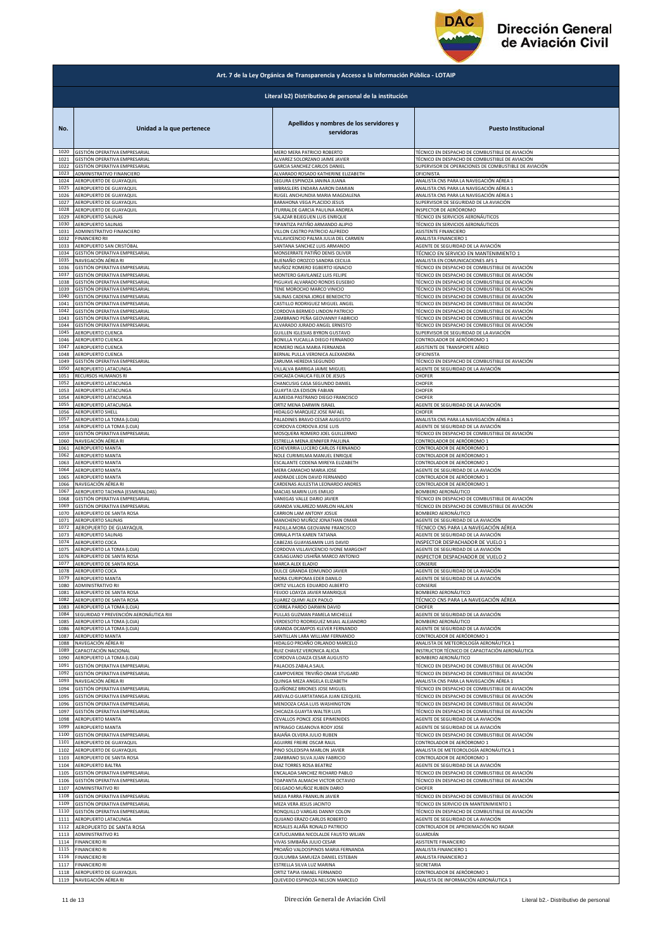

|              | Art. 7 de la Ley Orgánica de Transparencia y Acceso a la Información Pública - LOTAIP |                                                               |                                                                                                         |  |
|--------------|---------------------------------------------------------------------------------------|---------------------------------------------------------------|---------------------------------------------------------------------------------------------------------|--|
|              | Literal b2) Distributivo de personal de la institución                                |                                                               |                                                                                                         |  |
| No.          | Unidad a la que pertenece                                                             | Apellidos y nombres de los servidores y<br>servidoras         | <b>Puesto Institucional</b>                                                                             |  |
| 1020         | GESTIÓN OPERATIVA EMPRESARIAL                                                         | MERO MERA PATRICIO ROBERTO                                    | TÉCNICO EN DESPACHO DE COMBUSTIBLE DE AVIACIÓN                                                          |  |
| 1021         | GESTIÓN OPERATIVA EMPRESARIAL                                                         | ALVAREZ SOLORZANO JAIME JAVIER                                | TÉCNICO EN DESPACHO DE COMBUSTIBLE DE AVIACIÓN                                                          |  |
| 1022         | GESTIÓN OPERATIVA EMPRESARIAL                                                         | GARCIA SANCHEZ CARLOS DANIEL                                  | SUPERVISOR DE OPERACIONES DE COMBUSTIBLE DE AVIACIÓN                                                    |  |
| 1023         | ADMINISTRATIVO FINANCIERO                                                             | ALVARADO ROSADO KATHERINE ELIZABETH                           | OFICINISTA                                                                                              |  |
| 1024         | AEROPUERTO DE GUAYAQUIL                                                               | SEGURA ESPINOZA JANINA JUANA                                  | ANALISTA CNS PARA LA NAVEGACIÓN AÉREA 1                                                                 |  |
| 1025         | AEROPUERTO DE GUAYAQUIL                                                               | WBRASLERS ENDARA AARON DAMIAN                                 | ANALISTA CNS PARA LA NAVEGACIÓN AÉREA 1                                                                 |  |
| 1026         | AEROPUERTO DE GUAYAQUIL                                                               | RUGEL ANCHUNDIA MARIA MAGDALENA                               | ANALISTA CNS PARA LA NAVEGACIÓN AÉREA 1                                                                 |  |
| 1027         | AEROPUERTO DE GUAYAQUIL                                                               |                                                               | SUPERVISOR DE SEGURIDAD DE LA AVIACIÓN                                                                  |  |
| 1028         | AEROPUERTO DE GUAYAQUIL                                                               | BARAHONA VEGA PLACIDO JESUS<br>TURRALDE GARCIA PAULINA ANDREA | INSPECTOR DE AERÓDROMO                                                                                  |  |
| 1029         | AEROPUERTO SALINAS                                                                    | SALAZAR BEJEGUEN LUIS ENRIQUE                                 | TÉCNICO EN SERVICIOS AERONÁUTICOS                                                                       |  |
| 1030         | AEROPUERTO SALINAS                                                                    | TIPANTIZA PATIÑO ARMANDO ALIPIO                               | TÉCNICO EN SERVICIOS AERONÁUTICOS                                                                       |  |
| 1031         | ADMINISTRATIVO FINANCIERO                                                             | VILLON CASTRO PATRICIO ALFREDO                                | ASISTENTE FINANCIERO                                                                                    |  |
| 1032         | <b>FINANCIERO RII</b>                                                                 | VILLAVICENCIO PALMA JULIA DEL CARMEN                          | ANALISTA FINANCIERO 1                                                                                   |  |
| 1033         | AEROPUERTO SAN CRISTÓBAL                                                              | SANTANA SANCHEZ LUIS ARMANDO                                  | AGENTE DE SEGURIDAD DE LA AVIACIÓN                                                                      |  |
| 1034         | GESTIÓN OPERATIVA EMPRESARIAL                                                         | MONSERRATE PATIÑO DENIS OLIVER                                | TÉCNICO EN SERVICIO EN MANTENIMIENTO 1                                                                  |  |
| 1035         | NAVEGACIÓN AÉREA RI                                                                   | BUENAÑO OROZCO SANDRA CECILIA                                 | ANALISTA EN COMUNICACIONES AFS 1                                                                        |  |
| 1036         | GESTIÓN OPERATIVA EMPRESARIAL                                                         | MUÑOZ ROMERO EGBERTO IGNACIO                                  | FÉCNICO EN DESPACHO DE COMBUSTIBLE DE AVIACIÓN                                                          |  |
| 1037         | GESTIÓN OPERATIVA EMPRESARIAL                                                         | MONTERO GAVILANEZ LUIS FELIPE                                 | TÉCNICO EN DESPACHO DE COMBUSTIBLE DE AVIACIÓN                                                          |  |
| 1038         | GESTIÓN OPERATIVA EMPRESARIAL                                                         | PIGUAVE ALVARADO RONDIS EUSEBIO                               | TÉCNICO EN DESPACHO DE COMBUSTIBLE DE AVIACIÓN                                                          |  |
| 1039         | <b>GESTIÓN OPERATIVA EMPRESARIAL</b>                                                  | TENE MOROCHO MARCO VINICIO                                    | TÉCNICO EN DESPACHO DE COMBUSTIBLE DE AVIACIÓN                                                          |  |
| 1040         | GESTIÓN OPERATIVA EMPRESARIAL                                                         | SALINAS CADENA JORGE BENEDICTO                                | FÉCNICO EN DESPACHO DE COMBUSTIBLE DE AVIACIÓN                                                          |  |
| 1041         | GESTIÓN OPERATIVA EMPRESARIAL                                                         | CASTILLO RODRIGUEZ MIGUEL ANGEL                               | TÉCNICO EN DESPACHO DE COMBUSTIBLE DE AVIACIÓN                                                          |  |
| 1042         | SESTIÓN OPERATIVA EMPRESARIAL                                                         | CORDOVA BERMEO LINDON PATRICIO                                | FÉCNICO EN DESPACHO DE COMBUSTIBLE DE AVIACIÓN                                                          |  |
| 1043         | GESTIÓN OPERATIVA EMPRESARIAL                                                         | ZAMBRANO PEÑA GEOVANNY FABRICIO                               | TÉCNICO EN DESPACHO DE COMBUSTIBLE DE AVIACIÓN                                                          |  |
| 1044         | GESTIÓN OPERATIVA EMPRESARIAL                                                         | ALVARADO JURADO ANGEL ERNESTO                                 | TÉCNICO EN DESPACHO DE COMBUSTIBLE DE AVIACIÓN                                                          |  |
| 1045         | AEROPUERTO CUENCA                                                                     | GUILLEN IGLESIAS BYRON GUSTAVO                                | SUPERVISOR DE SEGURIDAD DE LA AVIACIÓN                                                                  |  |
| 1046         | AEROPUERTO CUENCA                                                                     | BONILLA YUCAILLA DIEGO FERNANDO                               | CONTROLADOR DE AERÓDROMO 1                                                                              |  |
| 1047         | AEROPUERTO CUENCA                                                                     | ROMERO INGA MARIA FERNANDA                                    | ASISTENTE DE TRANSPORTE AÉREO                                                                           |  |
| 1048         | AEROPUERTO CUENCA                                                                     | BERNAL PULLA VERONICA ALEXANDRA                               | OFICINISTA                                                                                              |  |
| 1049         | GESTIÓN OPERATIVA EMPRESARIAL                                                         | ZARUMA HEREDIA SEGUNDO                                        | TÉCNICO EN DESPACHO DE COMBUSTIBLE DE AVIACIÓN                                                          |  |
| 1050         | AEROPUERTO LATACUNGA                                                                  | VILLALVA BARRIGA JAIME MIGUEL                                 | AGENTE DE SEGURIDAD DE LA AVIACIÓN                                                                      |  |
| 1051         | RECURSOS HUMANOS RI                                                                   | CHICAIZA CHAUCA FELIX DE JESUS                                | CHOFER                                                                                                  |  |
| 1052         | AEROPUERTO LATACUNGA                                                                  | CHANCUSIG CASA SEGUNDO DANIEL                                 | CHOFER                                                                                                  |  |
| 1053         | AEROPUERTO LATACUNGA                                                                  | GUAYTA IZA EDISON FABIAN                                      | CHOFER                                                                                                  |  |
| 1054         | AEROPUERTO LATACUNGA                                                                  | ALMEIDA PASTRANO DIEGO FRANCISCO                              | CHOFER                                                                                                  |  |
| 1055         | AEROPUERTO LATACUNGA                                                                  | ORTIZ MENA DARWIN ISRAEL                                      | AGENTE DE SEGURIDAD DE LA AVIACIÓN                                                                      |  |
| 1056         | AEROPUERTO SHELL                                                                      | HIDALGO MARQUEZ JOSE RAFAEL                                   | CHOFER                                                                                                  |  |
| 1057         | AEROPUERTO LA TOMA (LOJA)                                                             | PALADINES BRAVO CESAR AUGUSTO                                 | ANALISTA CNS PARA LA NAVEGACIÓN AÉREA 1                                                                 |  |
| 1058         | AEROPUERTO LA TOMA (LOJA)                                                             | CORDOVA CORDOVA JOSE LUIS                                     | AGENTE DE SEGURIDAD DE LA AVIACIÓN                                                                      |  |
| 1059         | GESTIÓN OPERATIVA EMPRESARIAL                                                         | MOSQUERA ROMERO JOEL GUILLERMO                                | TÉCNICO EN DESPACHO DE COMBUSTIBLE DE AVIACIÓN                                                          |  |
| 1060         | NAVEGACIÓN AÉREA RI                                                                   | ESTRELLA MENA JENNIFER PAULINA                                | CONTROLADOR DE AERÓDROMO 1                                                                              |  |
| 1061         | AEROPUERTO MANTA                                                                      | ECHEVERRIA LUCERO CARLOS FERNANDO                             | CONTROLADOR DE AERÓDROMO 1                                                                              |  |
| 1062         | AEROPUERTO MANTA                                                                      | NOLE CURIMILMA MANUEL ENRIQUE                                 | CONTROLADOR DE AERÓDROMO 1                                                                              |  |
| 1063         | <b>AEROPUERTO MANTA</b>                                                               | ESCALANTE CODENA MIREYA ELIZABETH                             | CONTROLADOR DE AERÓDROMO 1                                                                              |  |
| 1064         | AEROPUERTO MANTA                                                                      | MERA CAMACHO MARIA JOSE                                       | AGENTE DE SEGURIDAD DE LA AVIACIÓN                                                                      |  |
| 1065         | AEROPUERTO MANTA                                                                      | ANDRADE LEON DAVID FERNANDO                                   | CONTROLADOR DE AERÓDROMO 1                                                                              |  |
| 1066         | NAVEGACIÓN AÉREA RI                                                                   | CARDENAS AULESTIA LEONARDO ANDRES                             | CONTROLADOR DE AERÓDROMO 1                                                                              |  |
| 1067         | AEROPUERTO TACHINA (ESMERALDAS)                                                       | MACIAS MARIN LUIS EMILIO                                      | BOMBERO AERONÁUTICO                                                                                     |  |
| 1068         | GESTIÓN OPERATIVA EMPRESARIAL                                                         | VANEGAS VALLE DARIO JAVIER                                    | TÉCNICO EN DESPACHO DE COMBUSTIBLE DE AVIACIÓN                                                          |  |
| 1069         | GESTIÓN OPERATIVA EMPRESARIAL                                                         | GRANDA VALAREZO MARLON HALAIN                                 | TÉCNICO EN DESPACHO DE COMBUSTIBLE DE AVIACIÓN                                                          |  |
| 1070         | AEROPUERTO DE SANTA ROSA                                                              | CARRION LAM ANTONY JOSUE                                      | BOMBERO AERONÁUTICO                                                                                     |  |
| 1071         | AEROPUERTO SALINAS                                                                    | MANCHENO MUÑOZ JONATHAN OMAR                                  | AGENTE DE SEGURIDAD DE LA AVIACIÓN                                                                      |  |
| 1072         | AEROPUERTO DE GUAYAQUIL                                                               | PADILLA MORA GEOVANNI FRANCISCO                               | TÉCNICO CNS PARA LA NAVEGACIÓN AÉREA                                                                    |  |
| 1073         | AEROPUERTO SALINAS                                                                    | ORRALA PITA KAREN TATIANA                                     | AGENTE DE SEGURIDAD DE LA AVIACIÓN                                                                      |  |
| 1074         | AEROPUERTO COCA                                                                       | CABEZAS GUAYASAMIN LUIS DAVID                                 | INSPECTOR DESPACHADOR DE VUELO 1                                                                        |  |
| 1075         | AEROPUERTO LA TOMA (LOJA)                                                             | CORDOVA VILLAVICENCIO IVONE MARGOHT                           | AGENTE DE SEGURIDAD DE LA AVIACIÓN                                                                      |  |
| 1076         | AEROPUERTO DE SANTA ROSA                                                              | CAISAGUANO USHIÑA MARCO ANTONIO                               | INSPECTOR DESPACHADOR DE VUELO 2                                                                        |  |
| 1077         | AEROPUERTO DE SANTA ROSA                                                              | MARCA ALEX ELADIO                                             | CONSERJE                                                                                                |  |
| 1078         | AEROPUERTO COCA                                                                       | DULCE GRANDA EDMUNDO JAVIER                                   | AGENTE DE SEGURIDAD DE LA AVIACIÓN                                                                      |  |
| 1079         | AEROPUERTO MANTA                                                                      | MORA CURIPOMA EDER DANILO                                     | AGENTE DE SEGURIDAD DE LA AVIACIÓN                                                                      |  |
| 1080         | ADMINISTRATIVO RII                                                                    | ORTIZ VILLACIS EDUARDO ALBERTO                                | CONSERJE                                                                                                |  |
| 1081         | AEROPUERTO DE SANTA ROSA                                                              | FEIJOO LOAYZA JAVIER MANRIQUE                                 | <b>BOMBERO AERONÁUTICO</b>                                                                              |  |
| 1082         | AEROPUERTO DE SANTA ROSA                                                              | SUAREZ QUIMI ALEX PAOLO                                       | TÉCNICO CNS PARA LA NAVEGACIÓN AÉREA                                                                    |  |
| 1083         | AEROPUERTO LA TOMA (LOJA)                                                             | CORREA PARDO DARWIN DAVID                                     | CHOFER                                                                                                  |  |
| 1084         | SEGURIDAD Y PREVENCIÓN AERONÁUTICA RIII                                               | PULLAS GUZMAN PAMELA MICHELLE                                 | AGENTE DE SEGURIDAD DE LA AVIACIÓN                                                                      |  |
| 1085         | AEROPUERTO LA TOMA (LOJA)                                                             | VERDESOTO RODRIGUEZ MIJAIL ALEJANDRO                          | BOMBERO AERONÁUTICO                                                                                     |  |
| 1086         | AEROPUERTO LA TOMA (LOJA)                                                             | GRANDA OCAMPOS KLEVER FERNANDO                                | AGENTE DE SEGURIDAD DE LA AVIACIÓN                                                                      |  |
| 1087         | <b>AEROPUERTO MANTA</b>                                                               | SANTILLAN LARA WILLIAM FERNANDO                               | CONTROLADOR DE AERÓDROMO 1                                                                              |  |
| 1088<br>1089 | NAVEGACIÓN AÉREA RI                                                                   | HIDALGO PROAÑO ORLANDO MARCELO                                | ANALISTA DE METEOROLOGÍA AERONÁUTICA 1                                                                  |  |
| 1090         | CAPACITACIÓN NACIONAL                                                                 | RUIZ CHAVEZ VERONICA ALICIA                                   | INSTRUCTOR TÉCNICO DE CAPACITACIÓN AERONÁUTICA                                                          |  |
|              | AEROPUERTO LA TOMA (LOJA)                                                             | CORDOVA LOAIZA CESAR AUGUSTO                                  | BOMBERO AERONÁUTICO                                                                                     |  |
| 1091         | GESTIÓN OPERATIVA EMPRESARIAL                                                         | PALACIOS ZABALA SAUI                                          | TÉCNICO EN DESPACHO DE COMBUSTIBLE DE AVIACIÓN                                                          |  |
| 1092         | GESTIÓN OPERATIVA EMPRESARIAL                                                         | CAMPOVERDE TRIVIÑO OMAR STUGARD                               | TÉCNICO EN DESPACHO DE COMBUSTIBLE DE AVIACIÓN                                                          |  |
| 1093         | NAVEGACIÓN AÉREA RI                                                                   | QUINGA MEZA ANGELA ELIZABETH                                  | ANALISTA CNS PARA LA NAVEGACIÓN AÉREA 1                                                                 |  |
| 1094         | GESTIÓN OPERATIVA EMPRESARIAL                                                         | QUIÑONEZ BRIONES JOSE MIGUEL                                  | TÉCNICO EN DESPACHO DE COMBUSTIBLE DE AVIACIÓN                                                          |  |
| 1095         | GESTIÓN OPERATIVA EMPRESARIAL                                                         | AREVALO GUARTATANGA JUAN EZEQUIEL                             | TÉCNICO EN DESPACHO DE COMBUSTIBLE DE AVIACIÓN<br><b>FÉCNICO EN DESPACHO DE COMBUSTIBLE DE AVIACIÓN</b> |  |
| 1096         | GESTIÓN OPERATIVA EMPRESARIAL                                                         | MENDOZA CASA LUIS WASHINGTON                                  | TÉCNICO EN DESPACHO DE COMBUSTIBLE DE AVIACIÓN                                                          |  |
| 1097         | GESTIÓN OPERATIVA EMPRESARIAL                                                         | CHICAIZA GUAYTA WALTER LUIS                                   |                                                                                                         |  |
| 1098         | AEROPUERTO MANTA                                                                      | CEVALLOS PONCE JOSE EPIMENIDES                                | AGENTE DE SEGURIDAD DE LA AVIACIÓN                                                                      |  |
| 1099         | <b>AEROPUERTO MANTA</b>                                                               | <b>NTRIAGO CASANOVA RODY JOSE</b>                             | AGENTE DE SEGURIDAD DE LA AVIACIÓN                                                                      |  |
| 1100         | GESTIÓN OPERATIVA EMPRESARIAL                                                         | BAJAÑA OLVERA JULIO RUBEN                                     | TÉCNICO EN DESPACHO DE COMBUSTIBLE DE AVIACIÓN                                                          |  |
| 1101         | AEROPUERTO DE GUAYAQUIL                                                               | AGUIRRE FREIRE OSCAR RAUL                                     | CONTROLADOR DE AERÓDROMO 1                                                                              |  |
| 1102         | AEROPUERTO DE GUAYAQUIL                                                               | PINO SOLEDISPA MARLON JAVIER                                  | ANALISTA DE METEOROLOGÍA AERONÁUTICA 1                                                                  |  |
| 1103         | AEROPUERTO DE SANTA ROSA                                                              | ZAMBRANO SILVA JUAN FABRICIO                                  | CONTROLADOR DE AERÓDROMO 1                                                                              |  |
| 1104         | AEROPUERTO BALTRA                                                                     | DIAZ TORRES ROSA BEATRIZ                                      | AGENTE DE SEGURIDAD DE LA AVIACIÓN                                                                      |  |
| 1105         | GESTIÓN OPERATIVA EMPRESARIAL                                                         | ENCALADA SANCHEZ RICHARD PABLO                                | TÉCNICO EN DESPACHO DE COMBUSTIBLE DE AVIACIÓN                                                          |  |
| 1106         | GESTIÓN OPERATIVA EMPRESARIAL                                                         | TOAPANTA ALMACHI VICTOR OCTAVIO                               | TÉCNICO EN DESPACHO DE COMBUSTIBLE DE AVIACIÓN                                                          |  |
| 1107         | ADMINISTRATIVO RII                                                                    | DELGADO MUÑOZ RUBEN DARIO                                     | CHOFER                                                                                                  |  |
| 1108         | GESTIÓN OPERATIVA EMPRESARIAL                                                         | MEJIA PARRA FRANKLIN JAVIER                                   | TÉCNICO EN DESPACHO DE COMBUSTIBLE DE AVIACIÓN                                                          |  |
| 1109         | GESTIÓN OPERATIVA EMPRESARIAL                                                         | MEZA VERA JESUS JACINTO                                       | TÉCNICO EN SERVICIO EN MANTENIMIENTO 1                                                                  |  |
| 1110         | GESTIÓN OPERATIVA EMPRESARIAL                                                         | RONQUILLO VARGAS DANNY COLON                                  | TÉCNICO EN DESPACHO DE COMBUSTIBLE DE AVIACIÓN                                                          |  |
| 1111         | AEROPUERTO LATACUNGA                                                                  | QUIJANO ERAZO CARLOS ROBERTO                                  | AGENTE DE SEGURIDAD DE LA AVIACIÓN                                                                      |  |
| 1112         | AEROPUERTO DE SANTA ROSA                                                              | ROSALES ALAÑA RONALD PATRICIO                                 | CONTROLADOR DE APROXIMACIÓN NO RADAR                                                                    |  |
| 1113         | ADMINISTRATIVO R1                                                                     | CATUCUAMBA NICOLALDE FAUSTO WILIAN                            | GUARDIÁN                                                                                                |  |
| 1114         | <b>FINANCIERO RI</b>                                                                  | VIVAS SIMBAÑA JULIO CESAR                                     | ASISTENTE FINANCIERO                                                                                    |  |
| 1115         | <b>FINANCIERO RI</b>                                                                  | PROAÑO VALDOSPINOS MARIA FERNANDA                             | ANALISTA FINANCIERO 1                                                                                   |  |
| 1116         | <b>FINANCIERO RI</b>                                                                  | QUILUMBA SAMUEZA DANIEL ESTEBAN                               | ANALISTA FINANCIERO 2                                                                                   |  |
| 1117         | <b>FINANCIERO RI</b>                                                                  | ESTRELLA SILVA LUZ MARINA                                     | SECRETARIA                                                                                              |  |
| 1118         | AEROPUERTO DE GUAYAQUIL                                                               | ORTIZ TAPIA ISMAEL FERNANDO                                   | CONTROLADOR DE AERÓDROMO 1                                                                              |  |
| 1119         | NAVEGACIÓN AÉREA RI                                                                   | QUEVEDO ESPINOZA NELSON MARCELO                               | ANALISTA DE INFORMACIÓN AERONÁUTICA 1                                                                   |  |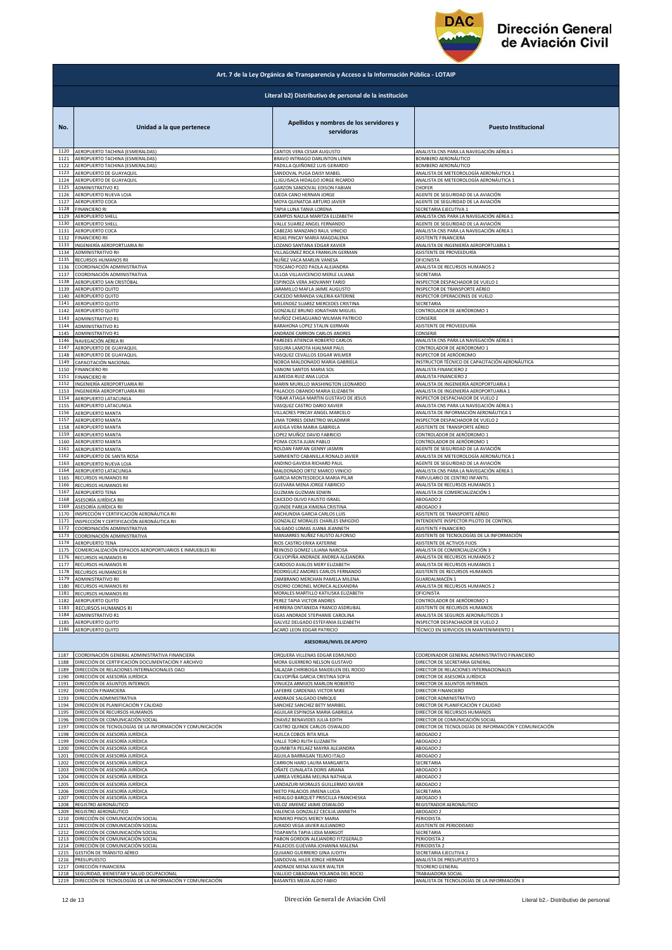

|              | Art. 7 de la Ley Orgánica de Transparencia y Acceso a la Información Pública - LOTAIP |                                                       |                                                       |  |  |
|--------------|---------------------------------------------------------------------------------------|-------------------------------------------------------|-------------------------------------------------------|--|--|
|              | Literal b2) Distributivo de personal de la institución                                |                                                       |                                                       |  |  |
| No.          | Unidad a la que pertenece                                                             | Apellidos y nombres de los servidores y<br>servidoras | <b>Puesto Institucional</b>                           |  |  |
| 1120         | AEROPUERTO TACHINA (ESMERALDAS)                                                       | CANTOS VERA CESAR AUGUSTO                             | ANALISTA CNS PARA LA NAVEGACIÓN AÉREA 1               |  |  |
| 1121         | AEROPUERTO TACHINA (ESMERALDAS)                                                       | BRAVO INTRIAGO DARLINTON LENIN                        | BOMBERO AERONÁUTICO                                   |  |  |
| 1122         | AEROPUERTO TACHINA (ESMERALDAS)                                                       | PADILLA QUIÑONEZ LUIS GERARDO                         | BOMBERO AERONÁUTICO                                   |  |  |
| 1123         | AEROPUERTO DE GUAYAQUIL                                                               | SANDOVAL PUGA DAISY MABEI                             | ANALISTA DE METEOROLOGÍA AERONÁUTICA 1                |  |  |
| 1124         | AEROPUERTO DE GUAYAQUIL                                                               | LLIGUISACA HIDALGO JORGE RICARDO                      | ANALISTA DE METEOROLOGÍA AERONÁUTICA 1                |  |  |
| 1125         | ADMINISTRATIVO R1                                                                     | GARZON SANDOVAL EDISON FABIAN                         | CHOFER                                                |  |  |
| 1126         | AEROPUERTO NUEVA LOJA                                                                 | OJEDA CANO HERNAN JORGE                               | AGENTE DE SEGURIDAD DE LA AVIACIÓN                    |  |  |
| 1127         | AEROPUERTO COCA                                                                       | MOYA QUINATOA ARTURO JAVIER                           | AGENTE DE SEGURIDAD DE LA AVIACIÓN                    |  |  |
| 1128         | <b>FINANCIERO RI</b>                                                                  | TAPIA LUNA TANIA LORENA                               | SECRETARIA EJECUTIVA 1                                |  |  |
| 1129         | AEROPUERTO SHELL                                                                      | CAMPOS NAULA MARITZA ELIZABETH                        | ANALISTA CNS PARA LA NAVEGACIÓN AÉREA 1               |  |  |
| 1130         | AEROPUERTO SHELL                                                                      | VALLE SUAREZ ANGEL FERNANDO                           | AGENTE DE SEGURIDAD DE LA AVIACIÓN                    |  |  |
| 1131         | AEROPUERTO COCA                                                                       | CABEZAS MANZANO RAUL VINICIO                          | ANALISTA CNS PARA LA NAVEGACIÓN AÉREA 1               |  |  |
| 1132         | FINANCIERO RII                                                                        | ROJAS PINCAY MARIA MAGDALENA                          | ASISTENTE FINANCIERA                                  |  |  |
| 1133         | INGENIERÍA AEROPORTUARIA RII                                                          | OZANO SANTANA EDGAR XAVIER                            | ANALISTA DE INGENIERÍA AEROPORTUARIA 1                |  |  |
| 1134         | ADMINISTRATIVO RII                                                                    | VILLAGOMEZ ROCA FRANKLIN GERMAN                       | ASISTENTE DE PROVEEDURÍA                              |  |  |
| 1135         | RECURSOS HUMANOS RII                                                                  | NUÑEZ VACA MARLIN VANESA                              | OFICINISTA                                            |  |  |
| 1136         | COORDINACIÓN ADMINISTRATIVA                                                           | TOSCANO POZO PAOLA ALEJANDRA                          | ANALISTA DE RECURSOS HUMANOS 2                        |  |  |
| 1137         | COORDINACIÓN ADMINISTRATIVA                                                           | ULLOA VILLAVICENCIO MERLE LILIANA                     | SECRETARIA                                            |  |  |
| 1138         | AEROPUERTO SAN CRISTÓBAL                                                              | ESPINOZA VERA JHOVANNY FARID                          | INSPECTOR DESPACHADOR DE VUELO 1                      |  |  |
| 1139         | AEROPUERTO QUITO                                                                      | JARAMILLO MAFLA JAIME AUGUSTO                         | INSPECTOR DE TRANSPORTE AÉREO                         |  |  |
| 1140         | AEROPUERTO QUITO                                                                      | CAICEDO MIRANDA VALERIA KATERINE                      | INSPECTOR OPERACIONES DE VUELO                        |  |  |
| 1141         | AEROPUERTO QUITO                                                                      | MELENDEZ SUAREZ MERCEDES CRISTINA                     | SECRETARIA                                            |  |  |
| 1142         | AEROPUERTO QUITO                                                                      | GONZALEZ BRUNO JONATHAN MIGUEL                        | CONTROLADOR DE AERÓDROMO 1                            |  |  |
| 1143         | ADMINISTRATIVO R1                                                                     | MUÑOZ CHISAGUANO WILMAN PATRICIO                      | CONSERJE                                              |  |  |
| 1144         | ADMINISTRATIVO R1                                                                     | BARAHONA LOPEZ STALIN GERMAN                          | ASISTENTE DE PROVEEDURÍA                              |  |  |
| 1145         | ADMINISTRATIVO R1                                                                     | ANDRADE CARRION CARLOS ANDRES                         | CONSERJE                                              |  |  |
| 1146         | NAVEGACIÓN AÉREA RI                                                                   | PAREDES ATIENCIA ROBERTO CARLOS                       | ANALISTA CNS PARA LA NAVEGACIÓN AÉREA 1               |  |  |
| 1147         | AEROPUERTO DE GUAYAQUIL                                                               | SEGURA LAMOTA HJALMAR PAUL                            | CONTROLADOR DE AERÓDROMO 1                            |  |  |
| 1148         | AEROPUERTO DE GUAYAQUIL                                                               | VASQUEZ CEVALLOS EDGAR WILMER                         | INSPECTOR DE AERÓDROMO                                |  |  |
| 1149         | CAPACITACIÓN NACIONAL                                                                 | NOBOA MALDONADO MARIA GABRIELA                        | INSTRUCTOR TÉCNICO DE CAPACITACIÓN AERONÁUTICA        |  |  |
| 1150         | FINANCIERO RII                                                                        | VANONI SANTOS MARIA SOL                               | ANALISTA FINANCIERO 2                                 |  |  |
| 1151         | <b>FINANCIERO RI</b>                                                                  | ALMEIDA RUIZ ANA LUCIA                                | ANALISTA FINANCIERO 2                                 |  |  |
| 1152         | INGENIERÍA AEROPORTUARIA RII                                                          | MARIN MURILLO WASHINGTON LEONARDO                     | ANALISTA DE INGENIERÍA AEROPORTUARIA 1                |  |  |
| 1153         | INGENIERÍA AEROPORTUARIA RIII                                                         | PALACIOS OBANDO MARIA ELIZABETH                       | ANALISTA DE INGENIERÍA AEROPORTUARIA 1                |  |  |
| 1154         | AEROPUERTO LATACUNGA                                                                  | TOBAR ATIAGA MARTIN GUSTAVO DE JESUS                  | INSPECTOR DESPACHADOR DE VUELO 2                      |  |  |
| 1155         | AEROPUERTO LATACUNGA                                                                  | VASQUEZ CASTRO DARIO XAVIER                           | ANALISTA CNS PARA LA NAVEGACIÓN AÉREA 1               |  |  |
| 1156         | AEROPUERTO MANTA                                                                      | VILLACRES PINCAY ANGEL MARCELO                        | ANALISTA DE INFORMACIÓN AERONÁUTICA 1                 |  |  |
| 1157         | AEROPUERTO MANTA                                                                      | LIMA TORRES DEMETRIO WLADIMIR                         | INSPECTOR DESPACHADOR DE VUELO 2                      |  |  |
| 1158         | AEROPUERTO MANTA                                                                      | AVEIGA VERA MARIA GABRIELA                            | ASISTENTE DE TRANSPORTE AÉREO                         |  |  |
| 1159         | AEROPUERTO MANTA                                                                      | LOPEZ MUÑOZ DAVID FABRICIO                            | CONTROLADOR DE AERÓDROMO 1                            |  |  |
| 1160         |                                                                                       | POMA COSTA JUAN PABLO                                 | CONTROLADOR DE AERÓDROMO 1                            |  |  |
| 1161         | AEROPUERTO MANTA<br>AEROPUERTO MANTA                                                  | ROLDAN FARFAN GENNY JASMIN                            | AGENTE DE SEGURIDAD DE LA AVIACIÓN                    |  |  |
| 1162         | AEROPUERTO DE SANTA ROSA                                                              | SARMIENTO CABANILLA RONALD JAVIER                     | ANALISTA DE METEOROLOGÍA AERONÁUTICA 1                |  |  |
| 1163         | AEROPUERTO NUEVA LOJA                                                                 | ANDINO GAVIDIA RICHARD PAUL                           | AGENTE DE SEGURIDAD DE LA AVIACIÓN                    |  |  |
| 1164         | AEROPUERTO LATACUNGA                                                                  | MALDONADO ORTIZ MARCO VINICIO                         | ANALISTA CNS PARA LA NAVEGACIÓN AÉREA 1               |  |  |
| 1165         | RECURSOS HUMANOS RII                                                                  | GARCIA MONTESDEOCA MARIA PILAR                        | PARVULARIO DE CENTRO INFANTI                          |  |  |
| 1166         | RECURSOS HUMANOS RII                                                                  | GUEVARA MENA JORGE FABRICIO                           | ANALISTA DE RECURSOS HUMANOS 1                        |  |  |
| 1167         | AEROPUERTO TENA                                                                       | GUZMAN GUZMAN EDWIN                                   | ANALISTA DE COMERCIALIZACIÓN 1                        |  |  |
| 1168         | ASESORÍA JURÍDICA RIII                                                                | CAICEDO OLIVO FAUSTO ISRAEL                           | ABOGADO 2                                             |  |  |
| 1169         | ASESORÍA JURÍDICA RII                                                                 | QUINDE PAREJA XIMENA CRISTINA                         | ABOGADO 3                                             |  |  |
| 1170         | INSPECCIÓN Y CERTIFICACIÓN AERONÁUTICA RII                                            | ANCHUNDIA GARCIA CARLOS LUIS                          | ASISTENTE DE TRANSPORTE AÉREO                         |  |  |
| 1171         | INSPECCIÓN Y CERTIFICACIÓN AERONÁUTICA RII                                            | GONZALEZ MORALES CHARLES EMIGDIO                      | INTENDENTE INSPECTOR PILOTO DE CONTROL                |  |  |
| 1172         | COORDINACIÓN ADMINISTRATIVA                                                           | SALGADO LOMAS JUANA JEANNETH                          | ASISTENTE FINANCIERO                                  |  |  |
| 1173         | COORDINACIÓN ADMINISTRATIVA                                                           | MANJARRES NUÑEZ FAUSTO ALFONSO                        | ASISTENTE DE TECNOLOGÍAS DE LA INFORMACIÓN            |  |  |
| 1174         | AEROPUERTO TENA                                                                       | RIOS CASTRO ERIKA KATERINE                            | ASISTENTE DE ACTIVOS FIJOS                            |  |  |
| 1175         | COMERCIALIZACIÓN ESPACIOS AEROPORTUARIOS E INMUEBLES RII                              | REINOSO GOMEZ LILIANA NARCISA                         | ANALISTA DE COMERCIALIZACIÓN 3                        |  |  |
| 1176         | RECURSOS HUMANOS RI                                                                   | CALVOPIÑA ANDRADE ANDREA ALEJANDRA                    | ANALISTA DE RECURSOS HUMANOS 2                        |  |  |
| 1177         | RECURSOS HUMANOS RI                                                                   | CARDOSO AVALOS MERY ELIZABETH                         | ANALISTA DE RECURSOS HUMANOS 1                        |  |  |
| 1178         | RECURSOS HUMANOS R                                                                    | RODRIGUEZ AMORES CARLOS EFRNANDO                      | ASISTENTE DE RECURSOS HUMANOS                         |  |  |
| 1179         | <b>ADMINISTRATIVO RII</b>                                                             | ZAMBRANO MERCHAN PAMELA MILENA                        | GUARDALMACÉN 1                                        |  |  |
| 1180         | RECURSOS HUMANOS RII                                                                  | OSORIO CORONEL MONICA ALEXANDRA                       | ANALISTA DE RECURSOS HUMANOS 2                        |  |  |
| 1181         | RECURSOS HUMANOS RII                                                                  | MORALES MARTILLO KATIUSKA ELIZABETH                   | OFICINISTA                                            |  |  |
| 1182         | AEROPUERTO QUITO                                                                      | PEREZ TAPIA VICTOR ANDRES                             | CONTROLADOR DE AERÓDROMO 1                            |  |  |
| 1183         | RECURSOS HUMANOS RI                                                                   | HERRERA ONTANEDA FRANCO ASDRUBAL                      | ASISTENTE DE RECURSOS HUMANOS                         |  |  |
| 1184         | ADMINISTRATIVO R1                                                                     | EGAS ANDRADE STEPHANIE CAROLINA                       | ANALISTA DE SEGUROS AERONÁUTICOS 3                    |  |  |
| 1185         | AEROPUERTO QUITO                                                                      | GALVEZ DELGADO ESTEFANIA ELIZABETH                    | INSPECTOR DESPACHADOR DE VUELO 2                      |  |  |
| 1186         | AEROPUERTO QUITO                                                                      | ACARO LEON EDGAR PATRICIO                             | TÉCNICO EN SERVICIOS EN MANTENIMIENTO 1               |  |  |
|              |                                                                                       | <b>ASESORIAS/NIVEL DE APOYO</b>                       |                                                       |  |  |
| 1187         | COORDINACIÓN GENERAL ADMINISTRATIVA FINANCIERA                                        | ORQUERA VILLENAS EDGAR EDMUNDO                        | COORDINADOR GENERAL ADMINISTRATIVO FINANCIERO         |  |  |
| 1188         | DIRECCIÓN DE CERTIFICACIÓN DOCUMENTACIÓN Y ARCHIVO                                    | MORA GUERRERO NELSON GUSTAVO                          | DIRECTOR DE SECRETARIA GENERAL                        |  |  |
| 1189         | DIRECCIÓN DE RELACIONES INTERNACIONALES OACI                                          | SALAZAR CHIRIBOGA MAIDELEN DEL ROCIO                  | DIRECTOR DE RELACIONES INTERNACIONALES                |  |  |
| 1190         | DIRECCIÓN DE ASESORÍA JURÍDICA                                                        | CALVOPIÑA GARCIA CRISTINA SOFIA                       | DIRECTOR DE ASESORÍA JURÍDICA                         |  |  |
| 1191         | DIRECCIÓN DE ASUNTOS INTERNOS                                                         | VINUEZA ARMIJOS MARLON ROBERTO                        | DIRECTOR DE ASUNTOS INTERNOS                          |  |  |
| 1192         | DIRECCIÓN FINANCIERA                                                                  | LAFEBRE CARDENAS VICTOR MIKE                          | DIRECTOR FINANCIERO                                   |  |  |
| 1193         | DIRECCIÓN ADMINISTRATIVA                                                              | ANDRADE SALGADO ENRIQUE                               | DIRECTOR ADMINISTRATIVO                               |  |  |
| 1194         | DIRECCIÓN DE PLANIFICACIÓN Y CALIDAD                                                  | SANCHEZ SANCHEZ BETY MARIBEL                          | DIRECTOR DE PLANIFICACIÓN Y CALIDAD                   |  |  |
| 1195         | DIRECCIÓN DE RECURSOS HUMANOS                                                         | AGUILAR ESPINOSA MARIA GABRIELA                       | DIRECTOR DE RECURSOS HUMANOS                          |  |  |
| 1196         | DIRECCIÓN DE COMUNICACIÓN SOCIAL                                                      | CHAVEZ BENAVIDES JULIA EDITH                          | DIRECTOR DE COMUNICACIÓN SOCIAL                       |  |  |
| 1197         | DIRECCIÓN DE TECNOLOGÍAS DE LA INFORMACIÓN Y COMUNICACIÓN                             | CASTRO QUINDE CARLOS OSWALDO                          | DIRECTOR DE TECNOLOGÍAS DE INFORMACIÓN Y COMUNICACIÓN |  |  |
| 1198         | DIRECCIÓN DE ASESORÍA JURÍDICA                                                        | HUILCA COBOS RITA MILA                                | ABOGADO 2                                             |  |  |
| 1199         | DIRECCIÓN DE ASESORÍA JURÍDICA                                                        | VALLE TORO RUTH ELIZABETH                             | ABOGADO 2                                             |  |  |
| 1200         | DIRECCIÓN DE ASESORÍA JURÍDICA                                                        | QUIMBITA PELAEZ MAYRA ALEJANDRA                       | ABOGADO 2                                             |  |  |
| 1201<br>1202 | DIRECCIÓN DE ASESORÍA JURÍDICA                                                        | AGUILA BARRAGAN TELMO ITALO                           | ABOGADO 2                                             |  |  |
| 1203         | DIRECCIÓN DE ASESORÍA JURÍDICA                                                        | CARRION HARO LAURA MARGARITA                          | SECRETARIA                                            |  |  |
|              | DIRECCIÓN DE ASESORÍA JURÍDICA                                                        | DÑATE CUNALATA DORIS ARIANA                           | ABOGADO 3                                             |  |  |
| 1204         | DIRECCIÓN DE ASESORÍA JURÍDICA                                                        | ARREA VERGARA MELINA NATHALIA                         | ABOGADO 2                                             |  |  |
| 1205         | DIRECCIÓN DE ASESORÍA JURÍDICA                                                        | LANDAZURI MORALES GUILLERMO XAVIER                    | ABOGADO 2                                             |  |  |
| 1206         | DIRECCIÓN DE ASESORÍA JURÍDICA                                                        | NIETO PALACIOS JIMENA LUCIA                           | SECRETARIA                                            |  |  |
| 1207         | DIRECCIÓN DE ASESORÍA JURÍDICA                                                        | HIDALGO BARQUET PRISCILLA FRANCHESKA                  | ABOGADO 3                                             |  |  |
| 1208         | REGISTRO AERONÁUTICO                                                                  | VELOZ JIMENEZ JAIME OSWALDO                           | REGISTRADOR AERONÁUTICO                               |  |  |
| 1209         | REGISTRO AERONÁUTICO                                                                  | VALENCIA GONZALEZ CECILIA JANNETH                     | ABOGADO 2                                             |  |  |
| 1210         | DIRECCIÓN DE COMUNICACIÓN SOCIAL                                                      | ROMERO PINOS MERCY MARIA                              | PERIODISTA                                            |  |  |
| 1211         | DIRECCIÓN DE COMUNICACIÓN SOCIAL                                                      | JURADO VEGA JAVIER ALEJANDRO                          | ASISTENTE DE PERIODISMO                               |  |  |
| 1212         | DIRECCIÓN DE COMUNICACIÓN SOCIAL                                                      | TOAPANTA TAPIA LIDIA MARGOT                           | SECRETARIA                                            |  |  |
| 1213         | DIRECCIÓN DE COMUNICACIÓN SOCIAL                                                      | PABON GORDON ALEJANDRO FITZGERALD                     | PERIODISTA 2                                          |  |  |
| 1214         | DIRECCIÓN DE COMUNICACIÓN SOCIAL                                                      | PALACIOS GUEVARA JOHANNA MALENA                       | PERIODISTA 2                                          |  |  |
| 1215         | GESTIÓN DE TRÁNSITO AÉREO                                                             | QUIJANO GUERRERO GINA JUDITH                          | SECRETARIA EJECUTIVA 2                                |  |  |
| 1216         | PRESUPUESTO                                                                           | SANDOVAL HILER JORGE HERNAN                           | ANALISTA DE PRESUPUESTO 3                             |  |  |
| 1217         | DIRECCIÓN FINANCIERA                                                                  | ANDRADE MENA XAVIER WALTER                            | <b>TESORERO GENERAL</b>                               |  |  |
| 1218         | SEGURIDAD, BIENESTAR Y SALUD OCUPACIONAL                                              | VALLEJO CABADIANA YOLANDA DEL ROCIO                   | TRABAJADORA SOCIAL                                    |  |  |
|              | 1219 DIRECCIÓN DE TECNOLOGÍAS DE LA INFORMACIÓN Y COMUNICACIÓN                        | BASANTES MEJIA ALDO FABIO                             | ANALISTA DE TECNOLOGÍAS DE LA INFORMACIÓN 3           |  |  |